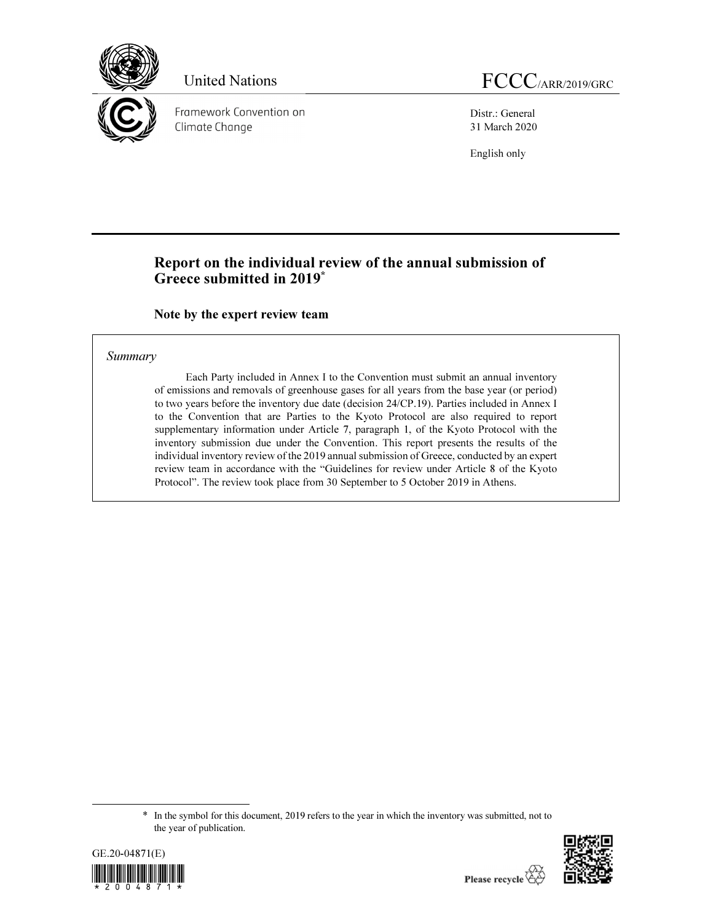

Framework Convention on Climate Change

Distr.: General 31 March 2020

English only

# Report on the individual review of the annual submission of Greece submitted in 2019\*

Note by the expert review team

### Summary

Each Party included in Annex I to the Convention must submit an annual inventory of emissions and removals of greenhouse gases for all years from the base year (or period) to two years before the inventory due date (decision 24/CP.19). Parties included in Annex I to the Convention that are Parties to the Kyoto Protocol are also required to report supplementary information under Article 7, paragraph 1, of the Kyoto Protocol with the inventory submission due under the Convention. This report presents the results of the individual inventory review of the 2019 annual submission of Greece, conducted by an expert review team in accordance with the "Guidelines for review under Article 8 of the Kyoto Protocol". The review took place from 30 September to 5 October 2019 in Athens.

<sup>\*</sup> In the symbol for this document, 2019 refers to the year in which the inventory was submitted, not to the year of publication.



 $\overline{a}$ 

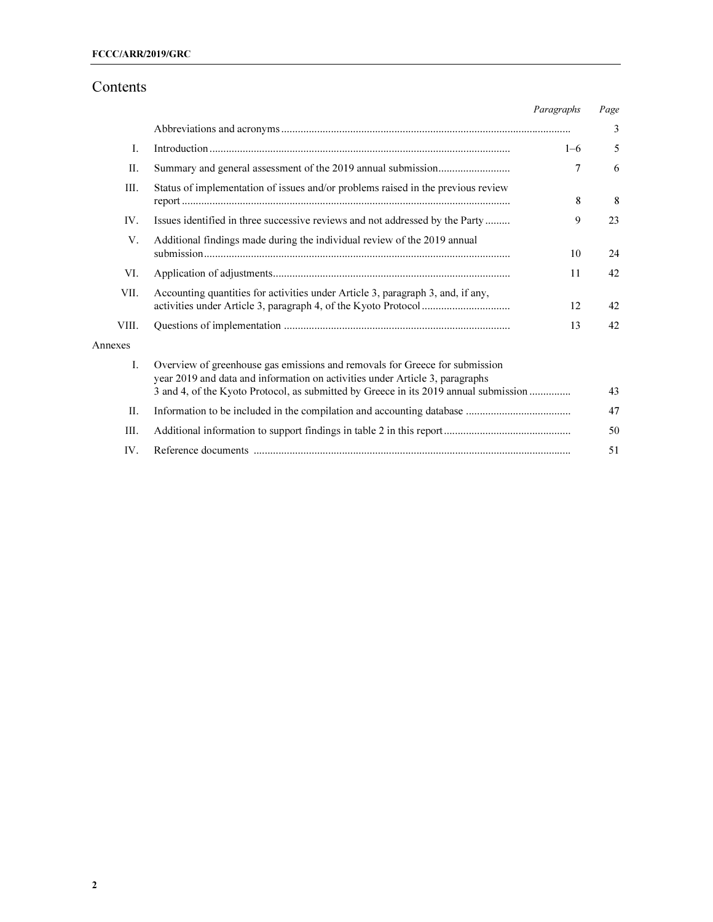# Contents

|         |                                                                                                                                                                                                                                                     | Paragraphs     | Page |
|---------|-----------------------------------------------------------------------------------------------------------------------------------------------------------------------------------------------------------------------------------------------------|----------------|------|
|         |                                                                                                                                                                                                                                                     |                | 3    |
| Ι.      |                                                                                                                                                                                                                                                     | $1 - 6$        | 5    |
| II.     |                                                                                                                                                                                                                                                     | $\overline{7}$ | 6    |
| III.    | Status of implementation of issues and/or problems raised in the previous review                                                                                                                                                                    | 8              | 8    |
| IV.     | Issues identified in three successive reviews and not addressed by the Party                                                                                                                                                                        | 9              | 23   |
| V.      | Additional findings made during the individual review of the 2019 annual                                                                                                                                                                            | 10             | 24   |
| VI.     |                                                                                                                                                                                                                                                     | 11             | 42   |
| VII.    | Accounting quantities for activities under Article 3, paragraph 3, and, if any,                                                                                                                                                                     | 12             | 42   |
| VIII.   |                                                                                                                                                                                                                                                     | 13             | 42   |
| Annexes |                                                                                                                                                                                                                                                     |                |      |
| L.      | Overview of greenhouse gas emissions and removals for Greece for submission<br>year 2019 and data and information on activities under Article 3, paragraphs<br>3 and 4, of the Kyoto Protocol, as submitted by Greece in its 2019 annual submission |                | 43   |
| II.     |                                                                                                                                                                                                                                                     |                | 47   |
| III.    |                                                                                                                                                                                                                                                     |                | 50   |
| IV.     |                                                                                                                                                                                                                                                     |                | 51   |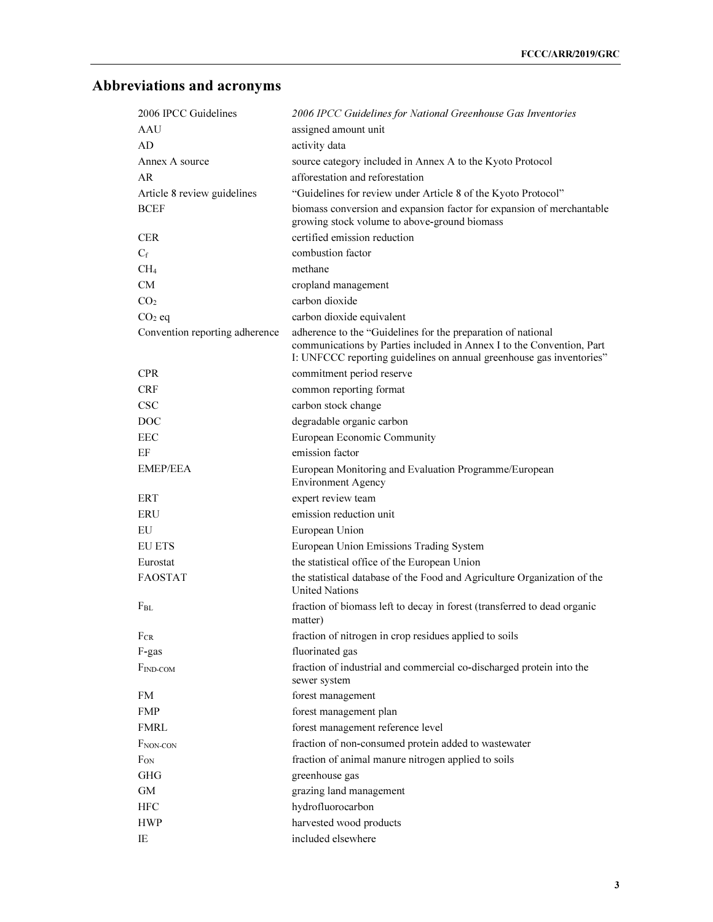# Abbreviations and acronyms

| 2006 IPCC Guidelines           | 2006 IPCC Guidelines for National Greenhouse Gas Inventories                                                                                                                                                  |
|--------------------------------|---------------------------------------------------------------------------------------------------------------------------------------------------------------------------------------------------------------|
| AAU                            | assigned amount unit                                                                                                                                                                                          |
| AD                             | activity data                                                                                                                                                                                                 |
| Annex A source                 | source category included in Annex A to the Kyoto Protocol                                                                                                                                                     |
| AR.                            | afforestation and reforestation                                                                                                                                                                               |
| Article 8 review guidelines    | "Guidelines for review under Article 8 of the Kyoto Protocol"                                                                                                                                                 |
| <b>BCEF</b>                    | biomass conversion and expansion factor for expansion of merchantable<br>growing stock volume to above-ground biomass                                                                                         |
| <b>CER</b>                     | certified emission reduction                                                                                                                                                                                  |
| $C_f$                          | combustion factor                                                                                                                                                                                             |
| CH <sub>4</sub>                | methane                                                                                                                                                                                                       |
| CM                             | cropland management                                                                                                                                                                                           |
| CO <sub>2</sub>                | carbon dioxide                                                                                                                                                                                                |
| $CO2$ eq                       | carbon dioxide equivalent                                                                                                                                                                                     |
| Convention reporting adherence | adherence to the "Guidelines for the preparation of national<br>communications by Parties included in Annex I to the Convention, Part<br>I: UNFCCC reporting guidelines on annual greenhouse gas inventories" |
| <b>CPR</b>                     | commitment period reserve                                                                                                                                                                                     |
| <b>CRF</b>                     | common reporting format                                                                                                                                                                                       |
| <b>CSC</b>                     | carbon stock change                                                                                                                                                                                           |
| DOC                            | degradable organic carbon                                                                                                                                                                                     |
| EEC                            | European Economic Community                                                                                                                                                                                   |
| EF                             | emission factor                                                                                                                                                                                               |
| <b>EMEP/EEA</b>                | European Monitoring and Evaluation Programme/European<br><b>Environment Agency</b>                                                                                                                            |
| ERT                            | expert review team                                                                                                                                                                                            |
| <b>ERU</b>                     | emission reduction unit                                                                                                                                                                                       |
| EU                             | European Union                                                                                                                                                                                                |
| <b>EU ETS</b>                  | European Union Emissions Trading System                                                                                                                                                                       |
| Eurostat                       | the statistical office of the European Union                                                                                                                                                                  |
| <b>FAOSTAT</b>                 | the statistical database of the Food and Agriculture Organization of the<br><b>United Nations</b>                                                                                                             |
| $\rm F_{BL}$                   | fraction of biomass left to decay in forest (transferred to dead organic<br>matter)                                                                                                                           |
| $F_{CR}$                       | fraction of nitrogen in crop residues applied to soils                                                                                                                                                        |
| F-gas                          | fluorinated gas                                                                                                                                                                                               |
| $F_{IND-COM}$                  | fraction of industrial and commercial co-discharged protein into the<br>sewer system                                                                                                                          |
| FM                             | forest management                                                                                                                                                                                             |
| <b>FMP</b>                     | forest management plan                                                                                                                                                                                        |
| <b>FMRL</b>                    | forest management reference level                                                                                                                                                                             |
| F <sub>NON-CON</sub>           | fraction of non-consumed protein added to wastewater                                                                                                                                                          |
| F <sub>on</sub>                | fraction of animal manure nitrogen applied to soils                                                                                                                                                           |
| <b>GHG</b>                     | greenhouse gas                                                                                                                                                                                                |
| GM                             | grazing land management                                                                                                                                                                                       |
| ${\rm HFC}$                    | hydrofluorocarbon                                                                                                                                                                                             |
| <b>HWP</b>                     | harvested wood products                                                                                                                                                                                       |
| IE                             | included elsewhere                                                                                                                                                                                            |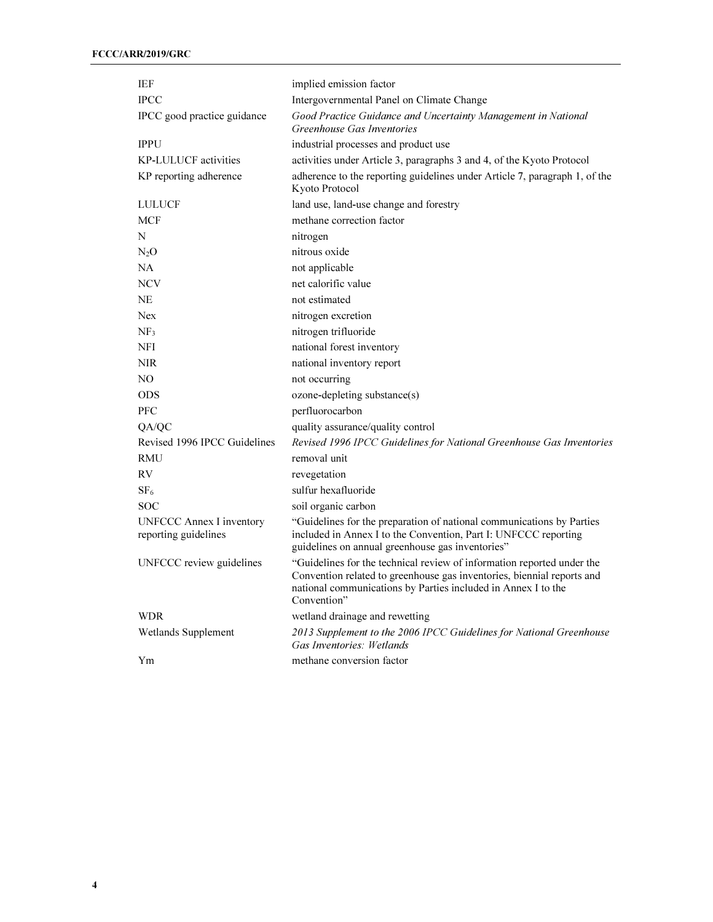| IEF                                              | implied emission factor                                                                                                                                                                                                          |
|--------------------------------------------------|----------------------------------------------------------------------------------------------------------------------------------------------------------------------------------------------------------------------------------|
| <b>IPCC</b>                                      | Intergovernmental Panel on Climate Change                                                                                                                                                                                        |
| IPCC good practice guidance                      | Good Practice Guidance and Uncertainty Management in National<br>Greenhouse Gas Inventories                                                                                                                                      |
| <b>IPPU</b>                                      | industrial processes and product use                                                                                                                                                                                             |
| <b>KP-LULUCF</b> activities                      | activities under Article 3, paragraphs 3 and 4, of the Kyoto Protocol                                                                                                                                                            |
| KP reporting adherence                           | adherence to the reporting guidelines under Article 7, paragraph 1, of the<br>Kyoto Protocol                                                                                                                                     |
| <b>LULUCF</b>                                    | land use, land-use change and forestry                                                                                                                                                                                           |
| <b>MCF</b>                                       | methane correction factor                                                                                                                                                                                                        |
| N                                                | nitrogen                                                                                                                                                                                                                         |
| N <sub>2</sub> O                                 | nitrous oxide                                                                                                                                                                                                                    |
| NA                                               | not applicable                                                                                                                                                                                                                   |
| <b>NCV</b>                                       | net calorific value                                                                                                                                                                                                              |
| NE                                               | not estimated                                                                                                                                                                                                                    |
| <b>Nex</b>                                       | nitrogen excretion                                                                                                                                                                                                               |
| NF <sub>3</sub>                                  | nitrogen trifluoride                                                                                                                                                                                                             |
| <b>NFI</b>                                       | national forest inventory                                                                                                                                                                                                        |
| <b>NIR</b>                                       | national inventory report                                                                                                                                                                                                        |
| NO.                                              | not occurring                                                                                                                                                                                                                    |
| <b>ODS</b>                                       | ozone-depleting substance(s)                                                                                                                                                                                                     |
| <b>PFC</b>                                       | perfluorocarbon                                                                                                                                                                                                                  |
| QA/QC                                            | quality assurance/quality control                                                                                                                                                                                                |
| Revised 1996 IPCC Guidelines                     | Revised 1996 IPCC Guidelines for National Greenhouse Gas Inventories                                                                                                                                                             |
| <b>RMU</b>                                       | removal unit                                                                                                                                                                                                                     |
| RV                                               | revegetation                                                                                                                                                                                                                     |
| SF <sub>6</sub>                                  | sulfur hexafluoride                                                                                                                                                                                                              |
| <b>SOC</b>                                       | soil organic carbon                                                                                                                                                                                                              |
| UNFCCC Annex I inventory<br>reporting guidelines | "Guidelines for the preparation of national communications by Parties<br>included in Annex I to the Convention, Part I: UNFCCC reporting<br>guidelines on annual greenhouse gas inventories"                                     |
| UNFCCC review guidelines                         | "Guidelines for the technical review of information reported under the<br>Convention related to greenhouse gas inventories, biennial reports and<br>national communications by Parties included in Annex I to the<br>Convention" |
| <b>WDR</b>                                       | wetland drainage and rewetting                                                                                                                                                                                                   |
| Wetlands Supplement                              | 2013 Supplement to the 2006 IPCC Guidelines for National Greenhouse<br>Gas Inventories: Wetlands                                                                                                                                 |
| Υm                                               | methane conversion factor                                                                                                                                                                                                        |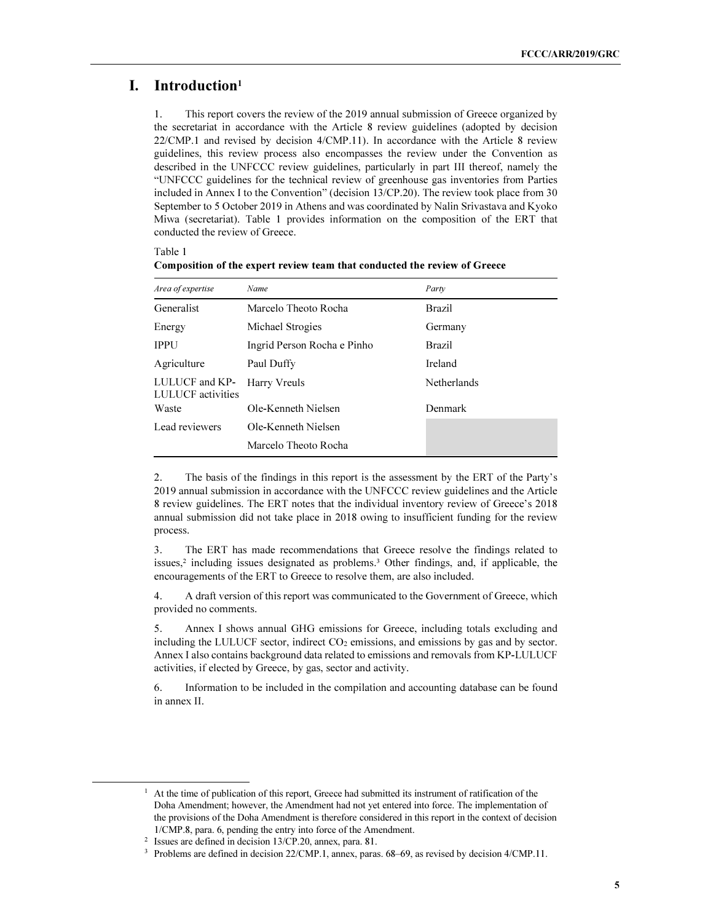### I. Introduction<sup>1</sup>

Table 1

1. This report covers the review of the 2019 annual submission of Greece organized by the secretariat in accordance with the Article 8 review guidelines (adopted by decision 22/CMP.1 and revised by decision 4/CMP.11). In accordance with the Article 8 review guidelines, this review process also encompasses the review under the Convention as described in the UNFCCC review guidelines, particularly in part III thereof, namely the "UNFCCC guidelines for the technical review of greenhouse gas inventories from Parties included in Annex I to the Convention" (decision 13/CP.20). The review took place from 30 September to 5 October 2019 in Athens and was coordinated by Nalin Srivastava and Kyoko Miwa (secretariat). Table 1 provides information on the composition of the ERT that conducted the review of Greece.

| Area of expertise                          | Name                        | Party         |
|--------------------------------------------|-----------------------------|---------------|
| Generalist                                 | Marcelo Theoto Rocha        | <b>Brazil</b> |
| Energy                                     | Michael Strogies            | Germany       |
| <b>IPPU</b>                                | Ingrid Person Rocha e Pinho | <b>Brazil</b> |
| Agriculture                                | Paul Duffy                  | Ireland       |
| LULUCF and KP-<br><b>LULUCF</b> activities | Harry Vreuls                | Netherlands   |
| Waste                                      | Ole-Kenneth Nielsen         | Denmark       |
| Lead reviewers                             | Ole-Kenneth Nielsen         |               |
|                                            | Marcelo Theoto Rocha        |               |

Composition of the expert review team that conducted the review of Greece

2. The basis of the findings in this report is the assessment by the ERT of the Party's 2019 annual submission in accordance with the UNFCCC review guidelines and the Article 8 review guidelines. The ERT notes that the individual inventory review of Greece's 2018 annual submission did not take place in 2018 owing to insufficient funding for the review process.

3. The ERT has made recommendations that Greece resolve the findings related to issues,<sup>2</sup> including issues designated as problems.<sup>3</sup> Other findings, and, if applicable, the encouragements of the ERT to Greece to resolve them, are also included.

4. A draft version of this report was communicated to the Government of Greece, which provided no comments.

5. Annex I shows annual GHG emissions for Greece, including totals excluding and including the LULUCF sector, indirect  $CO<sub>2</sub>$  emissions, and emissions by gas and by sector. Annex I also contains background data related to emissions and removals from KP-LULUCF activities, if elected by Greece, by gas, sector and activity.

6. Information to be included in the compilation and accounting database can be found in annex II.

 $\overline{a}$ 

<sup>&</sup>lt;sup>1</sup> At the time of publication of this report, Greece had submitted its instrument of ratification of the Doha Amendment; however, the Amendment had not yet entered into force. The implementation of the provisions of the Doha Amendment is therefore considered in this report in the context of decision 1/CMP.8, para. 6, pending the entry into force of the Amendment.

<sup>2</sup> Issues are defined in decision 13/CP.20, annex, para. 81.

<sup>&</sup>lt;sup>3</sup> Problems are defined in decision 22/CMP.1, annex, paras. 68–69, as revised by decision 4/CMP.11.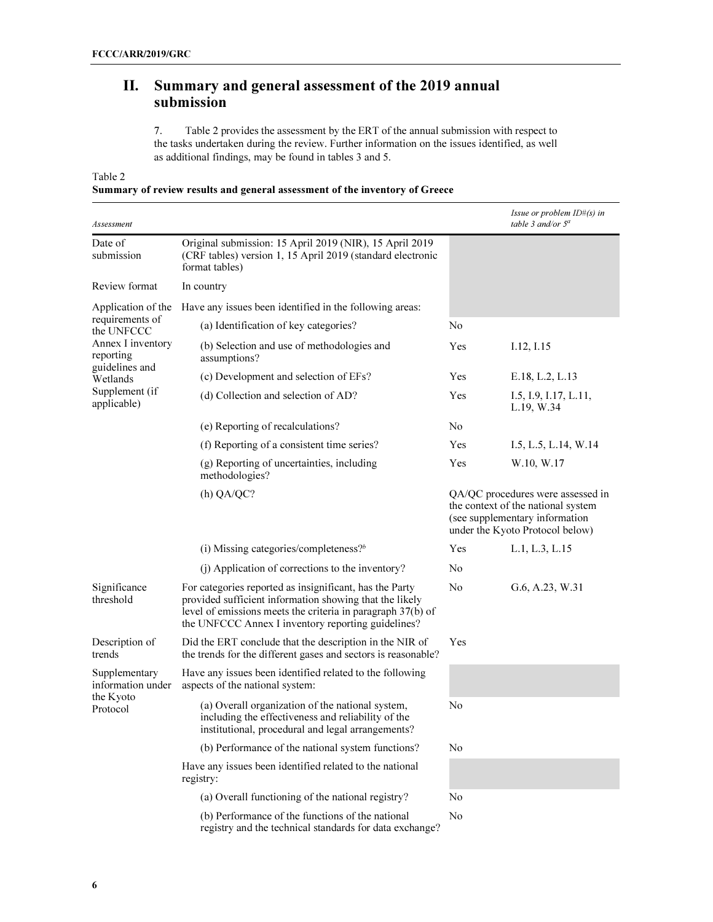# II. Summary and general assessment of the 2019 annual submission

7. Table 2 provides the assessment by the ERT of the annual submission with respect to the tasks undertaken during the review. Further information on the issues identified, as well as additional findings, may be found in tables 3 and 5.

Table 2

### Summary of review results and general assessment of the inventory of Greece

| Assessment                         |                                                                                                                                                                                                                                         |                | Issue or problem ID#(s) in<br>table 3 and/or 5 <sup>a</sup>                                                                                  |
|------------------------------------|-----------------------------------------------------------------------------------------------------------------------------------------------------------------------------------------------------------------------------------------|----------------|----------------------------------------------------------------------------------------------------------------------------------------------|
| Date of<br>submission              | Original submission: 15 April 2019 (NIR), 15 April 2019<br>(CRF tables) version 1, 15 April 2019 (standard electronic<br>format tables)                                                                                                 |                |                                                                                                                                              |
| Review format                      | In country                                                                                                                                                                                                                              |                |                                                                                                                                              |
| Application of the                 | Have any issues been identified in the following areas:                                                                                                                                                                                 |                |                                                                                                                                              |
| requirements of<br>the UNFCCC      | (a) Identification of key categories?                                                                                                                                                                                                   | No             |                                                                                                                                              |
| Annex I inventory<br>reporting     | (b) Selection and use of methodologies and<br>assumptions?                                                                                                                                                                              | Yes            | I.12, I.15                                                                                                                                   |
| guidelines and<br>Wetlands         | (c) Development and selection of EFs?                                                                                                                                                                                                   | Yes            | E.18, L.2, L.13                                                                                                                              |
| Supplement (if<br>applicable)      | (d) Collection and selection of AD?                                                                                                                                                                                                     | Yes            | I.5, I.9, I.17, L.11,<br>L.19, W.34                                                                                                          |
|                                    | (e) Reporting of recalculations?                                                                                                                                                                                                        | N <sub>0</sub> |                                                                                                                                              |
|                                    | (f) Reporting of a consistent time series?                                                                                                                                                                                              | Yes            | I.5, L.5, L.14, W.14                                                                                                                         |
|                                    | (g) Reporting of uncertainties, including<br>methodologies?                                                                                                                                                                             | Yes            | W.10, W.17                                                                                                                                   |
|                                    | (h) QA/QC?                                                                                                                                                                                                                              |                | QA/QC procedures were assessed in<br>the context of the national system<br>(see supplementary information<br>under the Kyoto Protocol below) |
|                                    | (i) Missing categories/completeness? $b$                                                                                                                                                                                                | Yes            | L.1, L.3, L.15                                                                                                                               |
|                                    | (j) Application of corrections to the inventory?                                                                                                                                                                                        | N <sub>0</sub> |                                                                                                                                              |
| Significance<br>threshold          | For categories reported as insignificant, has the Party<br>provided sufficient information showing that the likely<br>level of emissions meets the criteria in paragraph 37(b) of<br>the UNFCCC Annex I inventory reporting guidelines? | N <sub>0</sub> | G.6, A.23, W.31                                                                                                                              |
| Description of<br>trends           | Did the ERT conclude that the description in the NIR of<br>the trends for the different gases and sectors is reasonable?                                                                                                                | Yes            |                                                                                                                                              |
| Supplementary<br>information under | Have any issues been identified related to the following<br>aspects of the national system:                                                                                                                                             |                |                                                                                                                                              |
| the Kyoto<br>Protocol              | (a) Overall organization of the national system,<br>including the effectiveness and reliability of the<br>institutional, procedural and legal arrangements?                                                                             | No             |                                                                                                                                              |
|                                    | (b) Performance of the national system functions?                                                                                                                                                                                       | No             |                                                                                                                                              |
|                                    | Have any issues been identified related to the national<br>registry:                                                                                                                                                                    |                |                                                                                                                                              |
|                                    | (a) Overall functioning of the national registry?                                                                                                                                                                                       | No             |                                                                                                                                              |
|                                    | (b) Performance of the functions of the national<br>registry and the technical standards for data exchange?                                                                                                                             | No             |                                                                                                                                              |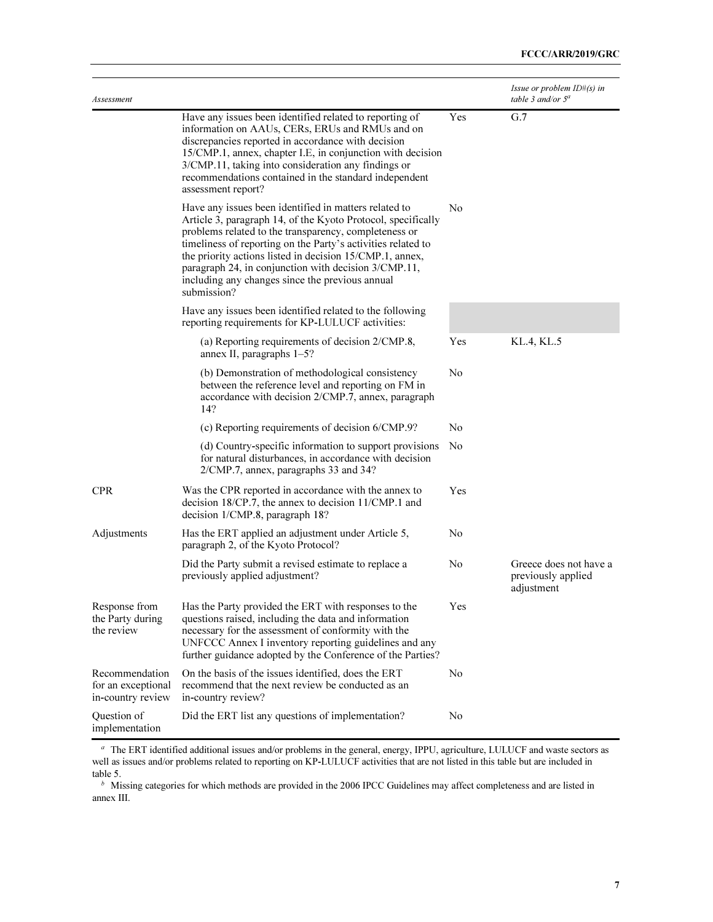| Assessment                                                |                                                                                                                                                                                                                                                                                                                                                                                                                                      |                | <i>Issue or problem <math>ID#(s)</math> in</i><br>table 3 and/or $5^a$ |
|-----------------------------------------------------------|--------------------------------------------------------------------------------------------------------------------------------------------------------------------------------------------------------------------------------------------------------------------------------------------------------------------------------------------------------------------------------------------------------------------------------------|----------------|------------------------------------------------------------------------|
|                                                           | Have any issues been identified related to reporting of<br>information on AAUs, CERs, ERUs and RMUs and on<br>discrepancies reported in accordance with decision<br>15/CMP.1, annex, chapter I.E, in conjunction with decision<br>3/CMP.11, taking into consideration any findings or<br>recommendations contained in the standard independent<br>assessment report?                                                                 | Yes            | G.7                                                                    |
|                                                           | Have any issues been identified in matters related to<br>Article 3, paragraph 14, of the Kyoto Protocol, specifically<br>problems related to the transparency, completeness or<br>timeliness of reporting on the Party's activities related to<br>the priority actions listed in decision 15/CMP.1, annex,<br>paragraph 24, in conjunction with decision 3/CMP.11,<br>including any changes since the previous annual<br>submission? | No             |                                                                        |
|                                                           | Have any issues been identified related to the following<br>reporting requirements for KP-LULUCF activities:                                                                                                                                                                                                                                                                                                                         |                |                                                                        |
|                                                           | (a) Reporting requirements of decision 2/CMP.8,<br>annex II, paragraphs 1-5?                                                                                                                                                                                                                                                                                                                                                         | Yes            | KL.4, KL.5                                                             |
|                                                           | (b) Demonstration of methodological consistency<br>between the reference level and reporting on FM in<br>accordance with decision 2/CMP.7, annex, paragraph<br>14?                                                                                                                                                                                                                                                                   | No             |                                                                        |
|                                                           | (c) Reporting requirements of decision 6/CMP.9?                                                                                                                                                                                                                                                                                                                                                                                      | N <sub>0</sub> |                                                                        |
|                                                           | (d) Country-specific information to support provisions<br>for natural disturbances, in accordance with decision<br>2/CMP.7, annex, paragraphs 33 and 34?                                                                                                                                                                                                                                                                             | No             |                                                                        |
| <b>CPR</b>                                                | Was the CPR reported in accordance with the annex to<br>decision 18/CP.7, the annex to decision 11/CMP.1 and<br>decision 1/CMP.8, paragraph 18?                                                                                                                                                                                                                                                                                      | Yes            |                                                                        |
| Adjustments                                               | Has the ERT applied an adjustment under Article 5,<br>paragraph 2, of the Kyoto Protocol?                                                                                                                                                                                                                                                                                                                                            | No             |                                                                        |
|                                                           | Did the Party submit a revised estimate to replace a<br>previously applied adjustment?                                                                                                                                                                                                                                                                                                                                               | No             | Greece does not have a<br>previously applied<br>adjustment             |
| Response from<br>the Party during<br>the review           | Has the Party provided the ERT with responses to the<br>questions raised, including the data and information<br>necessary for the assessment of conformity with the<br>UNFCCC Annex I inventory reporting guidelines and any<br>further guidance adopted by the Conference of the Parties?                                                                                                                                           | Yes            |                                                                        |
| Recommendation<br>for an exceptional<br>in-country review | On the basis of the issues identified, does the ERT<br>recommend that the next review be conducted as an<br>in-country review?                                                                                                                                                                                                                                                                                                       | No             |                                                                        |
| Question of<br>implementation                             | Did the ERT list any questions of implementation?                                                                                                                                                                                                                                                                                                                                                                                    | No             |                                                                        |

<sup>a</sup> The ERT identified additional issues and/or problems in the general, energy, IPPU, agriculture, LULUCF and waste sectors as well as issues and/or problems related to reporting on KP-LULUCF activities that are not listed in this table but are included in table 5.

 $b$  Missing categories for which methods are provided in the 2006 IPCC Guidelines may affect completeness and are listed in annex III.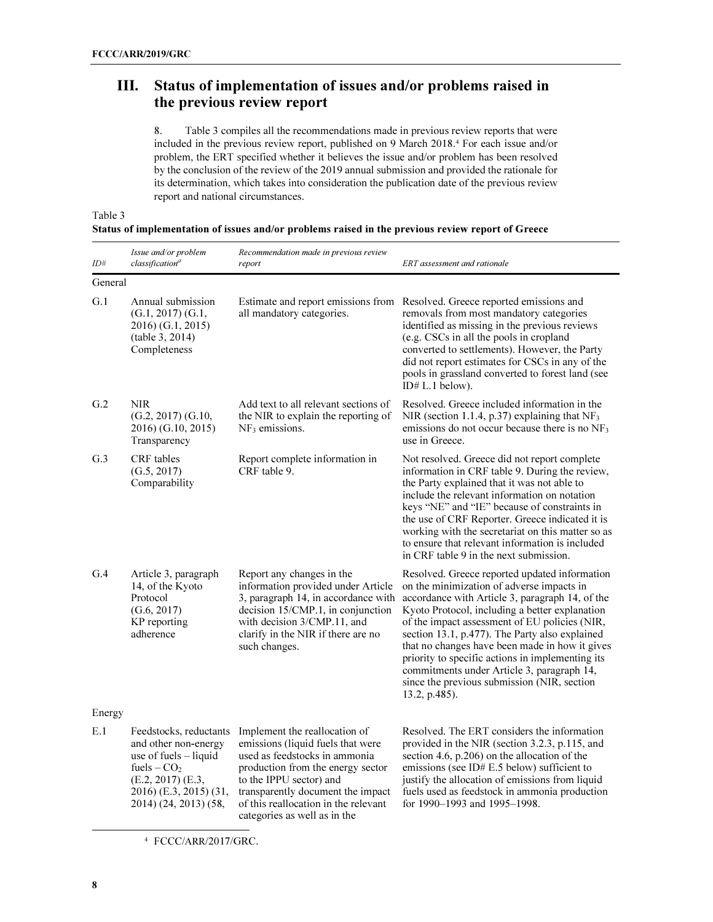# III. Status of implementation of issues and/or problems raised in the previous review report

8. Table 3 compiles all the recommendations made in previous review reports that were included in the previous review report, published on 9 March 2018.<sup>4</sup> For each issue and/or problem, the ERT specified whether it believes the issue and/or problem has been resolved by the conclusion of the review of the 2019 annual submission and provided the rationale for its determination, which takes into consideration the publication date of the previous review report and national circumstances.

Status of implementation of issues and/or problems raised in the previous review report of Greece

| ID#     | Issue and/or problem<br>classification <sup>a</sup>                                                                                                                              | Recommendation made in previous review<br>report                                                                                                                                                                                                                                 | ERT assessment and rationale                                                                                                                                                                                                                                                                                                                                                                                                                                                                                           |
|---------|----------------------------------------------------------------------------------------------------------------------------------------------------------------------------------|----------------------------------------------------------------------------------------------------------------------------------------------------------------------------------------------------------------------------------------------------------------------------------|------------------------------------------------------------------------------------------------------------------------------------------------------------------------------------------------------------------------------------------------------------------------------------------------------------------------------------------------------------------------------------------------------------------------------------------------------------------------------------------------------------------------|
| General |                                                                                                                                                                                  |                                                                                                                                                                                                                                                                                  |                                                                                                                                                                                                                                                                                                                                                                                                                                                                                                                        |
| G.1     | Annual submission<br>$(G.1, 2017)$ $(G.1, 2017)$<br>2016) (G.1, 2015)<br>(table 3, 2014)<br>Completeness                                                                         | Estimate and report emissions from<br>all mandatory categories.                                                                                                                                                                                                                  | Resolved. Greece reported emissions and<br>removals from most mandatory categories<br>identified as missing in the previous reviews<br>(e.g. CSCs in all the pools in cropland<br>converted to settlements). However, the Party<br>did not report estimates for CSCs in any of the<br>pools in grassland converted to forest land (see<br>ID# $L.1$ below).                                                                                                                                                            |
| G.2     | <b>NIR</b><br>$(G.2, 2017)$ $(G.10,$<br>2016) (G.10, 2015)<br>Transparency                                                                                                       | Add text to all relevant sections of<br>the NIR to explain the reporting of<br>$NF3$ emissions.                                                                                                                                                                                  | Resolved. Greece included information in the<br>NIR (section 1.1.4, p.37) explaining that NF <sub>3</sub><br>emissions do not occur because there is no $NF3$<br>use in Greece.                                                                                                                                                                                                                                                                                                                                        |
| G.3     | CRF tables<br>(G.5, 2017)<br>Comparability                                                                                                                                       | Report complete information in<br>CRF table 9.                                                                                                                                                                                                                                   | Not resolved. Greece did not report complete<br>information in CRF table 9. During the review,<br>the Party explained that it was not able to<br>include the relevant information on notation<br>keys "NE" and "IE" because of constraints in<br>the use of CRF Reporter. Greece indicated it is<br>working with the secretariat on this matter so as<br>to ensure that relevant information is included<br>in CRF table 9 in the next submission.                                                                     |
| G.4     | Article 3, paragraph<br>14, of the Kyoto<br>Protocol<br>(G.6, 2017)<br>KP reporting<br>adherence                                                                                 | Report any changes in the<br>information provided under Article<br>3, paragraph 14, in accordance with<br>decision 15/CMP.1, in conjunction<br>with decision 3/CMP.11, and<br>clarify in the NIR if there are no<br>such changes.                                                | Resolved. Greece reported updated information<br>on the minimization of adverse impacts in<br>accordance with Article 3, paragraph 14, of the<br>Kyoto Protocol, including a better explanation<br>of the impact assessment of EU policies (NIR,<br>section 13.1, p.477). The Party also explained<br>that no changes have been made in how it gives<br>priority to specific actions in implementing its<br>commitments under Article 3, paragraph 14,<br>since the previous submission (NIR, section<br>13.2, p.485). |
| Energy  |                                                                                                                                                                                  |                                                                                                                                                                                                                                                                                  |                                                                                                                                                                                                                                                                                                                                                                                                                                                                                                                        |
| E.1     | Feedstocks, reductants<br>and other non-energy<br>use of fuels - liquid<br>fuels $-$ CO <sub>2</sub><br>$(E.2, 2017)$ $(E.3,$<br>2016) (E.3, 2015) (31,<br>2014) (24, 2013) (58, | Implement the reallocation of<br>emissions (liquid fuels that were<br>used as feedstocks in ammonia<br>production from the energy sector<br>to the IPPU sector) and<br>transparently document the impact<br>of this reallocation in the relevant<br>categories as well as in the | Resolved. The ERT considers the information<br>provided in the NIR (section 3.2.3, p.115, and<br>section 4.6, p.206) on the allocation of the<br>emissions (see ID# $E.5$ below) sufficient to<br>justify the allocation of emissions from liquid<br>fuels used as feedstock in ammonia production<br>for 1990–1993 and 1995–1998.                                                                                                                                                                                     |

<sup>4</sup> FCCC/ARR/2017/GRC.

 $\overline{a}$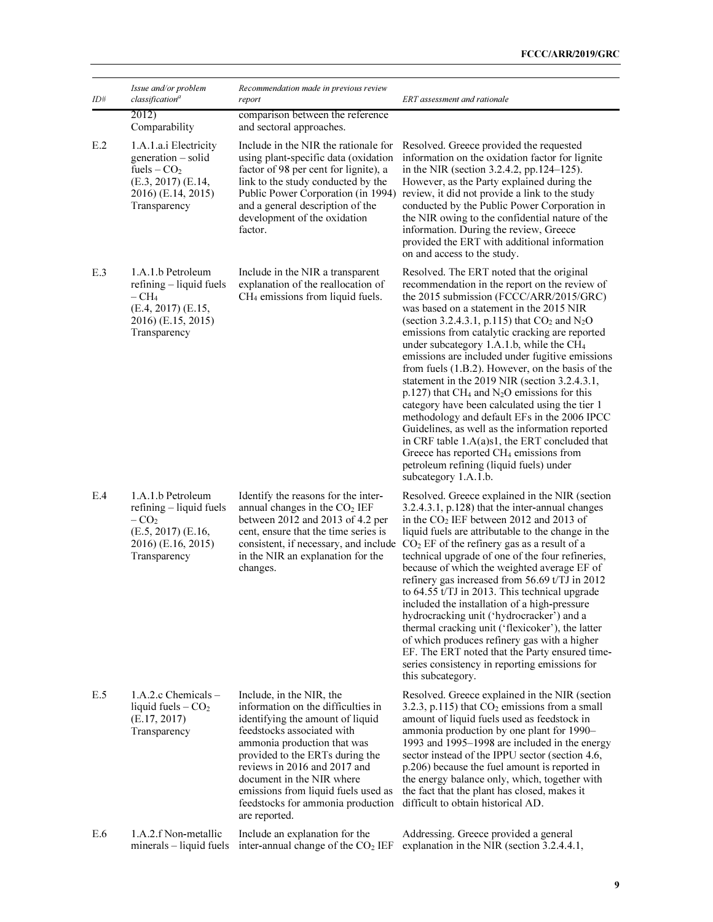| $I\!D\#$ | Issue and/or problem<br>classification <sup>a</sup>                                                                                      | Recommendation made in previous review<br>report                                                                                                                                                                                                                                                                                                             | ERT assessment and rationale                                                                                                                                                                                                                                                                                                                                                                                                                                                                                                                                                                                                                                                                                                                                                                                                                                                                                    |
|----------|------------------------------------------------------------------------------------------------------------------------------------------|--------------------------------------------------------------------------------------------------------------------------------------------------------------------------------------------------------------------------------------------------------------------------------------------------------------------------------------------------------------|-----------------------------------------------------------------------------------------------------------------------------------------------------------------------------------------------------------------------------------------------------------------------------------------------------------------------------------------------------------------------------------------------------------------------------------------------------------------------------------------------------------------------------------------------------------------------------------------------------------------------------------------------------------------------------------------------------------------------------------------------------------------------------------------------------------------------------------------------------------------------------------------------------------------|
|          | 2012)<br>Comparability                                                                                                                   | comparison between the reference<br>and sectoral approaches.                                                                                                                                                                                                                                                                                                 |                                                                                                                                                                                                                                                                                                                                                                                                                                                                                                                                                                                                                                                                                                                                                                                                                                                                                                                 |
| E.2      | 1.A.1.a.i Electricity<br>generation – solid<br>fuels $-$ CO <sub>2</sub><br>$(E.3, 2017)$ $(E.14,$<br>2016) (E.14, 2015)<br>Transparency | Include in the NIR the rationale for<br>using plant-specific data (oxidation<br>factor of 98 per cent for lignite), a<br>link to the study conducted by the<br>Public Power Corporation (in 1994)<br>and a general description of the<br>development of the oxidation<br>factor.                                                                             | Resolved. Greece provided the requested<br>information on the oxidation factor for lignite<br>in the NIR (section 3.2.4.2, pp.124-125).<br>However, as the Party explained during the<br>review, it did not provide a link to the study<br>conducted by the Public Power Corporation in<br>the NIR owing to the confidential nature of the<br>information. During the review, Greece<br>provided the ERT with additional information<br>on and access to the study.                                                                                                                                                                                                                                                                                                                                                                                                                                             |
| E.3      | 1.A.1.b Petroleum<br>refining - liquid fuels<br>$-{\rm CH}_{4}$<br>(E.4, 2017) (E.15,<br>2016) (E.15, 2015)<br>Transparency              | Include in the NIR a transparent<br>explanation of the reallocation of<br>CH <sub>4</sub> emissions from liquid fuels.                                                                                                                                                                                                                                       | Resolved. The ERT noted that the original<br>recommendation in the report on the review of<br>the 2015 submission (FCCC/ARR/2015/GRC)<br>was based on a statement in the 2015 NIR<br>(section 3.2.4.3.1, p.115) that $CO2$ and $N2O$<br>emissions from catalytic cracking are reported<br>under subcategory 1.A.1.b, while the CH <sub>4</sub><br>emissions are included under fugitive emissions<br>from fuels (1.B.2). However, on the basis of the<br>statement in the 2019 NIR (section 3.2.4.3.1,<br>$p.127$ ) that CH <sub>4</sub> and N <sub>2</sub> O emissions for this<br>category have been calculated using the tier 1<br>methodology and default EFs in the 2006 IPCC<br>Guidelines, as well as the information reported<br>in CRF table 1.A(a)s1, the ERT concluded that<br>Greece has reported CH <sub>4</sub> emissions from<br>petroleum refining (liquid fuels) under<br>subcategory 1.A.1.b. |
| E.4      | 1.A.1.b Petroleum<br>$refining - liquid$ fuels<br>$-CO2$<br>$(E.5, 2017)$ $(E.16, 101)$<br>2016) (E.16, 2015)<br>Transparency            | Identify the reasons for the inter-<br>annual changes in the CO <sub>2</sub> IEF<br>between 2012 and 2013 of 4.2 per<br>cent, ensure that the time series is<br>consistent, if necessary, and include<br>in the NIR an explanation for the<br>changes.                                                                                                       | Resolved. Greece explained in the NIR (section<br>3.2.4.3.1, p.128) that the inter-annual changes<br>in the CO <sub>2</sub> IEF between 2012 and 2013 of<br>liquid fuels are attributable to the change in the<br>$CO2$ EF of the refinery gas as a result of a<br>technical upgrade of one of the four refineries,<br>because of which the weighted average EF of<br>refinery gas increased from 56.69 t/TJ in 2012<br>to 64.55 t/TJ in 2013. This technical upgrade<br>included the installation of a high-pressure<br>hydrocracking unit ('hydrocracker') and a<br>thermal cracking unit ('flexicoker'), the latter<br>of which produces refinery gas with a higher<br>EF. The ERT noted that the Party ensured time-<br>series consistency in reporting emissions for<br>this subcategory.                                                                                                                  |
| E.5      | $1.A.2.c$ Chemicals $-$<br>liquid fuels $-CO2$<br>(E.17, 2017)<br>Transparency                                                           | Include, in the NIR, the<br>information on the difficulties in<br>identifying the amount of liquid<br>feedstocks associated with<br>ammonia production that was<br>provided to the ERTs during the<br>reviews in 2016 and 2017 and<br>document in the NIR where<br>emissions from liquid fuels used as<br>feedstocks for ammonia production<br>are reported. | Resolved. Greece explained in the NIR (section<br>3.2.3, p.115) that $CO2$ emissions from a small<br>amount of liquid fuels used as feedstock in<br>ammonia production by one plant for 1990-<br>1993 and 1995-1998 are included in the energy<br>sector instead of the IPPU sector (section 4.6,<br>p.206) because the fuel amount is reported in<br>the energy balance only, which, together with<br>the fact that the plant has closed, makes it<br>difficult to obtain historical AD.                                                                                                                                                                                                                                                                                                                                                                                                                       |
| E.6      | 1.A.2.f Non-metallic<br>minerals - liquid fuels                                                                                          | Include an explanation for the<br>inter-annual change of the CO <sub>2</sub> IEF                                                                                                                                                                                                                                                                             | Addressing. Greece provided a general<br>explanation in the NIR (section 3.2.4.4.1,                                                                                                                                                                                                                                                                                                                                                                                                                                                                                                                                                                                                                                                                                                                                                                                                                             |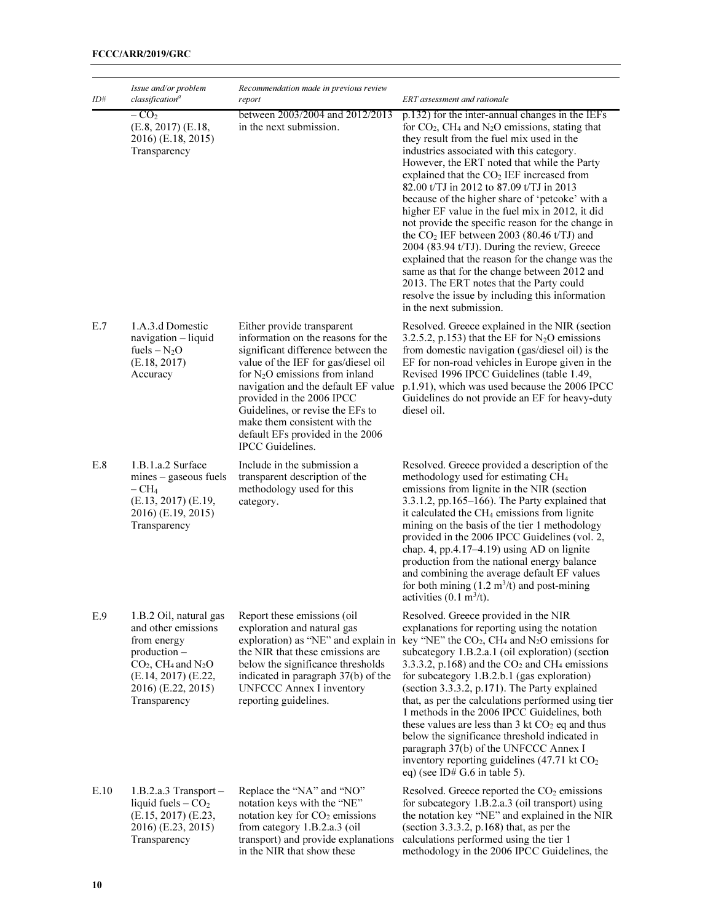| ID#  | Issue and/or problem<br>classification <sup>a</sup>                                                                                                                                         | Recommendation made in previous review<br>report                                                                                                                                                                                                                                                                                                                                          | ERT assessment and rationale                                                                                                                                                                                                                                                                                                                                                                                                                                                                                                                                                                                                                                                                                                                                                                                                                                      |
|------|---------------------------------------------------------------------------------------------------------------------------------------------------------------------------------------------|-------------------------------------------------------------------------------------------------------------------------------------------------------------------------------------------------------------------------------------------------------------------------------------------------------------------------------------------------------------------------------------------|-------------------------------------------------------------------------------------------------------------------------------------------------------------------------------------------------------------------------------------------------------------------------------------------------------------------------------------------------------------------------------------------------------------------------------------------------------------------------------------------------------------------------------------------------------------------------------------------------------------------------------------------------------------------------------------------------------------------------------------------------------------------------------------------------------------------------------------------------------------------|
|      | $-CO2$<br>$(E.8, 2017)$ $(E.18, 2017)$<br>2016) (E.18, 2015)<br>Transparency                                                                                                                | between 2003/2004 and 2012/2013<br>in the next submission.                                                                                                                                                                                                                                                                                                                                | p.132) for the inter-annual changes in the IEFs<br>for $CO2$ , CH <sub>4</sub> and N <sub>2</sub> O emissions, stating that<br>they result from the fuel mix used in the<br>industries associated with this category.<br>However, the ERT noted that while the Party<br>explained that the CO <sub>2</sub> IEF increased from<br>82.00 t/TJ in 2012 to 87.09 t/TJ in 2013<br>because of the higher share of 'petcoke' with a<br>higher EF value in the fuel mix in 2012, it did<br>not provide the specific reason for the change in<br>the $CO2 IEF$ between 2003 (80.46 t/TJ) and<br>2004 (83.94 t/TJ). During the review, Greece<br>explained that the reason for the change was the<br>same as that for the change between 2012 and<br>2013. The ERT notes that the Party could<br>resolve the issue by including this information<br>in the next submission. |
| E.7  | 1.A.3.d Domestic<br>navigation - liquid<br>fuels $-N_2O$<br>(E.18, 2017)<br>Accuracy                                                                                                        | Either provide transparent<br>information on the reasons for the<br>significant difference between the<br>value of the IEF for gas/diesel oil<br>for $N_2O$ emissions from inland<br>navigation and the default EF value<br>provided in the 2006 IPCC<br>Guidelines, or revise the EFs to<br>make them consistent with the<br>default EFs provided in the 2006<br><b>IPCC</b> Guidelines. | Resolved. Greece explained in the NIR (section<br>3.2.5.2, p.153) that the EF for $N_2O$ emissions<br>from domestic navigation (gas/diesel oil) is the<br>EF for non-road vehicles in Europe given in the<br>Revised 1996 IPCC Guidelines (table 1.49,<br>p.1.91), which was used because the 2006 IPCC<br>Guidelines do not provide an EF for heavy-duty<br>diesel oil.                                                                                                                                                                                                                                                                                                                                                                                                                                                                                          |
| E.8  | 1.B.1.a.2 Surface<br>$mines - gaseous$ fuels<br>$-CH4$<br>(E.13, 2017) (E.19,<br>2016) (E.19, 2015)<br>Transparency                                                                         | Include in the submission a<br>transparent description of the<br>methodology used for this<br>category.                                                                                                                                                                                                                                                                                   | Resolved. Greece provided a description of the<br>methodology used for estimating CH <sub>4</sub><br>emissions from lignite in the NIR (section<br>$3.3.1.2$ , pp.165–166). The Party explained that<br>it calculated the CH <sub>4</sub> emissions from lignite<br>mining on the basis of the tier 1 methodology<br>provided in the 2006 IPCC Guidelines (vol. 2,<br>chap. 4, pp.4.17-4.19) using AD on lignite<br>production from the national energy balance<br>and combining the average default EF values<br>for both mining $(1.2 \text{ m}^3/t)$ and post-mining<br>activities $(0.1 \text{ m}^3/t)$ .                                                                                                                                                                                                                                                     |
| E.9  | 1.B.2 Oil, natural gas<br>and other emissions<br>from energy<br>$production -$<br>$CO2$ , CH <sub>4</sub> and N <sub>2</sub> O<br>(E.14, 2017) (E.22,<br>2016) (E.22, 2015)<br>Transparency | Report these emissions (oil<br>exploration and natural gas<br>exploration) as "NE" and explain in<br>the NIR that these emissions are<br>below the significance thresholds<br>indicated in paragraph 37(b) of the<br><b>UNFCCC Annex I inventory</b><br>reporting guidelines.                                                                                                             | Resolved. Greece provided in the NIR<br>explanations for reporting using the notation<br>key "NE" the $CO2$ , CH <sub>4</sub> and N <sub>2</sub> O emissions for<br>subcategory 1.B.2.a.1 (oil exploration) (section<br>3.3.3.2, p.168) and the $CO2$ and CH <sub>4</sub> emissions<br>for subcategory 1.B.2.b.1 (gas exploration)<br>(section 3.3.3.2, p.171). The Party explained<br>that, as per the calculations performed using tier<br>1 methods in the 2006 IPCC Guidelines, both<br>these values are less than 3 kt $CO2$ eq and thus<br>below the significance threshold indicated in<br>paragraph 37(b) of the UNFCCC Annex I<br>inventory reporting guidelines (47.71 kt CO <sub>2</sub><br>eq) (see ID# G.6 in table 5).                                                                                                                              |
| E.10 | $1.B.2.a.3$ Transport $-$<br>liquid fuels $-CO2$<br>(E.15, 2017) (E.23,<br>2016) (E.23, 2015)<br>Transparency                                                                               | Replace the "NA" and "NO"<br>notation keys with the "NE"<br>notation key for CO <sub>2</sub> emissions<br>from category 1.B.2.a.3 (oil<br>transport) and provide explanations<br>in the NIR that show these                                                                                                                                                                               | Resolved. Greece reported the CO <sub>2</sub> emissions<br>for subcategory 1.B.2.a.3 (oil transport) using<br>the notation key "NE" and explained in the NIR<br>(section 3.3.3.2, $p.168$ ) that, as per the<br>calculations performed using the tier 1<br>methodology in the 2006 IPCC Guidelines, the                                                                                                                                                                                                                                                                                                                                                                                                                                                                                                                                                           |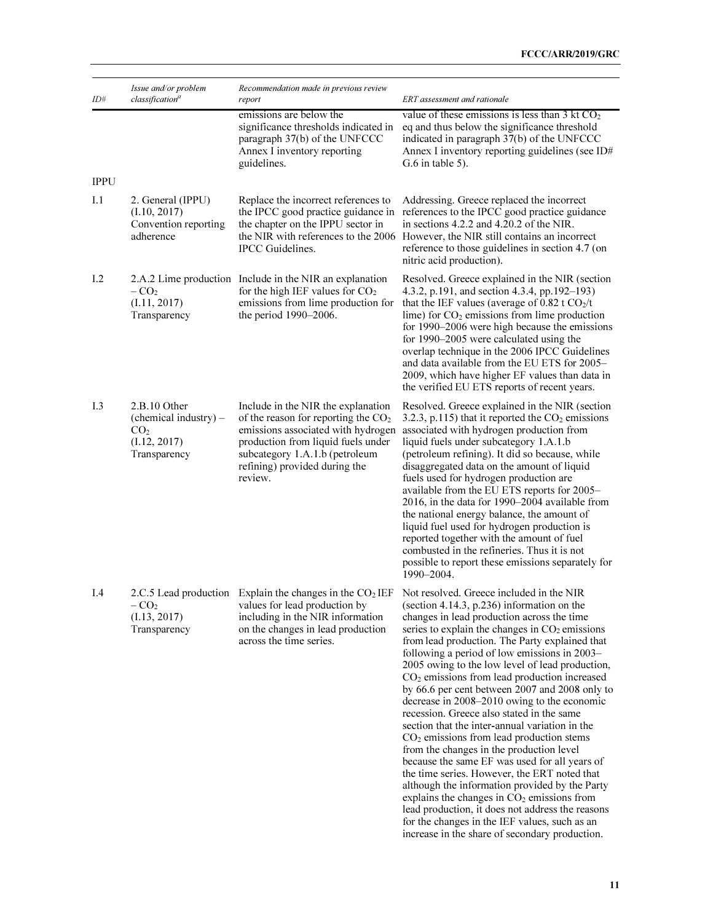| ID#         | Issue and/or problem<br>classification <sup>a</sup>                                      | Recommendation made in previous review<br>report                                                                                                                                                                                      | ERT assessment and rationale                                                                                                                                                                                                                                                                                                                                                                                                                                                                                                                                                                                                                                                                                                                                                                                                                                                                                                                                                                                                                                                                                   |
|-------------|------------------------------------------------------------------------------------------|---------------------------------------------------------------------------------------------------------------------------------------------------------------------------------------------------------------------------------------|----------------------------------------------------------------------------------------------------------------------------------------------------------------------------------------------------------------------------------------------------------------------------------------------------------------------------------------------------------------------------------------------------------------------------------------------------------------------------------------------------------------------------------------------------------------------------------------------------------------------------------------------------------------------------------------------------------------------------------------------------------------------------------------------------------------------------------------------------------------------------------------------------------------------------------------------------------------------------------------------------------------------------------------------------------------------------------------------------------------|
|             |                                                                                          | emissions are below the<br>significance thresholds indicated in<br>paragraph 37(b) of the UNFCCC<br>Annex I inventory reporting<br>guidelines.                                                                                        | value of these emissions is less than 3 kt $CO2$<br>eq and thus below the significance threshold<br>indicated in paragraph 37(b) of the UNFCCC<br>Annex I inventory reporting guidelines (see ID#<br>$G.6$ in table 5).                                                                                                                                                                                                                                                                                                                                                                                                                                                                                                                                                                                                                                                                                                                                                                                                                                                                                        |
| <b>IPPU</b> |                                                                                          |                                                                                                                                                                                                                                       |                                                                                                                                                                                                                                                                                                                                                                                                                                                                                                                                                                                                                                                                                                                                                                                                                                                                                                                                                                                                                                                                                                                |
| I.1         | 2. General (IPPU)<br>(I.10, 2017)<br>Convention reporting<br>adherence                   | Replace the incorrect references to<br>the IPCC good practice guidance in<br>the chapter on the IPPU sector in<br>the NIR with references to the 2006<br>IPCC Guidelines.                                                             | Addressing. Greece replaced the incorrect<br>references to the IPCC good practice guidance<br>in sections 4.2.2 and 4.20.2 of the NIR.<br>However, the NIR still contains an incorrect<br>reference to those guidelines in section 4.7 (on<br>nitric acid production).                                                                                                                                                                                                                                                                                                                                                                                                                                                                                                                                                                                                                                                                                                                                                                                                                                         |
| I.2         | $-CO2$<br>(I.11, 2017)<br>Transparency                                                   | 2.A.2 Lime production Include in the NIR an explanation<br>for the high IEF values for $CO2$<br>emissions from lime production for<br>the period 1990–2006.                                                                           | Resolved. Greece explained in the NIR (section<br>4.3.2, p.191, and section 4.3.4, pp.192–193)<br>that the IEF values (average of 0.82 t $CO2/t$<br>lime) for $CO2$ emissions from lime production<br>for 1990–2006 were high because the emissions<br>for 1990–2005 were calculated using the<br>overlap technique in the 2006 IPCC Guidelines<br>and data available from the EU ETS for 2005-<br>2009, which have higher EF values than data in<br>the verified EU ETS reports of recent years.                                                                                                                                                                                                                                                                                                                                                                                                                                                                                                                                                                                                              |
| I.3         | 2.B.10 Other<br>(chemical industry) –<br>CO <sub>2</sub><br>(I.12, 2017)<br>Transparency | Include in the NIR the explanation<br>of the reason for reporting the $CO2$<br>emissions associated with hydrogen<br>production from liquid fuels under<br>subcategory 1.A.1.b (petroleum<br>refining) provided during the<br>review. | Resolved. Greece explained in the NIR (section<br>3.2.3, p.115) that it reported the $CO2$ emissions<br>associated with hydrogen production from<br>liquid fuels under subcategory 1.A.1.b<br>(petroleum refining). It did so because, while<br>disaggregated data on the amount of liquid<br>fuels used for hydrogen production are<br>available from the EU ETS reports for 2005-<br>2016, in the data for 1990–2004 available from<br>the national energy balance, the amount of<br>liquid fuel used for hydrogen production is<br>reported together with the amount of fuel<br>combusted in the refineries. Thus it is not<br>possible to report these emissions separately for<br>1990–2004.                                                                                                                                                                                                                                                                                                                                                                                                              |
| I.4         | $-CO2$<br>(I.13, 2017)<br>Transparency                                                   | values for lead production by<br>including in the NIR information<br>on the changes in lead production<br>across the time series.                                                                                                     | 2.C.5 Lead production Explain the changes in the $CO2 IEF$ Not resolved. Greece included in the NIR<br>(section 4.14.3, p.236) information on the<br>changes in lead production across the time<br>series to explain the changes in $CO2$ emissions<br>from lead production. The Party explained that<br>following a period of low emissions in 2003–<br>2005 owing to the low level of lead production,<br>$CO2$ emissions from lead production increased<br>by 66.6 per cent between 2007 and 2008 only to<br>decrease in 2008–2010 owing to the economic<br>recession. Greece also stated in the same<br>section that the inter-annual variation in the<br>$CO2$ emissions from lead production stems<br>from the changes in the production level<br>because the same EF was used for all years of<br>the time series. However, the ERT noted that<br>although the information provided by the Party<br>explains the changes in $CO2$ emissions from<br>lead production, it does not address the reasons<br>for the changes in the IEF values, such as an<br>increase in the share of secondary production. |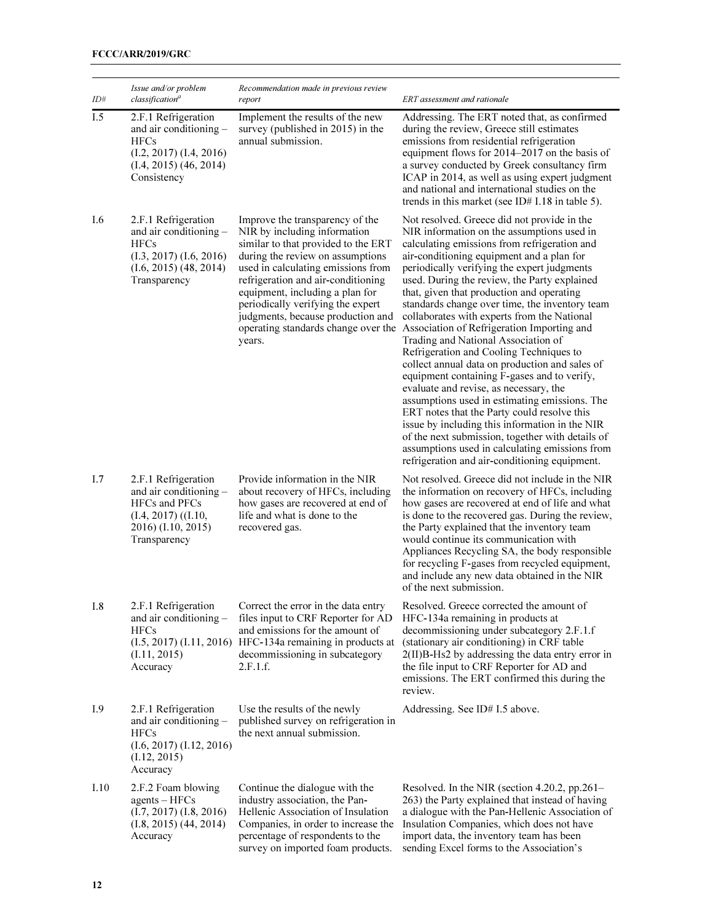| ID#  | Issue and/or problem<br>classification <sup>a</sup>                                                                                       | Recommendation made in previous review<br>report                                                                                                                                                                                                                                                                                                                                     | ERT assessment and rationale                                                                                                                                                                                                                                                                                                                                                                                                                                                                                                                                                                                                                                                                                                                                                                                                                                                                                                                                                                                            |
|------|-------------------------------------------------------------------------------------------------------------------------------------------|--------------------------------------------------------------------------------------------------------------------------------------------------------------------------------------------------------------------------------------------------------------------------------------------------------------------------------------------------------------------------------------|-------------------------------------------------------------------------------------------------------------------------------------------------------------------------------------------------------------------------------------------------------------------------------------------------------------------------------------------------------------------------------------------------------------------------------------------------------------------------------------------------------------------------------------------------------------------------------------------------------------------------------------------------------------------------------------------------------------------------------------------------------------------------------------------------------------------------------------------------------------------------------------------------------------------------------------------------------------------------------------------------------------------------|
| I.5  | 2.F.1 Refrigeration<br>and air conditioning -<br><b>HFCs</b><br>$(I.2, 2017)$ $(I.4, 2016)$<br>$(I.4, 2015)$ $(46, 2014)$<br>Consistency  | Implement the results of the new<br>survey (published in 2015) in the<br>annual submission.                                                                                                                                                                                                                                                                                          | Addressing. The ERT noted that, as confirmed<br>during the review, Greece still estimates<br>emissions from residential refrigeration<br>equipment flows for 2014–2017 on the basis of<br>a survey conducted by Greek consultancy firm<br>ICAP in 2014, as well as using expert judgment<br>and national and international studies on the<br>trends in this market (see ID# I.18 in table 5).                                                                                                                                                                                                                                                                                                                                                                                                                                                                                                                                                                                                                           |
| I.6  | 2.F.1 Refrigeration<br>and air conditioning -<br><b>HFCs</b><br>$(1.3, 2017)$ $(1.6, 2016)$<br>$(1.6, 2015)$ $(48, 2014)$<br>Transparency | Improve the transparency of the<br>NIR by including information<br>similar to that provided to the ERT<br>during the review on assumptions<br>used in calculating emissions from<br>refrigeration and air-conditioning<br>equipment, including a plan for<br>periodically verifying the expert<br>judgments, because production and<br>operating standards change over the<br>years. | Not resolved. Greece did not provide in the<br>NIR information on the assumptions used in<br>calculating emissions from refrigeration and<br>air-conditioning equipment and a plan for<br>periodically verifying the expert judgments<br>used. During the review, the Party explained<br>that, given that production and operating<br>standards change over time, the inventory team<br>collaborates with experts from the National<br>Association of Refrigeration Importing and<br>Trading and National Association of<br>Refrigeration and Cooling Techniques to<br>collect annual data on production and sales of<br>equipment containing F-gases and to verify,<br>evaluate and revise, as necessary, the<br>assumptions used in estimating emissions. The<br>ERT notes that the Party could resolve this<br>issue by including this information in the NIR<br>of the next submission, together with details of<br>assumptions used in calculating emissions from<br>refrigeration and air-conditioning equipment. |
| I.7  | 2.F.1 Refrigeration<br>and air conditioning -<br>HFCs and PFCs<br>$(I.4, 2017)$ $((I.10,$<br>2016) (I.10, 2015)<br>Transparency           | Provide information in the NIR<br>about recovery of HFCs, including<br>how gases are recovered at end of<br>life and what is done to the<br>recovered gas.                                                                                                                                                                                                                           | Not resolved. Greece did not include in the NIR<br>the information on recovery of HFCs, including<br>how gases are recovered at end of life and what<br>is done to the recovered gas. During the review,<br>the Party explained that the inventory team<br>would continue its communication with<br>Appliances Recycling SA, the body responsible<br>for recycling F-gases from recycled equipment,<br>and include any new data obtained in the NIR<br>of the next submission.                                                                                                                                                                                                                                                                                                                                                                                                                                                                                                                                          |
| I.8  | 2.F.1 Refrigeration<br>and air conditioning -<br><b>HFCs</b><br>(I.5, 2017) (I.11, 2016)<br>(1.11, 2015)<br>Accuracy                      | Correct the error in the data entry<br>files input to CRF Reporter for AD<br>and emissions for the amount of<br>HFC-134a remaining in products at<br>decommissioning in subcategory<br>2.F.1.f.                                                                                                                                                                                      | Resolved. Greece corrected the amount of<br>HFC-134a remaining in products at<br>decommissioning under subcategory 2.F.1.f<br>(stationary air conditioning) in CRF table<br>2(II)B-Hs2 by addressing the data entry error in<br>the file input to CRF Reporter for AD and<br>emissions. The ERT confirmed this during the<br>review.                                                                                                                                                                                                                                                                                                                                                                                                                                                                                                                                                                                                                                                                                    |
| I.9  | 2.F.1 Refrigeration<br>and air conditioning -<br><b>HFCs</b><br>$(I.6, 2017)$ $(I.12, 2016)$<br>(1.12, 2015)<br>Accuracy                  | Use the results of the newly<br>published survey on refrigeration in<br>the next annual submission.                                                                                                                                                                                                                                                                                  | Addressing. See ID# I.5 above.                                                                                                                                                                                                                                                                                                                                                                                                                                                                                                                                                                                                                                                                                                                                                                                                                                                                                                                                                                                          |
| I.10 | 2.F.2 Foam blowing<br>$agents - HFCs$<br>$(I.7, 2017)$ $(I.8, 2016)$<br>$(1.8, 2015)$ $(44, 2014)$<br>Accuracy                            | Continue the dialogue with the<br>industry association, the Pan-<br>Hellenic Association of Insulation<br>Companies, in order to increase the<br>percentage of respondents to the<br>survey on imported foam products.                                                                                                                                                               | Resolved. In the NIR (section 4.20.2, pp.261–<br>263) the Party explained that instead of having<br>a dialogue with the Pan-Hellenic Association of<br>Insulation Companies, which does not have<br>import data, the inventory team has been<br>sending Excel forms to the Association's                                                                                                                                                                                                                                                                                                                                                                                                                                                                                                                                                                                                                                                                                                                                |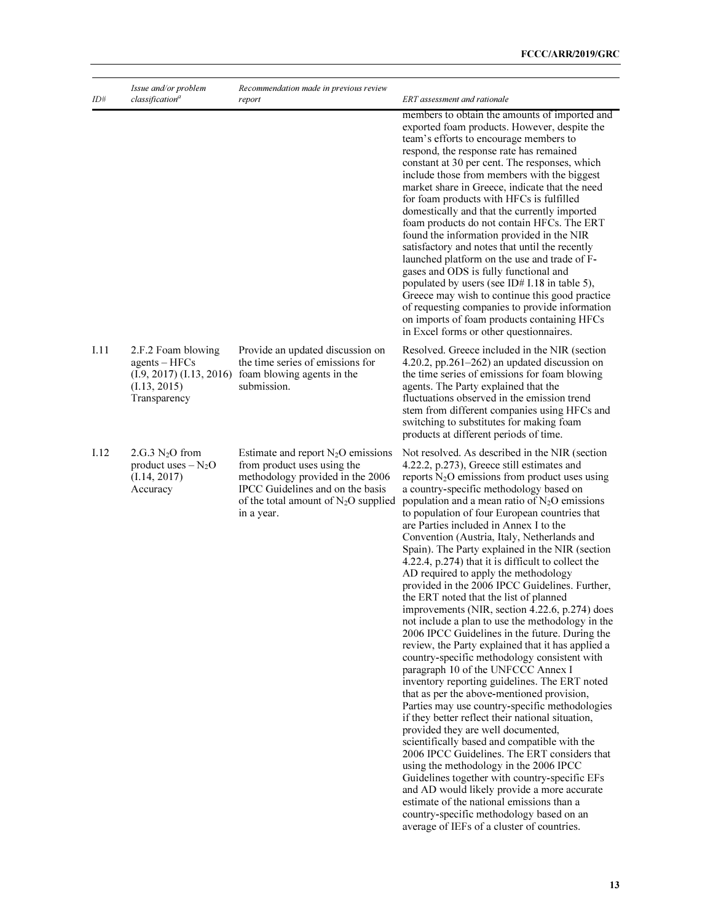| ID#  | Issue and/or problem<br>classification <sup>a</sup>                                               | Recommendation made in previous review<br>report                                                                                                                                                    | ERT assessment and rationale                                                                                                                                                                                                                                                                                                                                                                                                                                                                                                                                                                                                                                                                                                                                                                                                                                                                                                                                                                                                                                                                                                                                                                                                                                                                                                                                                                                                                                                                                                                                         |
|------|---------------------------------------------------------------------------------------------------|-----------------------------------------------------------------------------------------------------------------------------------------------------------------------------------------------------|----------------------------------------------------------------------------------------------------------------------------------------------------------------------------------------------------------------------------------------------------------------------------------------------------------------------------------------------------------------------------------------------------------------------------------------------------------------------------------------------------------------------------------------------------------------------------------------------------------------------------------------------------------------------------------------------------------------------------------------------------------------------------------------------------------------------------------------------------------------------------------------------------------------------------------------------------------------------------------------------------------------------------------------------------------------------------------------------------------------------------------------------------------------------------------------------------------------------------------------------------------------------------------------------------------------------------------------------------------------------------------------------------------------------------------------------------------------------------------------------------------------------------------------------------------------------|
|      |                                                                                                   |                                                                                                                                                                                                     | members to obtain the amounts of imported and<br>exported foam products. However, despite the<br>team's efforts to encourage members to<br>respond, the response rate has remained<br>constant at 30 per cent. The responses, which<br>include those from members with the biggest<br>market share in Greece, indicate that the need<br>for foam products with HFCs is fulfilled<br>domestically and that the currently imported<br>foam products do not contain HFCs. The ERT<br>found the information provided in the NIR<br>satisfactory and notes that until the recently<br>launched platform on the use and trade of F-<br>gases and ODS is fully functional and<br>populated by users (see ID# I.18 in table 5),<br>Greece may wish to continue this good practice<br>of requesting companies to provide information<br>on imports of foam products containing HFCs<br>in Excel forms or other questionnaires.                                                                                                                                                                                                                                                                                                                                                                                                                                                                                                                                                                                                                                                |
| I.11 | 2.F.2 Foam blowing<br>$agents - HFCs$<br>(I.9, 2017) (I.13, 2016)<br>(I.13, 2015)<br>Transparency | Provide an updated discussion on<br>the time series of emissions for<br>foam blowing agents in the<br>submission.                                                                                   | Resolved. Greece included in the NIR (section<br>4.20.2, pp.261–262) an updated discussion on<br>the time series of emissions for foam blowing<br>agents. The Party explained that the<br>fluctuations observed in the emission trend<br>stem from different companies using HFCs and<br>switching to substitutes for making foam<br>products at different periods of time.                                                                                                                                                                                                                                                                                                                                                                                                                                                                                                                                                                                                                                                                                                                                                                                                                                                                                                                                                                                                                                                                                                                                                                                          |
| I.12 | $2.G.3 N2O$ from<br>product uses $-N_2O$<br>(I.14, 2017)<br>Accuracy                              | Estimate and report $N_2O$ emissions<br>from product uses using the<br>methodology provided in the 2006<br>IPCC Guidelines and on the basis<br>of the total amount of $N_2O$ supplied<br>in a year. | Not resolved. As described in the NIR (section<br>4.22.2, p.273), Greece still estimates and<br>reports $N_2O$ emissions from product uses using<br>a country-specific methodology based on<br>population and a mean ratio of $N_2O$ emissions<br>to population of four European countries that<br>are Parties included in Annex I to the<br>Convention (Austria, Italy, Netherlands and<br>Spain). The Party explained in the NIR (section<br>4.22.4, p.274) that it is difficult to collect the<br>AD required to apply the methodology<br>provided in the 2006 IPCC Guidelines. Further,<br>the ERT noted that the list of planned<br>improvements (NIR, section 4.22.6, p.274) does<br>not include a plan to use the methodology in the<br>2006 IPCC Guidelines in the future. During the<br>review, the Party explained that it has applied a<br>country-specific methodology consistent with<br>paragraph 10 of the UNFCCC Annex I<br>inventory reporting guidelines. The ERT noted<br>that as per the above-mentioned provision,<br>Parties may use country-specific methodologies<br>if they better reflect their national situation,<br>provided they are well documented,<br>scientifically based and compatible with the<br>2006 IPCC Guidelines. The ERT considers that<br>using the methodology in the 2006 IPCC<br>Guidelines together with country-specific EFs<br>and AD would likely provide a more accurate<br>estimate of the national emissions than a<br>country-specific methodology based on an<br>average of IEFs of a cluster of countries. |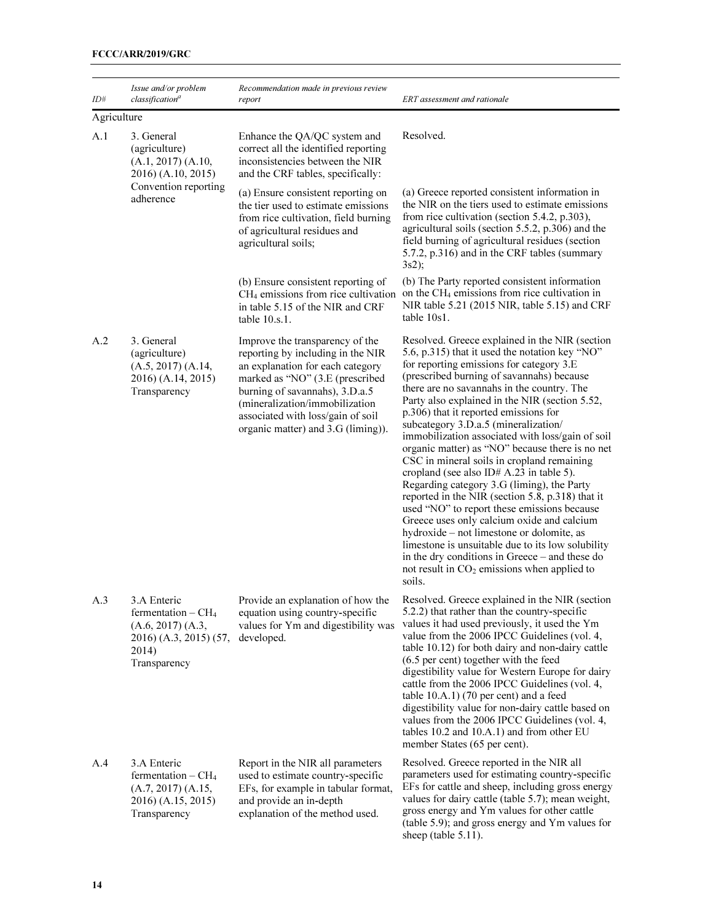| ID#         | Issue and/or problem<br>classification <sup>a</sup>                                                        | Recommendation made in previous review<br>report                                                                                                                                                                                                                                           | ERT assessment and rationale                                                                                                                                                                                                                                                                                                                                                                                                                                                                                                                                                                                                                                                                                                                                                                                                                                                                                                                                                              |
|-------------|------------------------------------------------------------------------------------------------------------|--------------------------------------------------------------------------------------------------------------------------------------------------------------------------------------------------------------------------------------------------------------------------------------------|-------------------------------------------------------------------------------------------------------------------------------------------------------------------------------------------------------------------------------------------------------------------------------------------------------------------------------------------------------------------------------------------------------------------------------------------------------------------------------------------------------------------------------------------------------------------------------------------------------------------------------------------------------------------------------------------------------------------------------------------------------------------------------------------------------------------------------------------------------------------------------------------------------------------------------------------------------------------------------------------|
| Agriculture |                                                                                                            |                                                                                                                                                                                                                                                                                            |                                                                                                                                                                                                                                                                                                                                                                                                                                                                                                                                                                                                                                                                                                                                                                                                                                                                                                                                                                                           |
| A.1         | 3. General<br>(agriculture)<br>(A.1, 2017) (A.10,<br>2016) (A.10, 2015)                                    | Enhance the QA/QC system and<br>correct all the identified reporting<br>inconsistencies between the NIR<br>and the CRF tables, specifically:                                                                                                                                               | Resolved.                                                                                                                                                                                                                                                                                                                                                                                                                                                                                                                                                                                                                                                                                                                                                                                                                                                                                                                                                                                 |
|             | Convention reporting<br>adherence                                                                          | (a) Ensure consistent reporting on<br>the tier used to estimate emissions<br>from rice cultivation, field burning<br>of agricultural residues and<br>agricultural soils;                                                                                                                   | (a) Greece reported consistent information in<br>the NIR on the tiers used to estimate emissions<br>from rice cultivation (section 5.4.2, p.303),<br>agricultural soils (section 5.5.2, p.306) and the<br>field burning of agricultural residues (section<br>5.7.2, p.316) and in the CRF tables (summary<br>3s2);                                                                                                                                                                                                                                                                                                                                                                                                                                                                                                                                                                                                                                                                        |
|             |                                                                                                            | (b) Ensure consistent reporting of<br>$CH4$ emissions from rice cultivation<br>in table 5.15 of the NIR and CRF<br>table 10.s.1.                                                                                                                                                           | (b) The Party reported consistent information<br>on the CH <sub>4</sub> emissions from rice cultivation in<br>NIR table 5.21 (2015 NIR, table 5.15) and CRF<br>table 10s1.                                                                                                                                                                                                                                                                                                                                                                                                                                                                                                                                                                                                                                                                                                                                                                                                                |
| A.2         | 3. General<br>(agriculture)<br>(A.5, 2017) (A.14,<br>2016) (A.14, 2015)<br>Transparency                    | Improve the transparency of the<br>reporting by including in the NIR<br>an explanation for each category<br>marked as "NO" (3.E (prescribed<br>burning of savannahs), 3.D.a.5<br>(mineralization/immobilization<br>associated with loss/gain of soil<br>organic matter) and 3.G (liming)). | Resolved. Greece explained in the NIR (section<br>5.6, p.315) that it used the notation key "NO"<br>for reporting emissions for category 3.E<br>(prescribed burning of savannahs) because<br>there are no savannahs in the country. The<br>Party also explained in the NIR (section 5.52,<br>p.306) that it reported emissions for<br>subcategory 3.D.a.5 (mineralization/<br>immobilization associated with loss/gain of soil<br>organic matter) as "NO" because there is no net<br>CSC in mineral soils in cropland remaining<br>cropland (see also ID# A.23 in table 5).<br>Regarding category 3.G (liming), the Party<br>reported in the NIR (section 5.8, p.318) that it<br>used "NO" to report these emissions because<br>Greece uses only calcium oxide and calcium<br>hydroxide – not limestone or dolomite, as<br>limestone is unsuitable due to its low solubility<br>in the dry conditions in Greece – and these do<br>not result in $CO2$ emissions when applied to<br>soils. |
| A.3         | 3.A Enteric<br>fermentation $-CH4$<br>(A.6, 2017) (A.3,<br>2016) (A.3, 2015) (57,<br>2014)<br>Transparency | Provide an explanation of how the<br>equation using country-specific<br>values for Ym and digestibility was<br>developed.                                                                                                                                                                  | Resolved. Greece explained in the NIR (section<br>5.2.2) that rather than the country-specific<br>values it had used previously, it used the Ym<br>value from the 2006 IPCC Guidelines (vol. 4,<br>table 10.12) for both dairy and non-dairy cattle<br>(6.5 per cent) together with the feed<br>digestibility value for Western Europe for dairy<br>cattle from the 2006 IPCC Guidelines (vol. 4,<br>table $10.A.1$ ) (70 per cent) and a feed<br>digestibility value for non-dairy cattle based on<br>values from the 2006 IPCC Guidelines (vol. 4,<br>tables 10.2 and 10.A.1) and from other EU<br>member States (65 per cent).                                                                                                                                                                                                                                                                                                                                                         |
| A.4         | 3.A Enteric<br>fermentation $-CH4$<br>(A.7, 2017) (A.15,<br>2016) (A.15, 2015)<br>Transparency             | Report in the NIR all parameters<br>used to estimate country-specific<br>EFs, for example in tabular format,<br>and provide an in-depth<br>explanation of the method used.                                                                                                                 | Resolved. Greece reported in the NIR all<br>parameters used for estimating country-specific<br>EFs for cattle and sheep, including gross energy<br>values for dairy cattle (table 5.7); mean weight,<br>gross energy and Ym values for other cattle<br>(table 5.9); and gross energy and Ym values for<br>sheep (table 5.11).                                                                                                                                                                                                                                                                                                                                                                                                                                                                                                                                                                                                                                                             |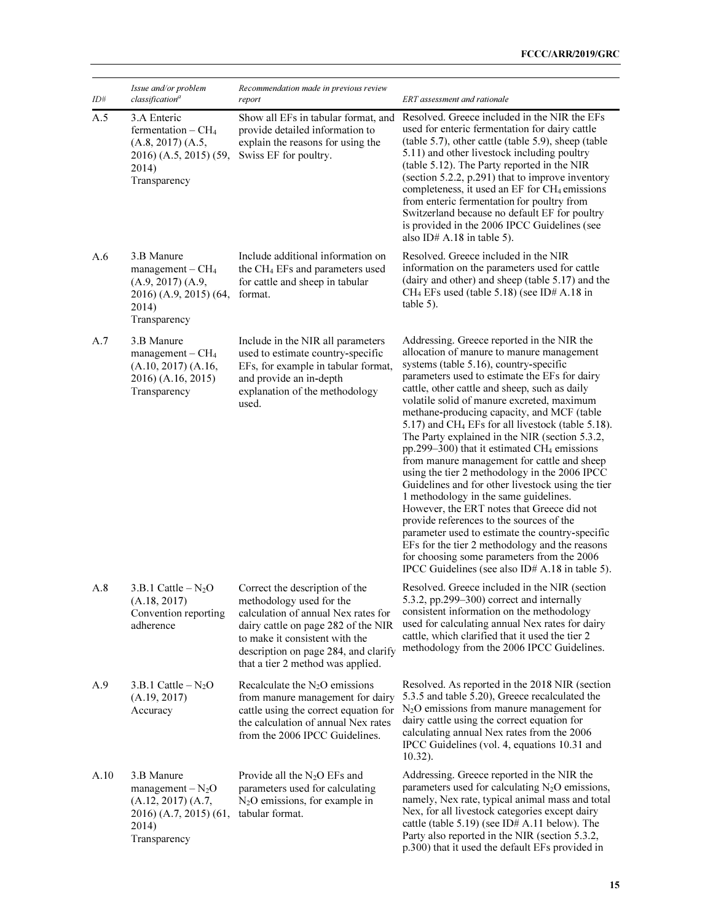| ID#  | Issue and/or problem<br>classification <sup>a</sup>                                                        | Recommendation made in previous review<br>report                                                                                                                                                                                                        | ERT assessment and rationale                                                                                                                                                                                                                                                                                                                                                                                                                                                                                                                                                                                                                                                                                                                                                                                                                                                                                                                                                                                |
|------|------------------------------------------------------------------------------------------------------------|---------------------------------------------------------------------------------------------------------------------------------------------------------------------------------------------------------------------------------------------------------|-------------------------------------------------------------------------------------------------------------------------------------------------------------------------------------------------------------------------------------------------------------------------------------------------------------------------------------------------------------------------------------------------------------------------------------------------------------------------------------------------------------------------------------------------------------------------------------------------------------------------------------------------------------------------------------------------------------------------------------------------------------------------------------------------------------------------------------------------------------------------------------------------------------------------------------------------------------------------------------------------------------|
| A.5  | 3.A Enteric<br>fermentation $-CH4$<br>(A.8, 2017) (A.5,<br>2016) (A.5, 2015) (59,<br>2014)<br>Transparency | Show all EFs in tabular format, and<br>provide detailed information to<br>explain the reasons for using the<br>Swiss EF for poultry.                                                                                                                    | Resolved. Greece included in the NIR the EFs<br>used for enteric fermentation for dairy cattle<br>(table 5.7), other cattle (table 5.9), sheep (table<br>5.11) and other livestock including poultry<br>(table 5.12). The Party reported in the NIR<br>(section 5.2.2, p.291) that to improve inventory<br>completeness, it used an EF for CH <sub>4</sub> emissions<br>from enteric fermentation for poultry from<br>Switzerland because no default EF for poultry<br>is provided in the 2006 IPCC Guidelines (see<br>also ID# A.18 in table 5).                                                                                                                                                                                                                                                                                                                                                                                                                                                           |
| A.6  | 3.B Manure<br>$management - CH4$<br>(A.9, 2017) (A.9,<br>2016) (A.9, 2015) (64,<br>2014)<br>Transparency   | Include additional information on<br>the CH <sub>4</sub> EFs and parameters used<br>for cattle and sheep in tabular<br>format.                                                                                                                          | Resolved. Greece included in the NIR<br>information on the parameters used for cattle<br>(dairy and other) and sheep (table 5.17) and the<br>$CH_4$ EFs used (table 5.18) (see ID# A.18 in<br>table 5).                                                                                                                                                                                                                                                                                                                                                                                                                                                                                                                                                                                                                                                                                                                                                                                                     |
| A.7  | 3.B Manure<br>$management - CH4$<br>(A.10, 2017) (A.16,<br>2016) (A.16, 2015)<br>Transparency              | Include in the NIR all parameters<br>used to estimate country-specific<br>EFs, for example in tabular format,<br>and provide an in-depth<br>explanation of the methodology<br>used.                                                                     | Addressing. Greece reported in the NIR the<br>allocation of manure to manure management<br>systems (table 5.16), country-specific<br>parameters used to estimate the EFs for dairy<br>cattle, other cattle and sheep, such as daily<br>volatile solid of manure excreted, maximum<br>methane-producing capacity, and MCF (table<br>5.17) and CH <sub>4</sub> EFs for all livestock (table 5.18).<br>The Party explained in the NIR (section 5.3.2,<br>pp.299–300) that it estimated CH <sub>4</sub> emissions<br>from manure management for cattle and sheep<br>using the tier 2 methodology in the 2006 IPCC<br>Guidelines and for other livestock using the tier<br>1 methodology in the same guidelines.<br>However, the ERT notes that Greece did not<br>provide references to the sources of the<br>parameter used to estimate the country-specific<br>EFs for the tier 2 methodology and the reasons<br>for choosing some parameters from the 2006<br>IPCC Guidelines (see also ID# A.18 in table 5). |
| A.8  | $3.B.1$ Cattle $-N_2O$<br>(A.18, 2017)<br>Convention reporting<br>adherence                                | Correct the description of the<br>methodology used for the<br>calculation of annual Nex rates for<br>dairy cattle on page 282 of the NIR<br>to make it consistent with the<br>description on page 284, and clarify<br>that a tier 2 method was applied. | Resolved. Greece included in the NIR (section<br>5.3.2, pp.299-300) correct and internally<br>consistent information on the methodology<br>used for calculating annual Nex rates for dairy<br>cattle, which clarified that it used the tier 2<br>methodology from the 2006 IPCC Guidelines.                                                                                                                                                                                                                                                                                                                                                                                                                                                                                                                                                                                                                                                                                                                 |
| A.9  | 3.B.1 Cattle $-N_2O$<br>(A.19, 2017)<br>Accuracy                                                           | Recalculate the $N_2O$ emissions<br>from manure management for dairy<br>cattle using the correct equation for<br>the calculation of annual Nex rates<br>from the 2006 IPCC Guidelines.                                                                  | Resolved. As reported in the 2018 NIR (section<br>5.3.5 and table 5.20), Greece recalculated the<br>$N_2O$ emissions from manure management for<br>dairy cattle using the correct equation for<br>calculating annual Nex rates from the 2006<br>IPCC Guidelines (vol. 4, equations 10.31 and<br>$10.32$ ).                                                                                                                                                                                                                                                                                                                                                                                                                                                                                                                                                                                                                                                                                                  |
| A.10 | 3.B Manure<br>$management - N2O$<br>(A.12, 2017) (A.7,<br>2016) (A.7, 2015) (61,<br>2014)<br>Transparency  | Provide all the N <sub>2</sub> O EFs and<br>parameters used for calculating<br>$N_2O$ emissions, for example in<br>tabular format.                                                                                                                      | Addressing. Greece reported in the NIR the<br>parameters used for calculating $N_2O$ emissions,<br>namely, Nex rate, typical animal mass and total<br>Nex, for all livestock categories except dairy<br>cattle (table 5.19) (see ID# A.11 below). The<br>Party also reported in the NIR (section 5.3.2,<br>p.300) that it used the default EFs provided in                                                                                                                                                                                                                                                                                                                                                                                                                                                                                                                                                                                                                                                  |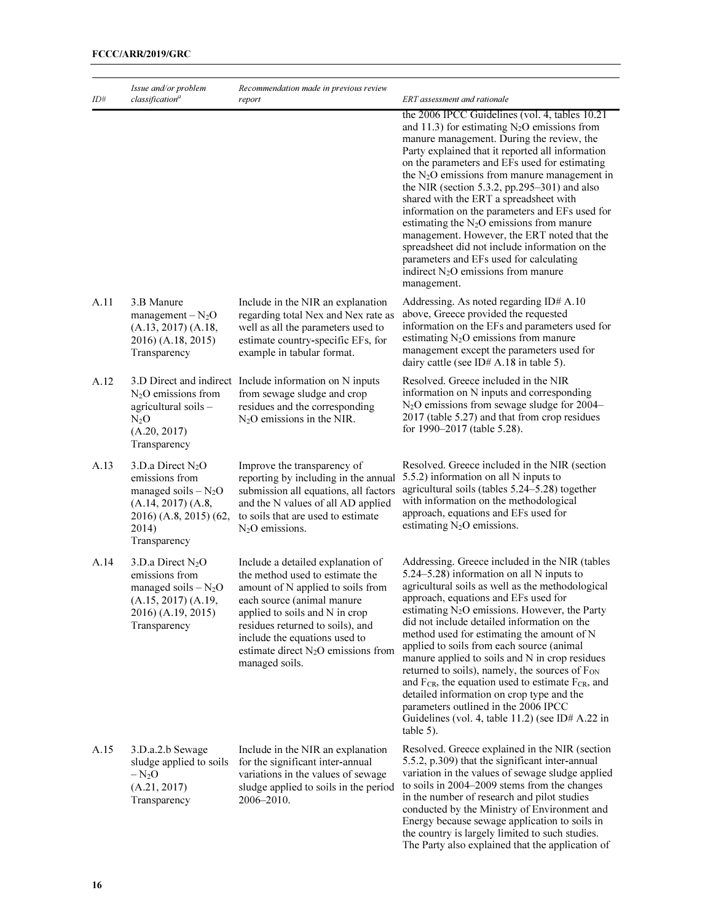|      | Issue and/or problem                                                                                                                    | Recommendation made in previous review                                                                                                                                                                                                                                                                    |                                                                                                                                                                                                                                                                                                                                                                                                                                                                                                                                                                                                                                                                                                                                         |
|------|-----------------------------------------------------------------------------------------------------------------------------------------|-----------------------------------------------------------------------------------------------------------------------------------------------------------------------------------------------------------------------------------------------------------------------------------------------------------|-----------------------------------------------------------------------------------------------------------------------------------------------------------------------------------------------------------------------------------------------------------------------------------------------------------------------------------------------------------------------------------------------------------------------------------------------------------------------------------------------------------------------------------------------------------------------------------------------------------------------------------------------------------------------------------------------------------------------------------------|
| ID#  | classification <sup>a</sup>                                                                                                             | report                                                                                                                                                                                                                                                                                                    | ERT assessment and rationale<br>the 2006 IPCC Guidelines (vol. 4, tables 10.21<br>and 11.3) for estimating $N_2O$ emissions from<br>manure management. During the review, the<br>Party explained that it reported all information<br>on the parameters and EFs used for estimating<br>the $N_2O$ emissions from manure management in<br>the NIR (section 5.3.2, pp.295–301) and also<br>shared with the ERT a spreadsheet with<br>information on the parameters and EFs used for<br>estimating the $N_2O$ emissions from manure<br>management. However, the ERT noted that the<br>spreadsheet did not include information on the<br>parameters and EFs used for calculating<br>indirect $N_2O$ emissions from manure<br>management.     |
| A.11 | 3.B Manure<br>$management - N2O$<br>(A.13, 2017) (A.18,<br>2016) (A.18, 2015)<br>Transparency                                           | Include in the NIR an explanation<br>regarding total Nex and Nex rate as<br>well as all the parameters used to<br>estimate country-specific EFs, for<br>example in tabular format.                                                                                                                        | Addressing. As noted regarding ID# A.10<br>above, Greece provided the requested<br>information on the EFs and parameters used for<br>estimating $N_2O$ emissions from manure<br>management except the parameters used for<br>dairy cattle (see ID# A.18 in table 5).                                                                                                                                                                                                                                                                                                                                                                                                                                                                    |
| A.12 | $N2O$ emissions from<br>agricultural soils -<br>$N_2O$<br>(A.20, 2017)<br>Transparency                                                  | 3.D Direct and indirect Include information on N inputs<br>from sewage sludge and crop<br>residues and the corresponding<br>$N_2O$ emissions in the NIR.                                                                                                                                                  | Resolved. Greece included in the NIR<br>information on N inputs and corresponding<br>$N_2O$ emissions from sewage sludge for 2004–<br>2017 (table 5.27) and that from crop residues<br>for 1990–2017 (table 5.28).                                                                                                                                                                                                                                                                                                                                                                                                                                                                                                                      |
| A.13 | 3.D.a Direct $N_2O$<br>emissions from<br>managed soils $-N_2O$<br>(A.14, 2017) (A.8,<br>2016) (A.8, 2015) (62,<br>2014)<br>Transparency | Improve the transparency of<br>reporting by including in the annual<br>submission all equations, all factors<br>and the N values of all AD applied<br>to soils that are used to estimate<br>$N2O$ emissions.                                                                                              | Resolved. Greece included in the NIR (section<br>5.5.2) information on all N inputs to<br>agricultural soils (tables 5.24–5.28) together<br>with information on the methodological<br>approach, equations and EFs used for<br>estimating $N_2O$ emissions.                                                                                                                                                                                                                                                                                                                                                                                                                                                                              |
| A.14 | 3.D.a Direct $N_2O$<br>emissions from<br>managed soils $-N_2O$<br>(A.15, 2017) (A.19,<br>2016) (A.19, 2015)<br>Transparency             | Include a detailed explanation of<br>the method used to estimate the<br>amount of N applied to soils from<br>each source (animal manure<br>applied to soils and N in crop<br>residues returned to soils), and<br>include the equations used to<br>estimate direct $N_2O$ emissions from<br>managed soils. | Addressing. Greece included in the NIR (tables<br>5.24–5.28) information on all N inputs to<br>agricultural soils as well as the methodological<br>approach, equations and EFs used for<br>estimating $N_2O$ emissions. However, the Party<br>did not include detailed information on the<br>method used for estimating the amount of N<br>applied to soils from each source (animal<br>manure applied to soils and N in crop residues<br>returned to soils), namely, the sources of F <sub>ON</sub><br>and F <sub>CR</sub> , the equation used to estimate F <sub>CR</sub> , and<br>detailed information on crop type and the<br>parameters outlined in the 2006 IPCC<br>Guidelines (vol. 4, table 11.2) (see ID# A.22 in<br>table 5). |
| A.15 | 3.D.a.2.b Sewage<br>sludge applied to soils<br>$-N_2O$<br>(A.21, 2017)<br>Transparency                                                  | Include in the NIR an explanation<br>for the significant inter-annual<br>variations in the values of sewage<br>sludge applied to soils in the period<br>2006-2010.                                                                                                                                        | Resolved. Greece explained in the NIR (section<br>5.5.2, p.309) that the significant inter-annual<br>variation in the values of sewage sludge applied<br>to soils in 2004–2009 stems from the changes<br>in the number of research and pilot studies<br>conducted by the Ministry of Environment and<br>Energy because sewage application to soils in<br>the country is largely limited to such studies.<br>The Party also explained that the application of                                                                                                                                                                                                                                                                            |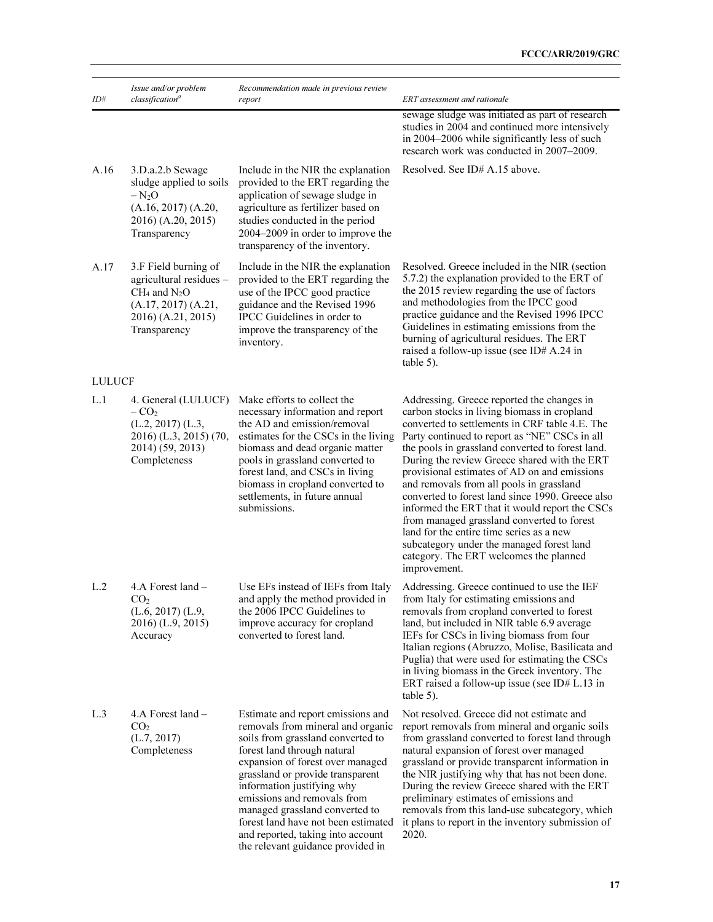| ID#           | Issue and/or problem<br>classification <sup>a</sup>                                                                               | Recommendation made in previous review<br>report                                                                                                                                                                                                                                                                                                                                                                                   | ERT assessment and rationale                                                                                                                                                                                                                                                                                                                                                                                                                                                                                                                                                                                                                                                                        |
|---------------|-----------------------------------------------------------------------------------------------------------------------------------|------------------------------------------------------------------------------------------------------------------------------------------------------------------------------------------------------------------------------------------------------------------------------------------------------------------------------------------------------------------------------------------------------------------------------------|-----------------------------------------------------------------------------------------------------------------------------------------------------------------------------------------------------------------------------------------------------------------------------------------------------------------------------------------------------------------------------------------------------------------------------------------------------------------------------------------------------------------------------------------------------------------------------------------------------------------------------------------------------------------------------------------------------|
|               |                                                                                                                                   |                                                                                                                                                                                                                                                                                                                                                                                                                                    | sewage sludge was initiated as part of research<br>studies in 2004 and continued more intensively<br>in 2004-2006 while significantly less of such<br>research work was conducted in 2007-2009.                                                                                                                                                                                                                                                                                                                                                                                                                                                                                                     |
| A.16          | 3.D.a.2.b Sewage<br>sludge applied to soils<br>$-N_2O$<br>(A.16, 2017) (A.20,<br>2016) (A.20, 2015)<br>Transparency               | Include in the NIR the explanation<br>provided to the ERT regarding the<br>application of sewage sludge in<br>agriculture as fertilizer based on<br>studies conducted in the period<br>2004-2009 in order to improve the<br>transparency of the inventory.                                                                                                                                                                         | Resolved. See ID# A.15 above.                                                                                                                                                                                                                                                                                                                                                                                                                                                                                                                                                                                                                                                                       |
| A.17          | 3.F Field burning of<br>agricultural residues -<br>$CH_4$ and $N_2O$<br>(A.17, 2017) (A.21,<br>2016) (A.21, 2015)<br>Transparency | Include in the NIR the explanation<br>provided to the ERT regarding the<br>use of the IPCC good practice<br>guidance and the Revised 1996<br>IPCC Guidelines in order to<br>improve the transparency of the<br>inventory.                                                                                                                                                                                                          | Resolved. Greece included in the NIR (section<br>5.7.2) the explanation provided to the ERT of<br>the 2015 review regarding the use of factors<br>and methodologies from the IPCC good<br>practice guidance and the Revised 1996 IPCC<br>Guidelines in estimating emissions from the<br>burning of agricultural residues. The ERT<br>raised a follow-up issue (see ID# A.24 in<br>table 5).                                                                                                                                                                                                                                                                                                         |
| <b>LULUCF</b> |                                                                                                                                   |                                                                                                                                                                                                                                                                                                                                                                                                                                    |                                                                                                                                                                                                                                                                                                                                                                                                                                                                                                                                                                                                                                                                                                     |
| L.1           | 4. General (LULUCF)<br>$-CO2$<br>$(L.2, 2017)$ $(L.3,$<br>2016) (L.3, 2015) (70,<br>2014) (59, 2013)<br>Completeness              | Make efforts to collect the<br>necessary information and report<br>the AD and emission/removal<br>estimates for the CSCs in the living<br>biomass and dead organic matter<br>pools in grassland converted to<br>forest land, and CSCs in living<br>biomass in cropland converted to<br>settlements, in future annual<br>submissions.                                                                                               | Addressing. Greece reported the changes in<br>carbon stocks in living biomass in cropland<br>converted to settlements in CRF table 4.E. The<br>Party continued to report as "NE" CSCs in all<br>the pools in grassland converted to forest land.<br>During the review Greece shared with the ERT<br>provisional estimates of AD on and emissions<br>and removals from all pools in grassland<br>converted to forest land since 1990. Greece also<br>informed the ERT that it would report the CSCs<br>from managed grassland converted to forest<br>land for the entire time series as a new<br>subcategory under the managed forest land<br>category. The ERT welcomes the planned<br>improvement. |
| L.2           | 4.A Forest land –<br>CO <sub>2</sub><br>$(L.6, 2017)$ $(L.9,$<br>2016) (L.9, 2015)<br>Accuracy                                    | Use EFs instead of IEFs from Italy<br>and apply the method provided in<br>the 2006 IPCC Guidelines to<br>improve accuracy for cropland<br>converted to forest land.                                                                                                                                                                                                                                                                | Addressing. Greece continued to use the IEF<br>from Italy for estimating emissions and<br>removals from cropland converted to forest<br>land, but included in NIR table 6.9 average<br>IEFs for CSCs in living biomass from four<br>Italian regions (Abruzzo, Molise, Basilicata and<br>Puglia) that were used for estimating the CSCs<br>in living biomass in the Greek inventory. The<br>ERT raised a follow-up issue (see ID# $L.13$ in<br>table 5).                                                                                                                                                                                                                                             |
| L.3           | 4.A Forest land $-$<br>CO <sub>2</sub><br>(L.7, 2017)<br>Completeness                                                             | Estimate and report emissions and<br>removals from mineral and organic<br>soils from grassland converted to<br>forest land through natural<br>expansion of forest over managed<br>grassland or provide transparent<br>information justifying why<br>emissions and removals from<br>managed grassland converted to<br>forest land have not been estimated<br>and reported, taking into account<br>the relevant guidance provided in | Not resolved. Greece did not estimate and<br>report removals from mineral and organic soils<br>from grassland converted to forest land through<br>natural expansion of forest over managed<br>grassland or provide transparent information in<br>the NIR justifying why that has not been done.<br>During the review Greece shared with the ERT<br>preliminary estimates of emissions and<br>removals from this land-use subcategory, which<br>it plans to report in the inventory submission of<br>2020.                                                                                                                                                                                           |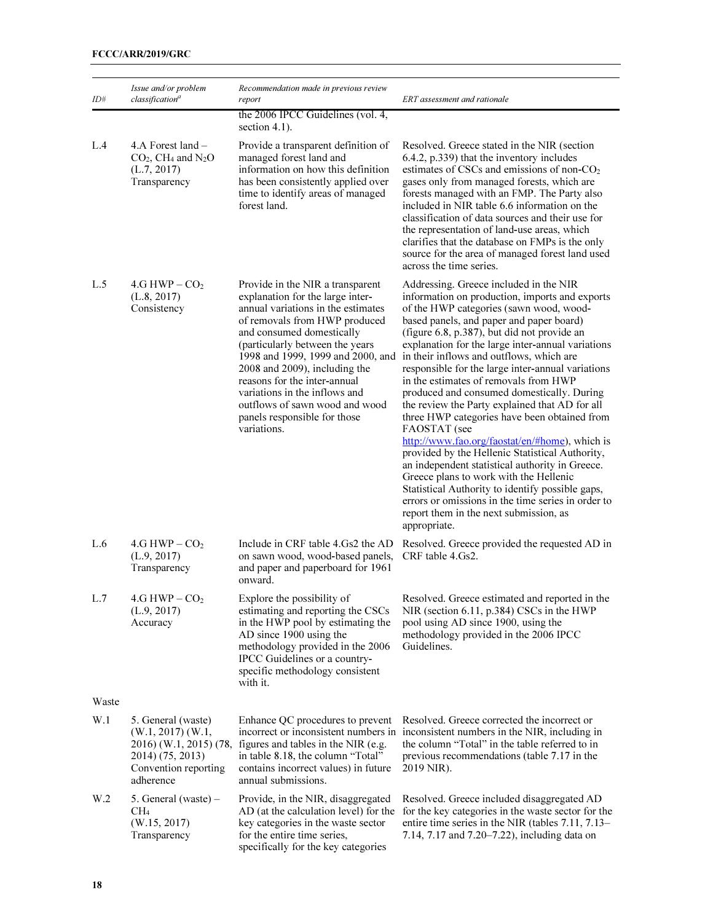| ID#             | Issue and/or problem<br>classification <sup>a</sup>                                                                                  | Recommendation made in previous review<br>report                                                                                                                                                                                                                                                                                                                                                                                    | ERT assessment and rationale                                                                                                                                                                                                                                                                                                                                                                                                                                                                                                                                                                                                                                                                                                                                                                                                                                                                                                                                        |
|-----------------|--------------------------------------------------------------------------------------------------------------------------------------|-------------------------------------------------------------------------------------------------------------------------------------------------------------------------------------------------------------------------------------------------------------------------------------------------------------------------------------------------------------------------------------------------------------------------------------|---------------------------------------------------------------------------------------------------------------------------------------------------------------------------------------------------------------------------------------------------------------------------------------------------------------------------------------------------------------------------------------------------------------------------------------------------------------------------------------------------------------------------------------------------------------------------------------------------------------------------------------------------------------------------------------------------------------------------------------------------------------------------------------------------------------------------------------------------------------------------------------------------------------------------------------------------------------------|
|                 |                                                                                                                                      | the 2006 IPCC Guidelines (vol. 4,<br>section $4.1$ ).                                                                                                                                                                                                                                                                                                                                                                               |                                                                                                                                                                                                                                                                                                                                                                                                                                                                                                                                                                                                                                                                                                                                                                                                                                                                                                                                                                     |
| L.4             | 4.A Forest $land -$<br>$CO2$ , CH <sub>4</sub> and N <sub>2</sub> O<br>(L.7, 2017)<br>Transparency                                   | Provide a transparent definition of<br>managed forest land and<br>information on how this definition<br>has been consistently applied over<br>time to identify areas of managed<br>forest land.                                                                                                                                                                                                                                     | Resolved. Greece stated in the NIR (section<br>6.4.2, p.339) that the inventory includes<br>estimates of CSCs and emissions of non-CO <sub>2</sub><br>gases only from managed forests, which are<br>forests managed with an FMP. The Party also<br>included in NIR table 6.6 information on the<br>classification of data sources and their use for<br>the representation of land-use areas, which<br>clarifies that the database on FMPs is the only<br>source for the area of managed forest land used<br>across the time series.                                                                                                                                                                                                                                                                                                                                                                                                                                 |
| L.5             | $4.G$ HWP $- CO2$<br>(L.8, 2017)<br>Consistency                                                                                      | Provide in the NIR a transparent<br>explanation for the large inter-<br>annual variations in the estimates<br>of removals from HWP produced<br>and consumed domestically<br>(particularly between the years<br>1998 and 1999, 1999 and 2000, and<br>2008 and 2009), including the<br>reasons for the inter-annual<br>variations in the inflows and<br>outflows of sawn wood and wood<br>panels responsible for those<br>variations. | Addressing. Greece included in the NIR<br>information on production, imports and exports<br>of the HWP categories (sawn wood, wood-<br>based panels, and paper and paper board)<br>(figure 6.8, p.387), but did not provide an<br>explanation for the large inter-annual variations<br>in their inflows and outflows, which are<br>responsible for the large inter-annual variations<br>in the estimates of removals from HWP<br>produced and consumed domestically. During<br>the review the Party explained that AD for all<br>three HWP categories have been obtained from<br>FAOSTAT (see<br>http://www.fao.org/faostat/en/#home), which is<br>provided by the Hellenic Statistical Authority,<br>an independent statistical authority in Greece.<br>Greece plans to work with the Hellenic<br>Statistical Authority to identify possible gaps,<br>errors or omissions in the time series in order to<br>report them in the next submission, as<br>appropriate. |
| L.6             | $4.G$ HWP $- CO2$<br>(L.9, 2017)<br>Transparency                                                                                     | Include in CRF table 4.Gs2 the AD<br>on sawn wood, wood-based panels,<br>and paper and paperboard for 1961<br>onward.                                                                                                                                                                                                                                                                                                               | Resolved. Greece provided the requested AD in<br>CRF table 4.Gs2.                                                                                                                                                                                                                                                                                                                                                                                                                                                                                                                                                                                                                                                                                                                                                                                                                                                                                                   |
| L.7             | $4.G$ HWP $-CO2$<br>(L.9, 2017)<br>Accuracy                                                                                          | Explore the possibility of<br>estimating and reporting the CSCs<br>in the HWP pool by estimating the<br>AD since 1900 using the<br>methodology provided in the 2006<br>IPCC Guidelines or a country-<br>specific methodology consistent<br>with it.                                                                                                                                                                                 | Resolved. Greece estimated and reported in the<br>NIR (section 6.11, p.384) CSCs in the HWP<br>pool using AD since 1900, using the<br>methodology provided in the 2006 IPCC<br>Guidelines.                                                                                                                                                                                                                                                                                                                                                                                                                                                                                                                                                                                                                                                                                                                                                                          |
| Waste           |                                                                                                                                      |                                                                                                                                                                                                                                                                                                                                                                                                                                     |                                                                                                                                                                                                                                                                                                                                                                                                                                                                                                                                                                                                                                                                                                                                                                                                                                                                                                                                                                     |
| W.1             | 5. General (waste)<br>$(W.1, 2017)$ $(W.1, 2017)$<br>2016) (W.1, 2015) (78,<br>2014) (75, 2013)<br>Convention reporting<br>adherence | Enhance QC procedures to prevent<br>incorrect or inconsistent numbers in<br>figures and tables in the NIR (e.g.<br>in table 8.18, the column "Total"<br>contains incorrect values) in future<br>annual submissions.                                                                                                                                                                                                                 | Resolved. Greece corrected the incorrect or<br>inconsistent numbers in the NIR, including in<br>the column "Total" in the table referred to in<br>previous recommendations (table 7.17 in the<br>2019 NIR).                                                                                                                                                                                                                                                                                                                                                                                                                                                                                                                                                                                                                                                                                                                                                         |
| W <sub>.2</sub> | 5. General (waste) $-$<br>CH <sub>4</sub><br>(W.15, 2017)<br>Transparency                                                            | Provide, in the NIR, disaggregated<br>AD (at the calculation level) for the<br>key categories in the waste sector<br>for the entire time series,<br>specifically for the key categories                                                                                                                                                                                                                                             | Resolved. Greece included disaggregated AD<br>for the key categories in the waste sector for the<br>entire time series in the NIR (tables 7.11, 7.13–<br>7.14, 7.17 and 7.20–7.22), including data on                                                                                                                                                                                                                                                                                                                                                                                                                                                                                                                                                                                                                                                                                                                                                               |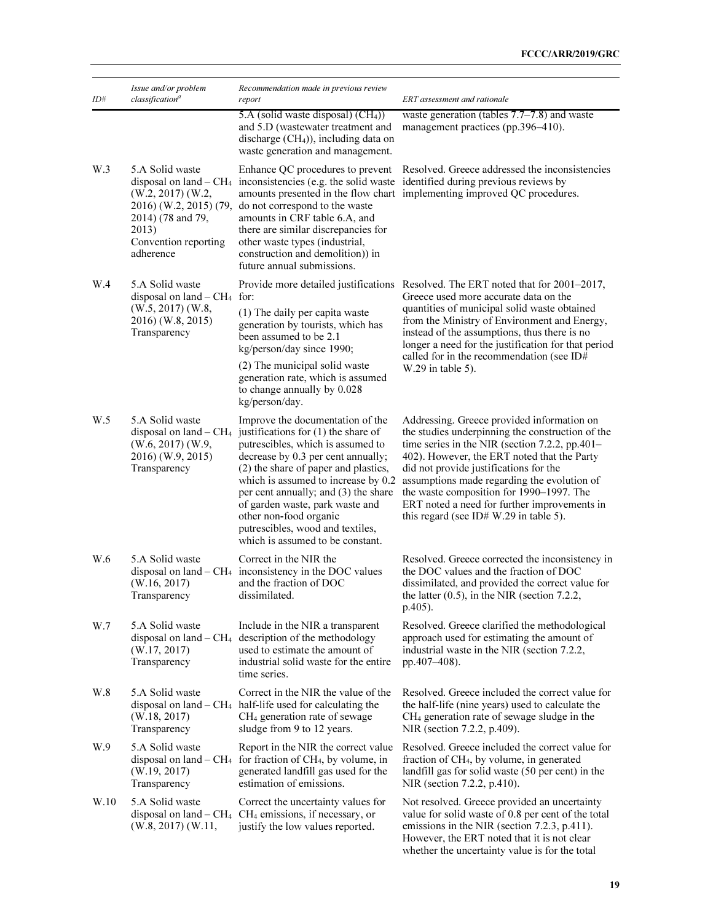| ID#  | Issue and/or problem<br>classification <sup>a</sup>                                                                                         | Recommendation made in previous review<br>report                                                                                                                                                                                                                                                                                                                                                                                                    | ERT assessment and rationale                                                                                                                                                                                                                                                                                                                                                                                                     |  |
|------|---------------------------------------------------------------------------------------------------------------------------------------------|-----------------------------------------------------------------------------------------------------------------------------------------------------------------------------------------------------------------------------------------------------------------------------------------------------------------------------------------------------------------------------------------------------------------------------------------------------|----------------------------------------------------------------------------------------------------------------------------------------------------------------------------------------------------------------------------------------------------------------------------------------------------------------------------------------------------------------------------------------------------------------------------------|--|
|      |                                                                                                                                             | 5.A (solid waste disposal) $(CH4)$ )<br>and 5.D (wastewater treatment and<br>discharge $(CH4)$ , including data on<br>waste generation and management.                                                                                                                                                                                                                                                                                              | waste generation (tables $7.7-7.8$ ) and waste<br>management practices (pp.396-410).                                                                                                                                                                                                                                                                                                                                             |  |
| W.3  | 5.A Solid waste<br>$(W.2, 2017)$ $(W.2, 2017)$<br>2016) (W.2, 2015) (79,<br>2014) (78 and 79,<br>2013)<br>Convention reporting<br>adherence | Enhance QC procedures to prevent<br>do not correspond to the waste<br>amounts in CRF table 6.A, and<br>there are similar discrepancies for<br>other waste types (industrial,<br>construction and demolition) in<br>future annual submissions.                                                                                                                                                                                                       | Resolved. Greece addressed the inconsistencies<br>disposal on land $-CH_4$ inconsistencies (e.g. the solid waste identified during previous reviews by<br>amounts presented in the flow chart implementing improved QC procedures.                                                                                                                                                                                               |  |
| W.4  | 5.A Solid waste<br>disposal on land $-CH4$ for:<br>$(W.5, 2017)$ $(W.8, 2017)$<br>2016) (W.8, 2015)<br>Transparency                         | (1) The daily per capita waste<br>generation by tourists, which has<br>been assumed to be 2.1<br>kg/person/day since 1990;<br>(2) The municipal solid waste<br>generation rate, which is assumed<br>to change annually by 0.028<br>kg/person/day.                                                                                                                                                                                                   | Provide more detailed justifications Resolved. The ERT noted that for 2001–2017,<br>Greece used more accurate data on the<br>quantities of municipal solid waste obtained<br>from the Ministry of Environment and Energy,<br>instead of the assumptions, thus there is no<br>longer a need for the justification for that period<br>called for in the recommendation (see ID#<br>W.29 in table 5).                               |  |
| W.5  | 5.A Solid waste<br>$(W.6, 2017)$ $(W.9, 2017)$<br>2016) (W.9, 2015)<br>Transparency                                                         | Improve the documentation of the<br>disposal on land $-$ CH <sub>4</sub> justifications for (1) the share of<br>putrescibles, which is assumed to<br>decrease by 0.3 per cent annually;<br>(2) the share of paper and plastics,<br>which is assumed to increase by 0.2<br>per cent annually; and (3) the share<br>of garden waste, park waste and<br>other non-food organic<br>putrescibles, wood and textiles,<br>which is assumed to be constant. | Addressing. Greece provided information on<br>the studies underpinning the construction of the<br>time series in the NIR (section 7.2.2, pp.401–<br>402). However, the ERT noted that the Party<br>did not provide justifications for the<br>assumptions made regarding the evolution of<br>the waste composition for 1990–1997. The<br>ERT noted a need for further improvements in<br>this regard (see ID# $W.29$ in table 5). |  |
| W.6  | 5.A Solid waste<br>(W.16, 2017)<br>Transparency                                                                                             | Correct in the NIR the<br>disposal on land $-CH_4$ inconsistency in the DOC values<br>and the fraction of DOC<br>dissimilated.                                                                                                                                                                                                                                                                                                                      | Resolved. Greece corrected the inconsistency in<br>the DOC values and the fraction of DOC<br>dissimilated, and provided the correct value for<br>the latter $(0.5)$ , in the NIR (section 7.2.2,<br>$p.405$ ).                                                                                                                                                                                                                   |  |
| W.7  | 5.A Solid waste<br>(W.17, 2017)<br>Transparency                                                                                             | Include in the NIR a transparent<br>disposal on land $-CH_4$ description of the methodology<br>used to estimate the amount of<br>industrial solid waste for the entire<br>time series.                                                                                                                                                                                                                                                              | Resolved. Greece clarified the methodological<br>approach used for estimating the amount of<br>industrial waste in the NIR (section 7.2.2,<br>pp.407-408).                                                                                                                                                                                                                                                                       |  |
| W.8  | 5.A Solid waste<br>(W.18, 2017)<br>Transparency                                                                                             | Correct in the NIR the value of the<br>disposal on land $-CH_4$ half-life used for calculating the<br>CH <sub>4</sub> generation rate of sewage<br>sludge from 9 to 12 years.                                                                                                                                                                                                                                                                       | Resolved. Greece included the correct value for<br>the half-life (nine years) used to calculate the<br>CH <sub>4</sub> generation rate of sewage sludge in the<br>NIR (section 7.2.2, p.409).                                                                                                                                                                                                                                    |  |
| W.9  | 5.A Solid waste<br>(W.19, 2017)<br>Transparency                                                                                             | Report in the NIR the correct value<br>disposal on land $-$ CH <sub>4</sub> for fraction of CH <sub>4</sub> , by volume, in<br>generated landfill gas used for the<br>estimation of emissions.                                                                                                                                                                                                                                                      | Resolved. Greece included the correct value for<br>fraction of CH <sub>4</sub> , by volume, in generated<br>landfill gas for solid waste (50 per cent) in the<br>NIR (section 7.2.2, p.410).                                                                                                                                                                                                                                     |  |
| W.10 | 5.A Solid waste<br>$(W.8, 2017)$ $(W.11, 2017)$                                                                                             | Correct the uncertainty values for<br>disposal on land $-$ CH <sub>4</sub> CH <sub>4</sub> emissions, if necessary, or<br>justify the low values reported.                                                                                                                                                                                                                                                                                          | Not resolved. Greece provided an uncertainty<br>value for solid waste of 0.8 per cent of the total<br>emissions in the NIR (section 7.2.3, p.411).<br>However, the ERT noted that it is not clear<br>whether the uncertainty value is for the total                                                                                                                                                                              |  |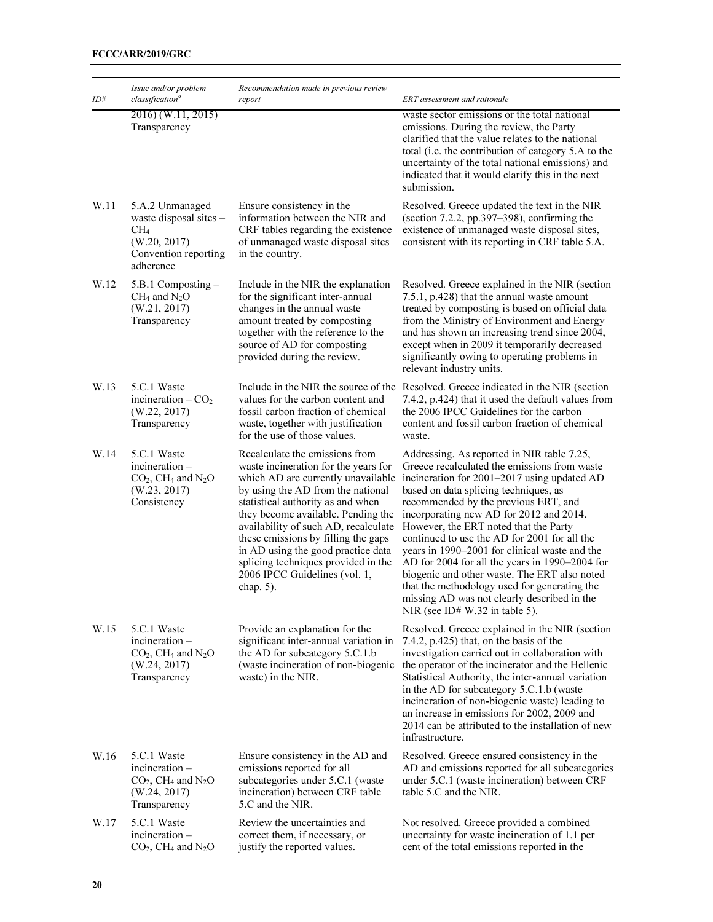| ID#  | Issue and/or problem<br>classification <sup>a</sup>                                                               | Recommendation made in previous review<br>report                                                                                                                                                                                                                                                                                                                                                                                          | ERT assessment and rationale                                                                                                                                                                                                                                                                                                                                                                                                                                                                                                                                                                                                                       |  |
|------|-------------------------------------------------------------------------------------------------------------------|-------------------------------------------------------------------------------------------------------------------------------------------------------------------------------------------------------------------------------------------------------------------------------------------------------------------------------------------------------------------------------------------------------------------------------------------|----------------------------------------------------------------------------------------------------------------------------------------------------------------------------------------------------------------------------------------------------------------------------------------------------------------------------------------------------------------------------------------------------------------------------------------------------------------------------------------------------------------------------------------------------------------------------------------------------------------------------------------------------|--|
|      | 2016) (W.11, 2015)<br>Transparency                                                                                |                                                                                                                                                                                                                                                                                                                                                                                                                                           | waste sector emissions or the total national<br>emissions. During the review, the Party<br>clarified that the value relates to the national<br>total (i.e. the contribution of category 5.A to the<br>uncertainty of the total national emissions) and<br>indicated that it would clarify this in the next<br>submission.                                                                                                                                                                                                                                                                                                                          |  |
| W.11 | 5.A.2 Unmanaged<br>waste disposal sites -<br>CH <sub>4</sub><br>(W.20, 2017)<br>Convention reporting<br>adherence | Ensure consistency in the<br>information between the NIR and<br>CRF tables regarding the existence<br>of unmanaged waste disposal sites<br>in the country.                                                                                                                                                                                                                                                                                | Resolved. Greece updated the text in the NIR<br>(section 7.2.2, pp.397-398), confirming the<br>existence of unmanaged waste disposal sites,<br>consistent with its reporting in CRF table 5.A.                                                                                                                                                                                                                                                                                                                                                                                                                                                     |  |
| W.12 | $5.B.1$ Composting $-$<br>$CH_4$ and $N_2O$<br>(W.21, 2017)<br>Transparency                                       | Include in the NIR the explanation<br>for the significant inter-annual<br>changes in the annual waste<br>amount treated by composting<br>together with the reference to the<br>source of AD for composting<br>provided during the review.                                                                                                                                                                                                 | Resolved. Greece explained in the NIR (section<br>7.5.1, p.428) that the annual waste amount<br>treated by composting is based on official data<br>from the Ministry of Environment and Energy<br>and has shown an increasing trend since 2004,<br>except when in 2009 it temporarily decreased<br>significantly owing to operating problems in<br>relevant industry units.                                                                                                                                                                                                                                                                        |  |
| W.13 | 5.C.1 Waste<br>incineration $-CO2$<br>(W.22, 2017)<br>Transparency                                                | Include in the NIR the source of the<br>values for the carbon content and<br>fossil carbon fraction of chemical<br>waste, together with justification<br>for the use of those values.                                                                                                                                                                                                                                                     | Resolved. Greece indicated in the NIR (section<br>7.4.2, p.424) that it used the default values from<br>the 2006 IPCC Guidelines for the carbon<br>content and fossil carbon fraction of chemical<br>waste.                                                                                                                                                                                                                                                                                                                                                                                                                                        |  |
| W.14 | 5.C.1 Waste<br>incineration-<br>$CO2$ , CH <sub>4</sub> and N <sub>2</sub> O<br>(W.23, 2017)<br>Consistency       | Recalculate the emissions from<br>waste incineration for the years for<br>which AD are currently unavailable<br>by using the AD from the national<br>statistical authority as and when<br>they become available. Pending the<br>availability of such AD, recalculate<br>these emissions by filling the gaps<br>in AD using the good practice data<br>splicing techniques provided in the<br>2006 IPCC Guidelines (vol. 1,<br>chap. $5$ ). | Addressing. As reported in NIR table 7.25,<br>Greece recalculated the emissions from waste<br>incineration for 2001-2017 using updated AD<br>based on data splicing techniques, as<br>recommended by the previous ERT, and<br>incorporating new AD for 2012 and 2014.<br>However, the ERT noted that the Party<br>continued to use the AD for 2001 for all the<br>years in 1990-2001 for clinical waste and the<br>AD for 2004 for all the years in 1990-2004 for<br>biogenic and other waste. The ERT also noted<br>that the methodology used for generating the<br>missing AD was not clearly described in the<br>NIR (see ID# W.32 in table 5). |  |
| W.15 | 5.C.1 Waste<br>incineration-<br>$CO2$ , CH <sub>4</sub> and N <sub>2</sub> O<br>(W.24, 2017)<br>Transparency      | Provide an explanation for the<br>significant inter-annual variation in<br>the AD for subcategory 5.C.1.b<br>(waste incineration of non-biogenic<br>waste) in the NIR.                                                                                                                                                                                                                                                                    | Resolved. Greece explained in the NIR (section<br>7.4.2, p.425) that, on the basis of the<br>investigation carried out in collaboration with<br>the operator of the incinerator and the Hellenic<br>Statistical Authority, the inter-annual variation<br>in the AD for subcategory 5.C.1.b (waste<br>incineration of non-biogenic waste) leading to<br>an increase in emissions for 2002, 2009 and<br>2014 can be attributed to the installation of new<br>infrastructure.                                                                                                                                                                         |  |
| W.16 | 5.C.1 Waste<br>incineration –<br>$CO2$ , CH <sub>4</sub> and N <sub>2</sub> O<br>(W.24, 2017)<br>Transparency     | Ensure consistency in the AD and<br>emissions reported for all<br>subcategories under 5.C.1 (waste<br>incineration) between CRF table<br>5.C and the NIR.                                                                                                                                                                                                                                                                                 | Resolved. Greece ensured consistency in the<br>AD and emissions reported for all subcategories<br>under 5.C.1 (waste incineration) between CRF<br>table 5.C and the NIR.                                                                                                                                                                                                                                                                                                                                                                                                                                                                           |  |
| W.17 | 5.C.1 Waste<br>incineration –<br>$CO2$ , CH <sub>4</sub> and N <sub>2</sub> O                                     | Review the uncertainties and<br>correct them, if necessary, or<br>justify the reported values.                                                                                                                                                                                                                                                                                                                                            | Not resolved. Greece provided a combined<br>uncertainty for waste incineration of 1.1 per<br>cent of the total emissions reported in the                                                                                                                                                                                                                                                                                                                                                                                                                                                                                                           |  |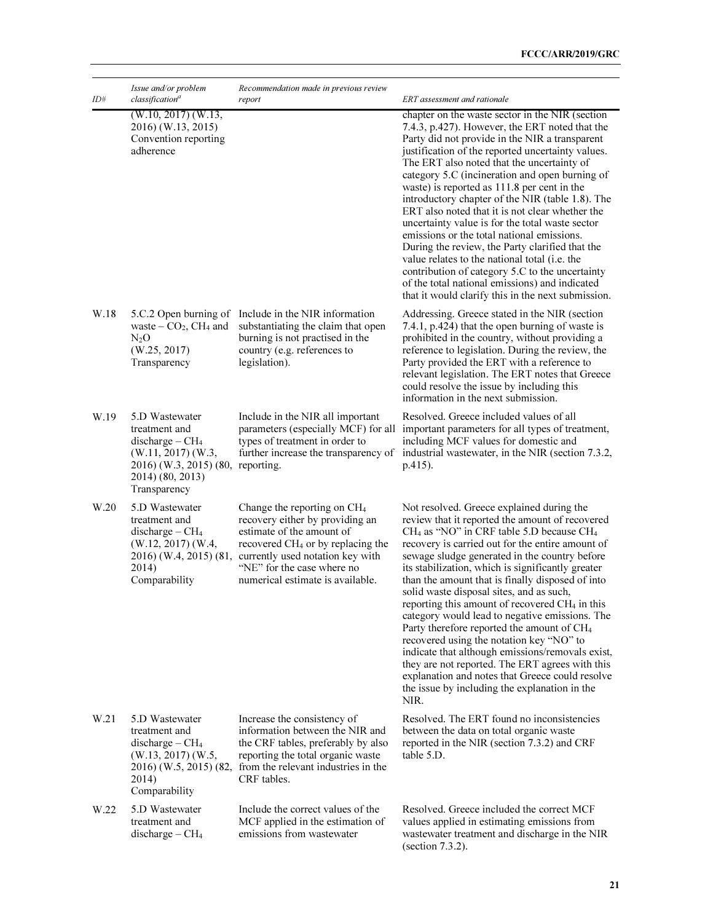| ID#  | Issue and/or problem<br>classification <sup>a</sup>                                                                                                     | Recommendation made in previous review<br>report                                                                                                                                                                                                               | ERT assessment and rationale                                                                                                                                                                                                                                                                                                                                                                                                                                                                                                                                                                                                                                                                                                                                                                                                                              |  |
|------|---------------------------------------------------------------------------------------------------------------------------------------------------------|----------------------------------------------------------------------------------------------------------------------------------------------------------------------------------------------------------------------------------------------------------------|-----------------------------------------------------------------------------------------------------------------------------------------------------------------------------------------------------------------------------------------------------------------------------------------------------------------------------------------------------------------------------------------------------------------------------------------------------------------------------------------------------------------------------------------------------------------------------------------------------------------------------------------------------------------------------------------------------------------------------------------------------------------------------------------------------------------------------------------------------------|--|
|      | $(W.10, 2017)$ $(W.13,$<br>2016) (W.13, 2015)<br>Convention reporting<br>adherence                                                                      |                                                                                                                                                                                                                                                                | chapter on the waste sector in the NIR (section<br>7.4.3, p.427). However, the ERT noted that the<br>Party did not provide in the NIR a transparent<br>justification of the reported uncertainty values.<br>The ERT also noted that the uncertainty of<br>category 5.C (incineration and open burning of<br>waste) is reported as 111.8 per cent in the<br>introductory chapter of the NIR (table 1.8). The<br>ERT also noted that it is not clear whether the<br>uncertainty value is for the total waste sector<br>emissions or the total national emissions.<br>During the review, the Party clarified that the<br>value relates to the national total (i.e. the<br>contribution of category 5.C to the uncertainty<br>of the total national emissions) and indicated<br>that it would clarify this in the next submission.                            |  |
| W.18 | 5.C.2 Open burning of<br>waste – $CO2$ , CH <sub>4</sub> and<br>$N_2O$<br>(W.25, 2017)<br>Transparency                                                  | Include in the NIR information<br>substantiating the claim that open<br>burning is not practised in the<br>country (e.g. references to<br>legislation).                                                                                                        | Addressing. Greece stated in the NIR (section<br>7.4.1, p.424) that the open burning of waste is<br>prohibited in the country, without providing a<br>reference to legislation. During the review, the<br>Party provided the ERT with a reference to<br>relevant legislation. The ERT notes that Greece<br>could resolve the issue by including this<br>information in the next submission.                                                                                                                                                                                                                                                                                                                                                                                                                                                               |  |
| W.19 | 5.D Wastewater<br>treatment and<br>$discharge - CH4$<br>$(W.11, 2017)$ $(W.3,$<br>2016) (W.3, 2015) (80, reporting.<br>2014) (80, 2013)<br>Transparency | Include in the NIR all important<br>parameters (especially MCF) for all<br>types of treatment in order to<br>further increase the transparency of                                                                                                              | Resolved. Greece included values of all<br>important parameters for all types of treatment,<br>including MCF values for domestic and<br>industrial wastewater, in the NIR (section 7.3.2,<br>p.415).                                                                                                                                                                                                                                                                                                                                                                                                                                                                                                                                                                                                                                                      |  |
| W.20 | 5.D Wastewater<br>treatment and<br>discharge $-CH4$<br>$(W.12, 2017)$ $(W.4,$<br>2016) (W.4, 2015) (81,<br>2014)<br>Comparability                       | Change the reporting on CH <sub>4</sub><br>recovery either by providing an<br>estimate of the amount of<br>recovered CH <sub>4</sub> or by replacing the<br>currently used notation key with<br>"NE" for the case where no<br>numerical estimate is available. | Not resolved. Greece explained during the<br>review that it reported the amount of recovered<br>$CH4$ as "NO" in CRF table 5.D because CH <sub>4</sub><br>recovery is carried out for the entire amount of<br>sewage sludge generated in the country before<br>its stabilization, which is significantly greater<br>than the amount that is finally disposed of into<br>solid waste disposal sites, and as such,<br>reporting this amount of recovered CH <sub>4</sub> in this<br>category would lead to negative emissions. The<br>Party therefore reported the amount of CH <sub>4</sub><br>recovered using the notation key "NO" to<br>indicate that although emissions/removals exist,<br>they are not reported. The ERT agrees with this<br>explanation and notes that Greece could resolve<br>the issue by including the explanation in the<br>NIR. |  |
| W.21 | 5.D Wastewater<br>treatment and<br>$discharge - CH4$<br>$(W.13, 2017)$ $(W.5, 2017)$<br>2014)<br>Comparability                                          | Increase the consistency of<br>information between the NIR and<br>the CRF tables, preferably by also<br>reporting the total organic waste<br>$2016$ ) (W.5, 2015) (82, from the relevant industries in the<br>CRF tables.                                      | Resolved. The ERT found no inconsistencies<br>between the data on total organic waste<br>reported in the NIR (section 7.3.2) and CRF<br>table 5.D.                                                                                                                                                                                                                                                                                                                                                                                                                                                                                                                                                                                                                                                                                                        |  |
| W.22 | 5.D Wastewater<br>treatment and<br>discharge $-CH4$                                                                                                     | Include the correct values of the<br>MCF applied in the estimation of<br>emissions from wastewater                                                                                                                                                             | Resolved. Greece included the correct MCF<br>values applied in estimating emissions from<br>wastewater treatment and discharge in the NIR<br>(section 7.3.2).                                                                                                                                                                                                                                                                                                                                                                                                                                                                                                                                                                                                                                                                                             |  |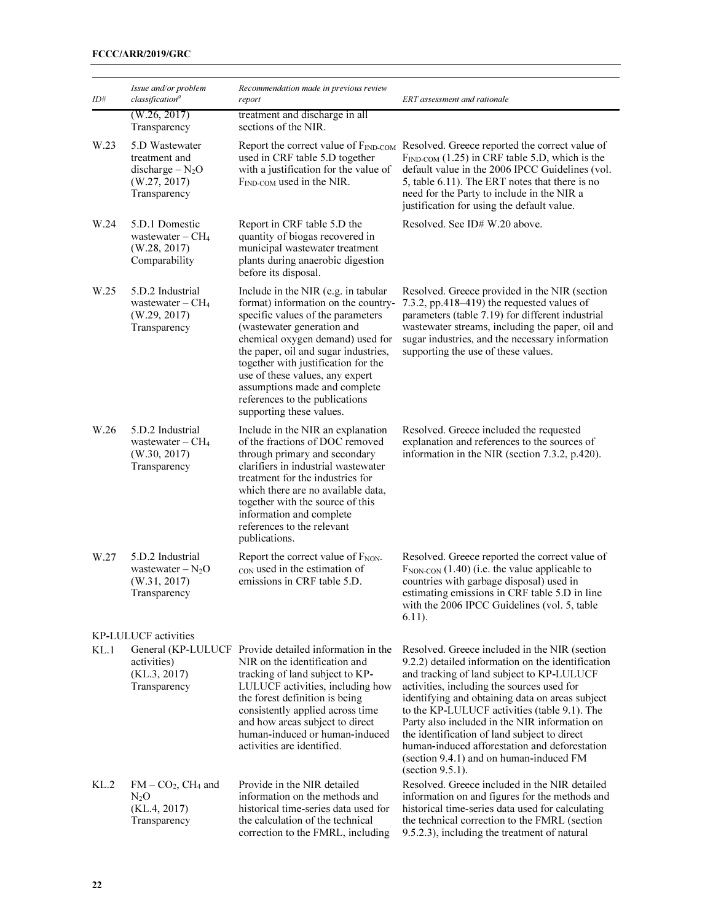| ID#  | Issue and/or problem<br>classification <sup>a</sup>                                  | Recommendation made in previous review<br>report                                                                                                                                                                                                                                                                                                                                                   | ERT assessment and rationale                                                                                                                                                                                                                                                                                                                                                                                                                                                                                      |
|------|--------------------------------------------------------------------------------------|----------------------------------------------------------------------------------------------------------------------------------------------------------------------------------------------------------------------------------------------------------------------------------------------------------------------------------------------------------------------------------------------------|-------------------------------------------------------------------------------------------------------------------------------------------------------------------------------------------------------------------------------------------------------------------------------------------------------------------------------------------------------------------------------------------------------------------------------------------------------------------------------------------------------------------|
|      | (W.26, 2017)<br>Transparency                                                         | treatment and discharge in all<br>sections of the NIR.                                                                                                                                                                                                                                                                                                                                             |                                                                                                                                                                                                                                                                                                                                                                                                                                                                                                                   |
| W.23 | 5.D Wastewater<br>treatment and<br>discharge $-N_2O$<br>(W.27, 2017)<br>Transparency | Report the correct value of $F_{IND\text{-}COM}$<br>used in CRF table 5.D together<br>with a justification for the value of<br>F <sub>IND-COM</sub> used in the NIR.                                                                                                                                                                                                                               | Resolved. Greece reported the correct value of<br>$F_{IND\text{-}COM}$ (1.25) in CRF table 5.D, which is the<br>default value in the 2006 IPCC Guidelines (vol.<br>5, table 6.11). The ERT notes that there is no<br>need for the Party to include in the NIR a<br>justification for using the default value.                                                                                                                                                                                                     |
| W.24 | 5.D.1 Domestic<br>wastewater $-$ CH <sub>4</sub><br>(W.28, 2017)<br>Comparability    | Report in CRF table 5.D the<br>quantity of biogas recovered in<br>municipal wastewater treatment<br>plants during anaerobic digestion<br>before its disposal.                                                                                                                                                                                                                                      | Resolved. See ID# W.20 above.                                                                                                                                                                                                                                                                                                                                                                                                                                                                                     |
| W.25 | 5.D.2 Industrial<br>wastewater $-$ CH <sub>4</sub><br>(W.29, 2017)<br>Transparency   | Include in the NIR (e.g. in tabular<br>format) information on the country-<br>specific values of the parameters<br>(wastewater generation and<br>chemical oxygen demand) used for<br>the paper, oil and sugar industries,<br>together with justification for the<br>use of these values, any expert<br>assumptions made and complete<br>references to the publications<br>supporting these values. | Resolved. Greece provided in the NIR (section<br>7.3.2, pp.418–419) the requested values of<br>parameters (table 7.19) for different industrial<br>wastewater streams, including the paper, oil and<br>sugar industries, and the necessary information<br>supporting the use of these values.                                                                                                                                                                                                                     |
| W.26 | 5.D.2 Industrial<br>wastewater $-CH4$<br>(W.30, 2017)<br>Transparency                | Include in the NIR an explanation<br>of the fractions of DOC removed<br>through primary and secondary<br>clarifiers in industrial wastewater<br>treatment for the industries for<br>which there are no available data,<br>together with the source of this<br>information and complete<br>references to the relevant<br>publications.                                                              | Resolved. Greece included the requested<br>explanation and references to the sources of<br>information in the NIR (section 7.3.2, p.420).                                                                                                                                                                                                                                                                                                                                                                         |
| W.27 | 5.D.2 Industrial<br>wastewater $-N_2O$<br>(W.31, 2017)<br>Transparency               | Report the correct value of F <sub>NON</sub> .<br>CON used in the estimation of<br>emissions in CRF table 5.D.                                                                                                                                                                                                                                                                                     | Resolved. Greece reported the correct value of<br>$F_{\text{NON-CON}}(1.40)$ (i.e. the value applicable to<br>countries with garbage disposal) used in<br>estimating emissions in CRF table 5.D in line<br>with the 2006 IPCC Guidelines (vol. 5, table<br>$6.11$ .                                                                                                                                                                                                                                               |
|      | KP-LULUCF activities                                                                 |                                                                                                                                                                                                                                                                                                                                                                                                    |                                                                                                                                                                                                                                                                                                                                                                                                                                                                                                                   |
| KL.1 | activities)<br>(KL.3, 2017)<br>Transparency                                          | General (KP-LULUCF Provide detailed information in the<br>NIR on the identification and<br>tracking of land subject to KP-<br>LULUCF activities, including how<br>the forest definition is being<br>consistently applied across time<br>and how areas subject to direct<br>human-induced or human-induced<br>activities are identified.                                                            | Resolved. Greece included in the NIR (section<br>9.2.2) detailed information on the identification<br>and tracking of land subject to KP-LULUCF<br>activities, including the sources used for<br>identifying and obtaining data on areas subject<br>to the KP-LULUCF activities (table 9.1). The<br>Party also included in the NIR information on<br>the identification of land subject to direct<br>human-induced afforestation and deforestation<br>(section 9.4.1) and on human-induced FM<br>(section 9.5.1). |
| KL.2 | $FM - CO2$ , CH <sub>4</sub> and<br>$N_2O$<br>(KL.4, 2017)<br>Transparency           | Provide in the NIR detailed<br>information on the methods and<br>historical time-series data used for<br>the calculation of the technical<br>correction to the FMRL, including                                                                                                                                                                                                                     | Resolved. Greece included in the NIR detailed<br>information on and figures for the methods and<br>historical time-series data used for calculating<br>the technical correction to the FMRL (section<br>9.5.2.3), including the treatment of natural                                                                                                                                                                                                                                                              |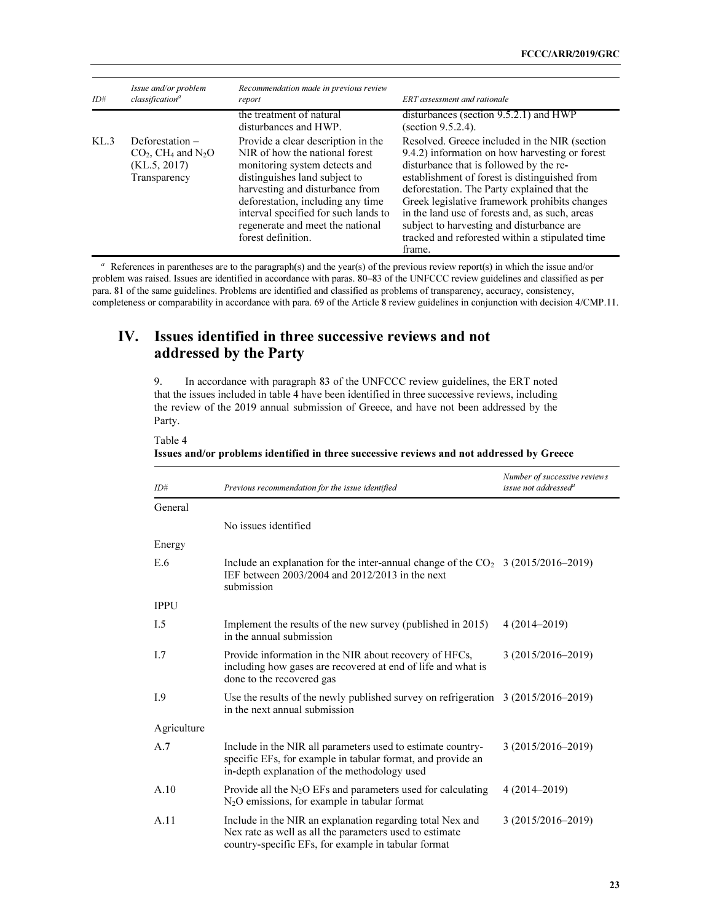| ID#  | Issue and/or problem<br>classification <sup>a</sup>                                               | Recommendation made in previous review<br>report                                                                                                                                                                                                                                                                 | <b>ERT</b> assessment and rationale                                                                                                                                                                                                                                                                                                                                                                                                                     |
|------|---------------------------------------------------------------------------------------------------|------------------------------------------------------------------------------------------------------------------------------------------------------------------------------------------------------------------------------------------------------------------------------------------------------------------|---------------------------------------------------------------------------------------------------------------------------------------------------------------------------------------------------------------------------------------------------------------------------------------------------------------------------------------------------------------------------------------------------------------------------------------------------------|
|      |                                                                                                   | the treatment of natural<br>disturbances and HWP.                                                                                                                                                                                                                                                                | disturbances (section $9.5.2.1$ ) and HWP<br>(section 9.5.2.4).                                                                                                                                                                                                                                                                                                                                                                                         |
| KL.3 | Deforestation $-$<br>$CO2$ , CH <sub>4</sub> and N <sub>2</sub> O<br>(KL.5, 2017)<br>Transparency | Provide a clear description in the<br>NIR of how the national forest<br>monitoring system detects and<br>distinguishes land subject to<br>harvesting and disturbance from<br>deforestation, including any time<br>interval specified for such lands to<br>regenerate and meet the national<br>forest definition. | Resolved. Greece included in the NIR (section<br>9.4.2) information on how harvesting or forest<br>disturbance that is followed by the re-<br>establishment of forest is distinguished from<br>deforestation. The Party explained that the<br>Greek legislative framework prohibits changes<br>in the land use of forests and, as such, areas<br>subject to harvesting and disturbance are<br>tracked and reforested within a stipulated time<br>frame. |

 $a$  References in parentheses are to the paragraph(s) and the year(s) of the previous review report(s) in which the issue and/or problem was raised. Issues are identified in accordance with paras. 80–83 of the UNFCCC review guidelines and classified as per para. 81 of the same guidelines. Problems are identified and classified as problems of transparency, accuracy, consistency, completeness or comparability in accordance with para. 69 of the Article 8 review guidelines in conjunction with decision 4/CMP.11.

# IV. Issues identified in three successive reviews and not addressed by the Party

9. In accordance with paragraph 83 of the UNFCCC review guidelines, the ERT noted that the issues included in table 4 have been identified in three successive reviews, including the review of the 2019 annual submission of Greece, and have not been addressed by the Party.

Table 4

Issues and/or problems identified in three successive reviews and not addressed by Greece

| ID#         | Previous recommendation for the issue identified                                                                                                                            | Number of successive reviews<br>issue not addressed <sup>a</sup> |
|-------------|-----------------------------------------------------------------------------------------------------------------------------------------------------------------------------|------------------------------------------------------------------|
| General     |                                                                                                                                                                             |                                                                  |
|             | No issues identified                                                                                                                                                        |                                                                  |
| Energy      |                                                                                                                                                                             |                                                                  |
| E.6         | Include an explanation for the inter-annual change of the $CO2$ 3 (2015/2016–2019)<br>IEF between 2003/2004 and 2012/2013 in the next<br>submission                         |                                                                  |
| <b>IPPU</b> |                                                                                                                                                                             |                                                                  |
| I.5         | Implement the results of the new survey (published in 2015)<br>in the annual submission                                                                                     | $4(2014 - 2019)$                                                 |
| I.7         | Provide information in the NIR about recovery of HFCs,<br>including how gases are recovered at end of life and what is<br>done to the recovered gas                         | 3 (2015/2016-2019)                                               |
| I.9         | Use the results of the newly published survey on refrigeration $3(2015/2016-2019)$<br>in the next annual submission                                                         |                                                                  |
| Agriculture |                                                                                                                                                                             |                                                                  |
| A.7         | Include in the NIR all parameters used to estimate country-<br>specific EFs, for example in tabular format, and provide an<br>in-depth explanation of the methodology used  | 3 (2015/2016-2019)                                               |
| A.10        | Provide all the $N_2O$ EFs and parameters used for calculating<br>$N_2O$ emissions, for example in tabular format                                                           | 4 (2014–2019)                                                    |
| A.11        | Include in the NIR an explanation regarding total Nex and<br>Nex rate as well as all the parameters used to estimate<br>country-specific EFs, for example in tabular format | 3 (2015/2016-2019)                                               |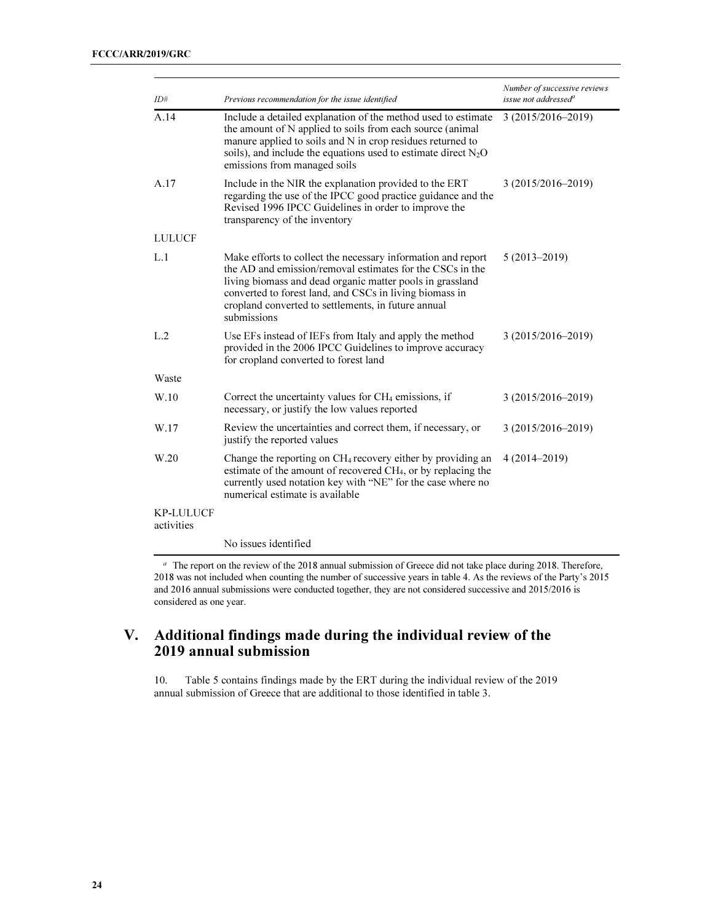| ID#                            | Previous recommendation for the issue identified                                                                                                                                                                                                                                                                        | Number of successive reviews<br>issue not addressed <sup>a</sup> |
|--------------------------------|-------------------------------------------------------------------------------------------------------------------------------------------------------------------------------------------------------------------------------------------------------------------------------------------------------------------------|------------------------------------------------------------------|
| A.14                           | Include a detailed explanation of the method used to estimate<br>the amount of N applied to soils from each source (animal<br>manure applied to soils and N in crop residues returned to<br>soils), and include the equations used to estimate direct $N_2O$<br>emissions from managed soils                            | 3 (2015/2016-2019)                                               |
| A.17                           | Include in the NIR the explanation provided to the ERT<br>regarding the use of the IPCC good practice guidance and the<br>Revised 1996 IPCC Guidelines in order to improve the<br>transparency of the inventory                                                                                                         | 3 (2015/2016–2019)                                               |
| <b>LULUCF</b>                  |                                                                                                                                                                                                                                                                                                                         |                                                                  |
| L.1                            | Make efforts to collect the necessary information and report<br>the AD and emission/removal estimates for the CSCs in the<br>living biomass and dead organic matter pools in grassland<br>converted to forest land, and CSCs in living biomass in<br>cropland converted to settlements, in future annual<br>submissions | $5(2013 - 2019)$                                                 |
| L.2                            | Use EFs instead of IEFs from Italy and apply the method<br>provided in the 2006 IPCC Guidelines to improve accuracy<br>for cropland converted to forest land                                                                                                                                                            | 3 (2015/2016-2019)                                               |
| Waste                          |                                                                                                                                                                                                                                                                                                                         |                                                                  |
| W.10                           | Correct the uncertainty values for CH <sub>4</sub> emissions, if<br>necessary, or justify the low values reported                                                                                                                                                                                                       | 3 (2015/2016-2019)                                               |
| W.17                           | Review the uncertainties and correct them, if necessary, or<br>justify the reported values                                                                                                                                                                                                                              | 3 (2015/2016-2019)                                               |
| W.20                           | Change the reporting on CH <sub>4</sub> recovery either by providing an<br>estimate of the amount of recovered CH <sub>4</sub> , or by replacing the<br>currently used notation key with "NE" for the case where no<br>numerical estimate is available                                                                  | $4(2014 - 2019)$                                                 |
| <b>KP-LULUCF</b><br>activities |                                                                                                                                                                                                                                                                                                                         |                                                                  |
|                                | No issues identified                                                                                                                                                                                                                                                                                                    |                                                                  |

<sup>a</sup> The report on the review of the 2018 annual submission of Greece did not take place during 2018. Therefore, 2018 was not included when counting the number of successive years in table 4. As the reviews of the Party's 2015 and 2016 annual submissions were conducted together, they are not considered successive and 2015/2016 is considered as one year.

# V. Additional findings made during the individual review of the 2019 annual submission

10. Table 5 contains findings made by the ERT during the individual review of the 2019 annual submission of Greece that are additional to those identified in table 3.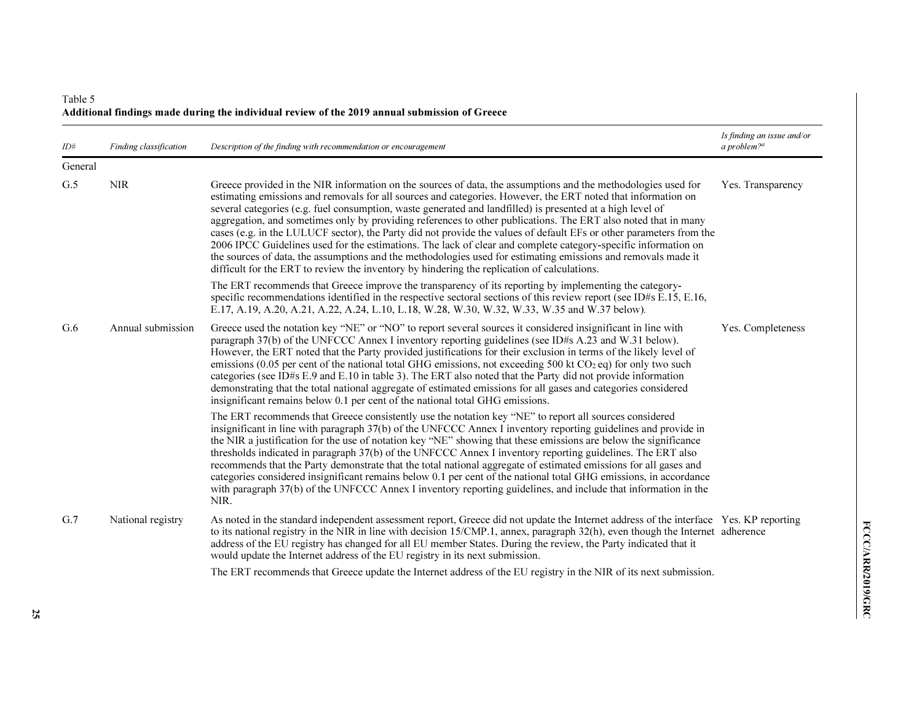### Table 5 Additional findings made during the individual review of the 2019 annual submission of Greece

| ID#     | Finding classification | Description of the finding with recommendation or encouragement                                                                                                                                                                                                                                                                                                                                                                                                                                                                                                                                                                                                                                                                                                                                                                                                                                                        | Is finding an issue and/or<br>a problem? $a$ |
|---------|------------------------|------------------------------------------------------------------------------------------------------------------------------------------------------------------------------------------------------------------------------------------------------------------------------------------------------------------------------------------------------------------------------------------------------------------------------------------------------------------------------------------------------------------------------------------------------------------------------------------------------------------------------------------------------------------------------------------------------------------------------------------------------------------------------------------------------------------------------------------------------------------------------------------------------------------------|----------------------------------------------|
| General |                        |                                                                                                                                                                                                                                                                                                                                                                                                                                                                                                                                                                                                                                                                                                                                                                                                                                                                                                                        |                                              |
| G.5     | <b>NIR</b>             | Greece provided in the NIR information on the sources of data, the assumptions and the methodologies used for<br>estimating emissions and removals for all sources and categories. However, the ERT noted that information on<br>several categories (e.g. fuel consumption, waste generated and landfilled) is presented at a high level of<br>aggregation, and sometimes only by providing references to other publications. The ERT also noted that in many<br>cases (e.g. in the LULUCF sector), the Party did not provide the values of default EFs or other parameters from the<br>2006 IPCC Guidelines used for the estimations. The lack of clear and complete category-specific information on<br>the sources of data, the assumptions and the methodologies used for estimating emissions and removals made it<br>difficult for the ERT to review the inventory by hindering the replication of calculations. | Yes. Transparency                            |
|         |                        | The ERT recommends that Greece improve the transparency of its reporting by implementing the category-<br>specific recommendations identified in the respective sectoral sections of this review report (see ID#s E.15, E.16,<br>E.17, A.19, A.20, A.21, A.22, A.24, L.10, L.18, W.28, W.30, W.32, W.33, W.35 and W.37 below).                                                                                                                                                                                                                                                                                                                                                                                                                                                                                                                                                                                         |                                              |
| G.6     | Annual submission      | Greece used the notation key "NE" or "NO" to report several sources it considered insignificant in line with<br>paragraph $37(b)$ of the UNFCCC Annex I inventory reporting guidelines (see ID#s A.23 and W.31 below).<br>However, the ERT noted that the Party provided justifications for their exclusion in terms of the likely level of<br>emissions (0.05 per cent of the national total GHG emissions, not exceeding 500 kt $CO2$ eq) for only two such<br>categories (see ID#s E.9 and E.10 in table 3). The ERT also noted that the Party did not provide information<br>demonstrating that the total national aggregate of estimated emissions for all gases and categories considered<br>insignificant remains below 0.1 per cent of the national total GHG emissions.                                                                                                                                       | Yes. Completeness                            |
|         |                        | The ERT recommends that Greece consistently use the notation key "NE" to report all sources considered<br>insignificant in line with paragraph 37(b) of the UNFCCC Annex I inventory reporting guidelines and provide in<br>the NIR a justification for the use of notation key "NE" showing that these emissions are below the significance<br>thresholds indicated in paragraph 37(b) of the UNFCCC Annex I inventory reporting guidelines. The ERT also<br>recommends that the Party demonstrate that the total national aggregate of estimated emissions for all gases and<br>categories considered insignificant remains below 0.1 per cent of the national total GHG emissions, in accordance<br>with paragraph 37(b) of the UNFCCC Annex I inventory reporting guidelines, and include that information in the<br>NIR.                                                                                          |                                              |
| G.7     | National registry      | As noted in the standard independent assessment report, Greece did not update the Internet address of the interface Yes. KP reporting<br>to its national registry in the NIR in line with decision 15/CMP.1, annex, paragraph 32(h), even though the Internet adherence<br>address of the EU registry has changed for all EU member States. During the review, the Party indicated that it<br>would update the Internet address of the EU registry in its next submission.<br>The ERT recommends that Greece update the Internet address of the EU registry in the NIR of its next submission.                                                                                                                                                                                                                                                                                                                         |                                              |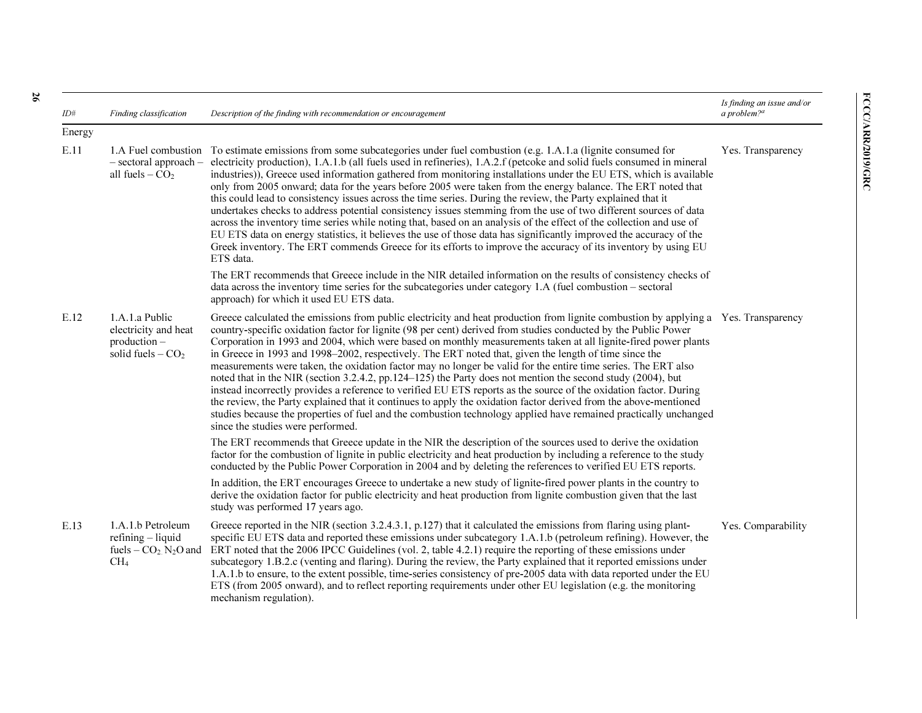| ID#    | Finding classification                                                                                          | Description of the finding with recommendation or encouragement                                                                                                                                                                                                                                                                                                                                                                                                                                                                                                                                                                                                                                                                                                                                                                                                                                                                                                                                                                                                                                                    | Is finding an issue and/or<br>a problem? $a$ |
|--------|-----------------------------------------------------------------------------------------------------------------|--------------------------------------------------------------------------------------------------------------------------------------------------------------------------------------------------------------------------------------------------------------------------------------------------------------------------------------------------------------------------------------------------------------------------------------------------------------------------------------------------------------------------------------------------------------------------------------------------------------------------------------------------------------------------------------------------------------------------------------------------------------------------------------------------------------------------------------------------------------------------------------------------------------------------------------------------------------------------------------------------------------------------------------------------------------------------------------------------------------------|----------------------------------------------|
| Energy |                                                                                                                 |                                                                                                                                                                                                                                                                                                                                                                                                                                                                                                                                                                                                                                                                                                                                                                                                                                                                                                                                                                                                                                                                                                                    |                                              |
| E.11   | $-$ sectoral approach $-$<br>all fuels $-CO2$                                                                   | 1.A Fuel combustion To estimate emissions from some subcategories under fuel combustion (e.g. 1.A.1.a (lignite consumed for<br>electricity production), 1.A.1.b (all fuels used in refineries), 1.A.2.f (petcoke and solid fuels consumed in mineral<br>industries)), Greece used information gathered from monitoring installations under the EU ETS, which is available<br>only from 2005 onward; data for the years before 2005 were taken from the energy balance. The ERT noted that<br>this could lead to consistency issues across the time series. During the review, the Party explained that it<br>undertakes checks to address potential consistency issues stemming from the use of two different sources of data<br>across the inventory time series while noting that, based on an analysis of the effect of the collection and use of<br>EU ETS data on energy statistics, it believes the use of those data has significantly improved the accuracy of the<br>Greek inventory. The ERT commends Greece for its efforts to improve the accuracy of its inventory by using EU<br>ETS data.           | Yes. Transparency                            |
|        |                                                                                                                 | The ERT recommends that Greece include in the NIR detailed information on the results of consistency checks of<br>data across the inventory time series for the subcategories under category 1.A (fuel combustion – sectoral<br>approach) for which it used EU ETS data.                                                                                                                                                                                                                                                                                                                                                                                                                                                                                                                                                                                                                                                                                                                                                                                                                                           |                                              |
| E.12   | 1.A.1.a Public<br>electricity and heat<br>production –<br>solid fuels $-$ CO <sub>2</sub>                       | Greece calculated the emissions from public electricity and heat production from lignite combustion by applying a Yes. Transparency<br>country-specific oxidation factor for lignite (98 per cent) derived from studies conducted by the Public Power<br>Corporation in 1993 and 2004, which were based on monthly measurements taken at all lignite-fired power plants<br>in Greece in 1993 and 1998–2002, respectively. The ERT noted that, given the length of time since the<br>measurements were taken, the oxidation factor may no longer be valid for the entire time series. The ERT also<br>noted that in the NIR (section 3.2.4.2, pp.124–125) the Party does not mention the second study (2004), but<br>instead incorrectly provides a reference to verified EU ETS reports as the source of the oxidation factor. During<br>the review, the Party explained that it continues to apply the oxidation factor derived from the above-mentioned<br>studies because the properties of fuel and the combustion technology applied have remained practically unchanged<br>since the studies were performed. |                                              |
|        |                                                                                                                 | The ERT recommends that Greece update in the NIR the description of the sources used to derive the oxidation<br>factor for the combustion of lignite in public electricity and heat production by including a reference to the study<br>conducted by the Public Power Corporation in 2004 and by deleting the references to verified EU ETS reports.                                                                                                                                                                                                                                                                                                                                                                                                                                                                                                                                                                                                                                                                                                                                                               |                                              |
|        |                                                                                                                 | In addition, the ERT encourages Greece to undertake a new study of lignite-fired power plants in the country to<br>derive the oxidation factor for public electricity and heat production from lignite combustion given that the last<br>study was performed 17 years ago.                                                                                                                                                                                                                                                                                                                                                                                                                                                                                                                                                                                                                                                                                                                                                                                                                                         |                                              |
| E.13   | 1.A.1.b Petroleum<br>$refining - liquid$<br>fuels $-$ CO <sub>2</sub> . N <sub>2</sub> O and<br>CH <sub>4</sub> | Greece reported in the NIR (section 3.2.4.3.1, p.127) that it calculated the emissions from flaring using plant-<br>specific EU ETS data and reported these emissions under subcategory 1.A.1.b (petroleum refining). However, the<br>ERT noted that the 2006 IPCC Guidelines (vol. 2, table 4.2.1) require the reporting of these emissions under<br>subcategory 1.B.2.c (venting and flaring). During the review, the Party explained that it reported emissions under<br>1.A.1.b to ensure, to the extent possible, time-series consistency of pre-2005 data with data reported under the EU<br>ETS (from 2005 onward), and to reflect reporting requirements under other EU legislation (e.g. the monitoring<br>mechanism regulation).                                                                                                                                                                                                                                                                                                                                                                         | Yes. Comparability                           |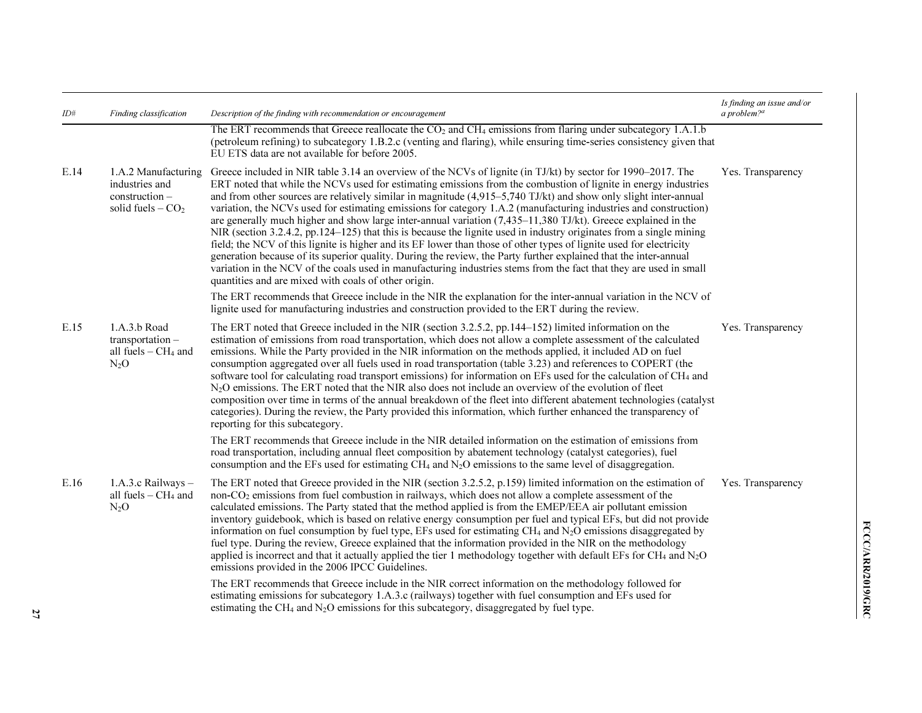| ID#  | Finding classification                                                          | Description of the finding with recommendation or encouragement                                                                                                                                                                                                                                                                                                                                                                                                                                                                                                                                                                                                                                                                                                                                                                                                                                                                                                                                                                                                                                                                             | Is finding an issue and/or<br>a problem? <sup>a</sup> |
|------|---------------------------------------------------------------------------------|---------------------------------------------------------------------------------------------------------------------------------------------------------------------------------------------------------------------------------------------------------------------------------------------------------------------------------------------------------------------------------------------------------------------------------------------------------------------------------------------------------------------------------------------------------------------------------------------------------------------------------------------------------------------------------------------------------------------------------------------------------------------------------------------------------------------------------------------------------------------------------------------------------------------------------------------------------------------------------------------------------------------------------------------------------------------------------------------------------------------------------------------|-------------------------------------------------------|
|      |                                                                                 | The ERT recommends that Greece reallocate the $CO2$ and CH <sub>4</sub> emissions from flaring under subcategory 1.A.1.b<br>(petroleum refining) to subcategory 1.B.2.c (venting and flaring), while ensuring time-series consistency given that<br>EU ETS data are not available for before 2005.                                                                                                                                                                                                                                                                                                                                                                                                                                                                                                                                                                                                                                                                                                                                                                                                                                          |                                                       |
| E.14 | 1.A.2 Manufacturing<br>industries and<br>construction -<br>solid fuels $-CO2$   | Greece included in NIR table 3.14 an overview of the NCVs of lignite (in TJ/kt) by sector for 1990–2017. The<br>ERT noted that while the NCVs used for estimating emissions from the combustion of lignite in energy industries<br>and from other sources are relatively similar in magnitude (4,915–5,740 TJ/kt) and show only slight inter-annual<br>variation, the NCVs used for estimating emissions for category 1.A.2 (manufacturing industries and construction)<br>are generally much higher and show large inter-annual variation $(7,435-11,380)$ TJ/kt). Greece explained in the<br>NIR (section 3.2.4.2, pp.124–125) that this is because the lignite used in industry originates from a single mining<br>field; the NCV of this lignite is higher and its EF lower than those of other types of lignite used for electricity<br>generation because of its superior quality. During the review, the Party further explained that the inter-annual<br>variation in the NCV of the coals used in manufacturing industries stems from the fact that they are used in small<br>quantities and are mixed with coals of other origin. | Yes. Transparency                                     |
|      |                                                                                 | The ERT recommends that Greece include in the NIR the explanation for the inter-annual variation in the NCV of<br>lignite used for manufacturing industries and construction provided to the ERT during the review.                                                                                                                                                                                                                                                                                                                                                                                                                                                                                                                                                                                                                                                                                                                                                                                                                                                                                                                         |                                                       |
| E.15 | 1.A.3.b Road<br>$transportation -$<br>all fuels - CH <sub>4</sub> and<br>$N_2O$ | The ERT noted that Greece included in the NIR (section 3.2.5.2, pp. 144–152) limited information on the<br>estimation of emissions from road transportation, which does not allow a complete assessment of the calculated<br>emissions. While the Party provided in the NIR information on the methods applied, it included AD on fuel<br>consumption aggregated over all fuels used in road transportation (table 3.23) and references to COPERT (the<br>software tool for calculating road transport emissions) for information on EFs used for the calculation of CH <sub>4</sub> and<br>N <sub>2</sub> O emissions. The ERT noted that the NIR also does not include an overview of the evolution of fleet<br>composition over time in terms of the annual breakdown of the fleet into different abatement technologies (catalyst<br>categories). During the review, the Party provided this information, which further enhanced the transparency of<br>reporting for this subcategory.                                                                                                                                                 | Yes. Transparency                                     |
|      |                                                                                 | The ERT recommends that Greece include in the NIR detailed information on the estimation of emissions from<br>road transportation, including annual fleet composition by abatement technology (catalyst categories), fuel<br>consumption and the EFs used for estimating CH <sub>4</sub> and $N_2O$ emissions to the same level of disaggregation.                                                                                                                                                                                                                                                                                                                                                                                                                                                                                                                                                                                                                                                                                                                                                                                          |                                                       |
| E.16 | 1.A.3.c Railways -<br>all fuels $-CH4$ and<br>$N_2O$                            | The ERT noted that Greece provided in the NIR (section 3.2.5.2, p.159) limited information on the estimation of<br>non-CO <sub>2</sub> emissions from fuel combustion in railways, which does not allow a complete assessment of the<br>calculated emissions. The Party stated that the method applied is from the EMEP/EEA air pollutant emission<br>inventory guidebook, which is based on relative energy consumption per fuel and typical EFs, but did not provide<br>information on fuel consumption by fuel type, EFs used for estimating CH <sub>4</sub> and $N_2O$ emissions disaggregated by<br>fuel type. During the review, Greece explained that the information provided in the NIR on the methodology<br>applied is incorrect and that it actually applied the tier 1 methodology together with default EFs for CH <sub>4</sub> and $N_2O$<br>emissions provided in the 2006 IPCC Guidelines.                                                                                                                                                                                                                                 | Yes. Transparency                                     |
|      |                                                                                 | The ERT recommends that Greece include in the NIR correct information on the methodology followed for<br>estimating emissions for subcategory 1.A.3.c (railways) together with fuel consumption and EFs used for<br>estimating the $CH_4$ and $N_2O$ emissions for this subcategory, disaggregated by fuel type.                                                                                                                                                                                                                                                                                                                                                                                                                                                                                                                                                                                                                                                                                                                                                                                                                            |                                                       |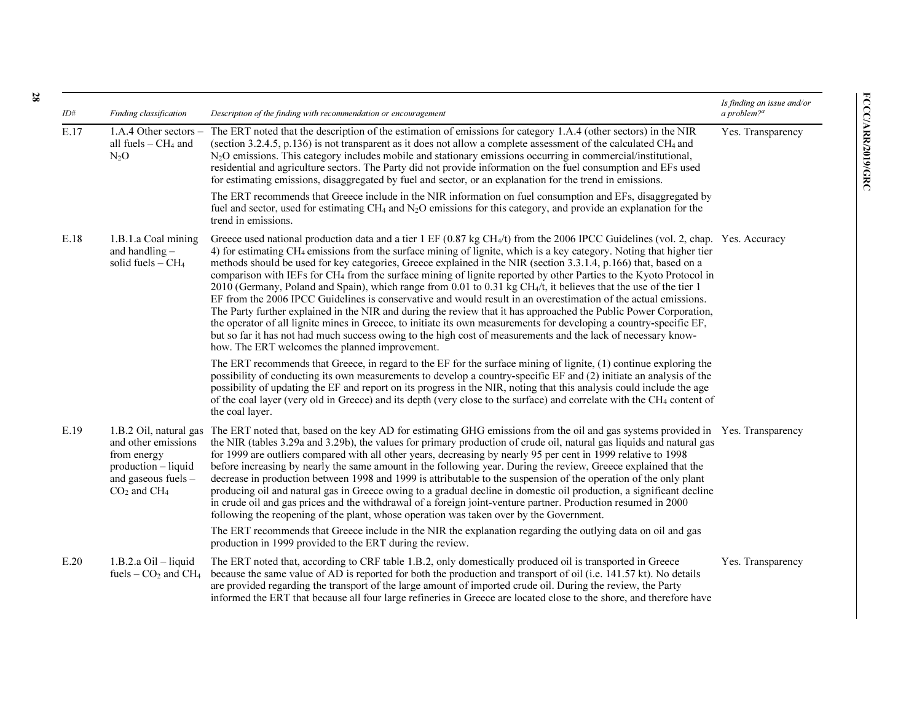| ID#  | Finding classification                                                                                | Description of the finding with recommendation or encouragement                                                                                                                                                                                                                                                                                                                                                                                                                                                                                                                                                                                                                                                                                                                                                                                                                                                                                                                                                                                                                                                                                                                                                  | Is finding an issue and/or<br>a problem? $a$ |
|------|-------------------------------------------------------------------------------------------------------|------------------------------------------------------------------------------------------------------------------------------------------------------------------------------------------------------------------------------------------------------------------------------------------------------------------------------------------------------------------------------------------------------------------------------------------------------------------------------------------------------------------------------------------------------------------------------------------------------------------------------------------------------------------------------------------------------------------------------------------------------------------------------------------------------------------------------------------------------------------------------------------------------------------------------------------------------------------------------------------------------------------------------------------------------------------------------------------------------------------------------------------------------------------------------------------------------------------|----------------------------------------------|
| E.17 | 1.A.4 Other sectors $-$<br>all fuels $-CH4$ and<br>$N_2O$                                             | The ERT noted that the description of the estimation of emissions for category 1.A.4 (other sectors) in the NIR<br>(section 3.2.4.5, p.136) is not transparent as it does not allow a complete assessment of the calculated CH <sub>4</sub> and<br>N <sub>2</sub> O emissions. This category includes mobile and stationary emissions occurring in commercial/institutional,<br>residential and agriculture sectors. The Party did not provide information on the fuel consumption and EFs used<br>for estimating emissions, disaggregated by fuel and sector, or an explanation for the trend in emissions.                                                                                                                                                                                                                                                                                                                                                                                                                                                                                                                                                                                                     | Yes. Transparency                            |
|      |                                                                                                       | The ERT recommends that Greece include in the NIR information on fuel consumption and EFs, disaggregated by<br>fuel and sector, used for estimating CH <sub>4</sub> and N <sub>2</sub> O emissions for this category, and provide an explanation for the<br>trend in emissions.                                                                                                                                                                                                                                                                                                                                                                                                                                                                                                                                                                                                                                                                                                                                                                                                                                                                                                                                  |                                              |
| E.18 | 1.B.1.a Coal mining<br>and handling -<br>solid fuels $-CH4$                                           | Greece used national production data and a tier $1 \text{ EF } (0.87 \text{ kg CH}_4/t)$ from the 2006 IPCC Guidelines (vol. 2, chap. Yes. Accuracy<br>4) for estimating CH <sub>4</sub> emissions from the surface mining of lignite, which is a key category. Noting that higher tier<br>methods should be used for key categories, Greece explained in the NIR (section 3.3.1.4, p.166) that, based on a<br>comparison with IEFs for CH <sub>4</sub> from the surface mining of lignite reported by other Parties to the Kyoto Protocol in<br>2010 (Germany, Poland and Spain), which range from 0.01 to 0.31 kg CH <sub>4</sub> /t, it believes that the use of the tier 1<br>EF from the 2006 IPCC Guidelines is conservative and would result in an overestimation of the actual emissions.<br>The Party further explained in the NIR and during the review that it has approached the Public Power Corporation,<br>the operator of all lignite mines in Greece, to initiate its own measurements for developing a country-specific EF,<br>but so far it has not had much success owing to the high cost of measurements and the lack of necessary know-<br>how. The ERT welcomes the planned improvement. |                                              |
|      |                                                                                                       | The ERT recommends that Greece, in regard to the EF for the surface mining of lignite, (1) continue exploring the<br>possibility of conducting its own measurements to develop a country-specific EF and (2) initiate an analysis of the<br>possibility of updating the EF and report on its progress in the NIR, noting that this analysis could include the age<br>of the coal layer (very old in Greece) and its depth (very close to the surface) and correlate with the CH <sub>4</sub> content of<br>the coal layer.                                                                                                                                                                                                                                                                                                                                                                                                                                                                                                                                                                                                                                                                                       |                                              |
| E.19 | and other emissions<br>from energy<br>$production - liquid$<br>and gaseous fuels -<br>$CO2$ and $CH4$ | 1.B.2 Oil, natural gas The ERT noted that, based on the key AD for estimating GHG emissions from the oil and gas systems provided in Yes. Transparency<br>the NIR (tables 3.29a and 3.29b), the values for primary production of crude oil, natural gas liquids and natural gas<br>for 1999 are outliers compared with all other years, decreasing by nearly 95 per cent in 1999 relative to 1998<br>before increasing by nearly the same amount in the following year. During the review, Greece explained that the<br>decrease in production between 1998 and 1999 is attributable to the suspension of the operation of the only plant<br>producing oil and natural gas in Greece owing to a gradual decline in domestic oil production, a significant decline<br>in crude oil and gas prices and the withdrawal of a foreign joint-venture partner. Production resumed in 2000<br>following the reopening of the plant, whose operation was taken over by the Government.                                                                                                                                                                                                                                    |                                              |
|      |                                                                                                       | The ERT recommends that Greece include in the NIR the explanation regarding the outlying data on oil and gas<br>production in 1999 provided to the ERT during the review.                                                                                                                                                                                                                                                                                                                                                                                                                                                                                                                                                                                                                                                                                                                                                                                                                                                                                                                                                                                                                                        |                                              |
| E.20 | $1.B.2.a Oil - liquid$<br>fuels $-$ CO <sub>2</sub> and CH <sub>4</sub>                               | The ERT noted that, according to CRF table 1.B.2, only domestically produced oil is transported in Greece<br>because the same value of AD is reported for both the production and transport of oil (i.e. 141.57 kt). No details<br>are provided regarding the transport of the large amount of imported crude oil. During the review, the Party<br>informed the ERT that because all four large refineries in Greece are located close to the shore, and therefore have                                                                                                                                                                                                                                                                                                                                                                                                                                                                                                                                                                                                                                                                                                                                          | Yes. Transparency                            |

28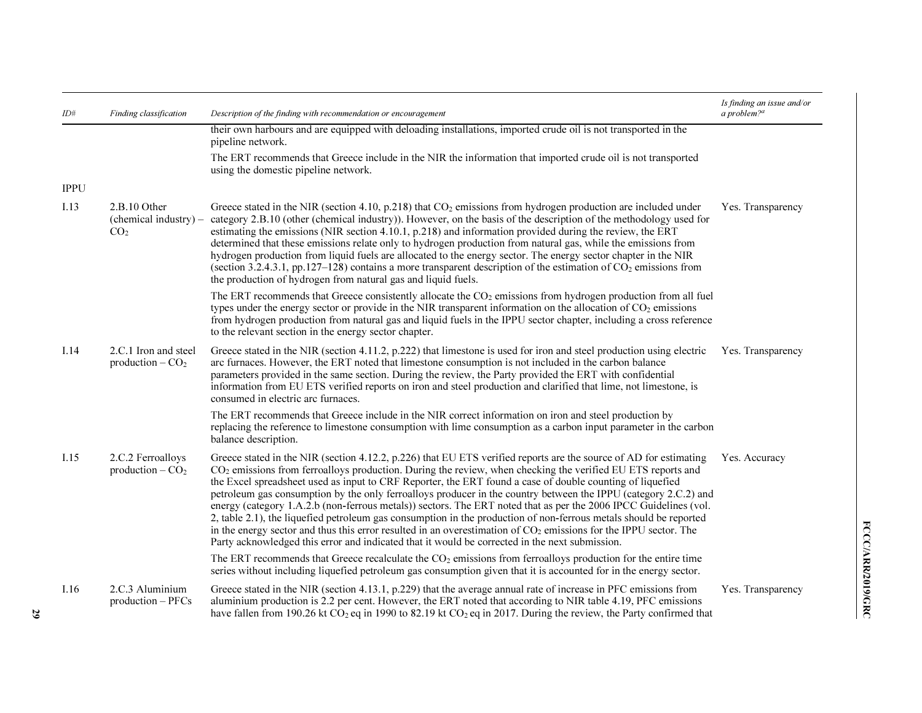| ID#         | Finding classification                                   | Description of the finding with recommendation or encouragement                                                                                                                                                                                                                                                                                                                                                                                                                                                                                                                                                                                                                                                                                                                                                                                                                                                                     | Is finding an issue and/or<br>a problem? <sup>a</sup> |
|-------------|----------------------------------------------------------|-------------------------------------------------------------------------------------------------------------------------------------------------------------------------------------------------------------------------------------------------------------------------------------------------------------------------------------------------------------------------------------------------------------------------------------------------------------------------------------------------------------------------------------------------------------------------------------------------------------------------------------------------------------------------------------------------------------------------------------------------------------------------------------------------------------------------------------------------------------------------------------------------------------------------------------|-------------------------------------------------------|
|             |                                                          | their own harbours and are equipped with deloading installations, imported crude oil is not transported in the<br>pipeline network.                                                                                                                                                                                                                                                                                                                                                                                                                                                                                                                                                                                                                                                                                                                                                                                                 |                                                       |
|             |                                                          | The ERT recommends that Greece include in the NIR the information that imported crude oil is not transported<br>using the domestic pipeline network.                                                                                                                                                                                                                                                                                                                                                                                                                                                                                                                                                                                                                                                                                                                                                                                |                                                       |
| <b>IPPU</b> |                                                          |                                                                                                                                                                                                                                                                                                                                                                                                                                                                                                                                                                                                                                                                                                                                                                                                                                                                                                                                     |                                                       |
| I.13        | 2.B.10 Other<br>(chemical industry) –<br>CO <sub>2</sub> | Greece stated in the NIR (section 4.10, p.218) that $CO2$ emissions from hydrogen production are included under<br>category 2.B.10 (other (chemical industry)). However, on the basis of the description of the methodology used for<br>estimating the emissions (NIR section 4.10.1, p.218) and information provided during the review, the ERT<br>determined that these emissions relate only to hydrogen production from natural gas, while the emissions from<br>hydrogen production from liquid fuels are allocated to the energy sector. The energy sector chapter in the NIR<br>(section 3.2.4.3.1, pp.127–128) contains a more transparent description of the estimation of $CO2$ emissions from<br>the production of hydrogen from natural gas and liquid fuels.                                                                                                                                                           | Yes. Transparency                                     |
|             |                                                          | The ERT recommends that Greece consistently allocate the $CO2$ emissions from hydrogen production from all fuel<br>types under the energy sector or provide in the NIR transparent information on the allocation of CO <sub>2</sub> emissions<br>from hydrogen production from natural gas and liquid fuels in the IPPU sector chapter, including a cross reference<br>to the relevant section in the energy sector chapter.                                                                                                                                                                                                                                                                                                                                                                                                                                                                                                        |                                                       |
| 1.14        | 2.C.1 Iron and steel<br>production $-CO2$                | Greece stated in the NIR (section 4.11.2, p.222) that limestone is used for iron and steel production using electric<br>arc furnaces. However, the ERT noted that limestone consumption is not included in the carbon balance<br>parameters provided in the same section. During the review, the Party provided the ERT with confidential<br>information from EU ETS verified reports on iron and steel production and clarified that lime, not limestone, is<br>consumed in electric arc furnaces.                                                                                                                                                                                                                                                                                                                                                                                                                                 | Yes. Transparency                                     |
|             |                                                          | The ERT recommends that Greece include in the NIR correct information on iron and steel production by<br>replacing the reference to limestone consumption with lime consumption as a carbon input parameter in the carbon<br>balance description.                                                                                                                                                                                                                                                                                                                                                                                                                                                                                                                                                                                                                                                                                   |                                                       |
| 1.15        | 2.C.2 Ferroalloys<br>production $-CO2$                   | Greece stated in the NIR (section 4.12.2, p.226) that EU ETS verified reports are the source of AD for estimating<br>$CO2$ emissions from ferroalloys production. During the review, when checking the verified EU ETS reports and<br>the Excel spreadsheet used as input to CRF Reporter, the ERT found a case of double counting of liquefied<br>petroleum gas consumption by the only ferroalloys producer in the country between the IPPU (category 2.C.2) and<br>energy (category 1.A.2.b (non-ferrous metals)) sectors. The ERT noted that as per the 2006 IPCC Guidelines (vol.<br>2, table 2.1), the liquefied petroleum gas consumption in the production of non-ferrous metals should be reported<br>in the energy sector and thus this error resulted in an overestimation of $CO2$ emissions for the IPPU sector. The<br>Party acknowledged this error and indicated that it would be corrected in the next submission. | Yes. Accuracy                                         |
|             |                                                          | The ERT recommends that Greece recalculate the $CO2$ emissions from ferroalloys production for the entire time<br>series without including liquefied petroleum gas consumption given that it is accounted for in the energy sector.                                                                                                                                                                                                                                                                                                                                                                                                                                                                                                                                                                                                                                                                                                 |                                                       |
| 1.16        | 2.C.3 Aluminium<br>$production - PFCs$                   | Greece stated in the NIR (section 4.13.1, p.229) that the average annual rate of increase in PFC emissions from<br>aluminium production is 2.2 per cent. However, the ERT noted that according to NIR table 4.19, PFC emissions<br>have fallen from 190.26 kt CO <sub>2</sub> eq in 1990 to 82.19 kt CO <sub>2</sub> eq in 2017. During the review, the Party confirmed that                                                                                                                                                                                                                                                                                                                                                                                                                                                                                                                                                        | Yes. Transparency                                     |

29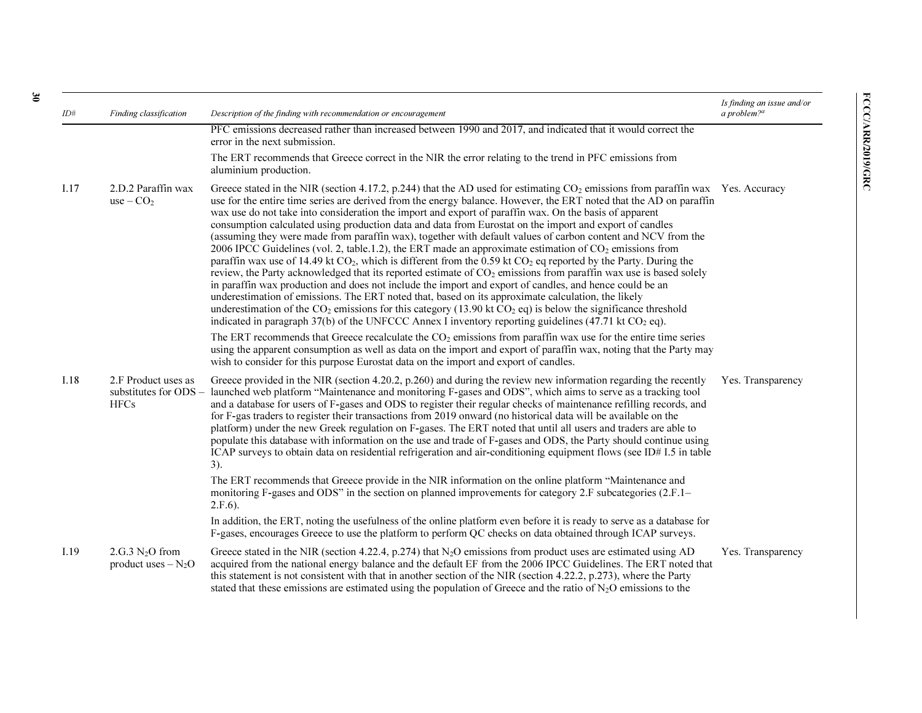| ID#  | Finding classification                                        | Description of the finding with recommendation or encouragement                                                                                                                                                                                                                                                                                                                                                                                                                                                                                                                                                                                                                                                                                                                                                                                                                                                                                                                                                                                                                                                                                                                                                                                                                                                                                                                                                                                                                                                                                                          | Is finding an issue and/or<br>a problem? $a$ |
|------|---------------------------------------------------------------|--------------------------------------------------------------------------------------------------------------------------------------------------------------------------------------------------------------------------------------------------------------------------------------------------------------------------------------------------------------------------------------------------------------------------------------------------------------------------------------------------------------------------------------------------------------------------------------------------------------------------------------------------------------------------------------------------------------------------------------------------------------------------------------------------------------------------------------------------------------------------------------------------------------------------------------------------------------------------------------------------------------------------------------------------------------------------------------------------------------------------------------------------------------------------------------------------------------------------------------------------------------------------------------------------------------------------------------------------------------------------------------------------------------------------------------------------------------------------------------------------------------------------------------------------------------------------|----------------------------------------------|
|      |                                                               | PFC emissions decreased rather than increased between 1990 and 2017, and indicated that it would correct the<br>error in the next submission.                                                                                                                                                                                                                                                                                                                                                                                                                                                                                                                                                                                                                                                                                                                                                                                                                                                                                                                                                                                                                                                                                                                                                                                                                                                                                                                                                                                                                            |                                              |
|      |                                                               | The ERT recommends that Greece correct in the NIR the error relating to the trend in PFC emissions from<br>aluminium production.                                                                                                                                                                                                                                                                                                                                                                                                                                                                                                                                                                                                                                                                                                                                                                                                                                                                                                                                                                                                                                                                                                                                                                                                                                                                                                                                                                                                                                         |                                              |
| I.17 | 2.D.2 Paraffin wax<br>$use - CO2$                             | Greece stated in the NIR (section 4.17.2, p.244) that the AD used for estimating $CO2$ emissions from paraffin wax Yes. Accuracy<br>use for the entire time series are derived from the energy balance. However, the ERT noted that the AD on paraffin<br>wax use do not take into consideration the import and export of paraffin wax. On the basis of apparent<br>consumption calculated using production data and data from Eurostat on the import and export of candles<br>(assuming they were made from paraffin wax), together with default values of carbon content and NCV from the<br>2006 IPCC Guidelines (vol. 2, table.1.2), the ERT made an approximate estimation of $CO2$ emissions from<br>paraffin wax use of 14.49 kt CO <sub>2</sub> , which is different from the 0.59 kt CO <sub>2</sub> eq reported by the Party. During the<br>review, the Party acknowledged that its reported estimate of CO <sub>2</sub> emissions from paraffin wax use is based solely<br>in paraffin wax production and does not include the import and export of candles, and hence could be an<br>underestimation of emissions. The ERT noted that, based on its approximate calculation, the likely<br>underestimation of the $CO_2$ emissions for this category (13.90 kt $CO_2$ eq) is below the significance threshold<br>indicated in paragraph 37(b) of the UNFCCC Annex I inventory reporting guidelines $(47.71 \text{ kt CO}_2 \text{ eq})$ .<br>The ERT recommends that Greece recalculate the $CO2$ emissions from paraffin wax use for the entire time series |                                              |
|      |                                                               | using the apparent consumption as well as data on the import and export of paraffin wax, noting that the Party may<br>wish to consider for this purpose Eurostat data on the import and export of candles.                                                                                                                                                                                                                                                                                                                                                                                                                                                                                                                                                                                                                                                                                                                                                                                                                                                                                                                                                                                                                                                                                                                                                                                                                                                                                                                                                               |                                              |
| I.18 | 2.F Product uses as<br>substitutes for $ODS -$<br><b>HFCs</b> | Greece provided in the NIR (section 4.20.2, p.260) and during the review new information regarding the recently<br>launched web platform "Maintenance and monitoring F-gases and ODS", which aims to serve as a tracking tool<br>and a database for users of F-gases and ODS to register their regular checks of maintenance refilling records, and<br>for F-gas traders to register their transactions from 2019 onward (no historical data will be available on the<br>platform) under the new Greek regulation on F-gases. The ERT noted that until all users and traders are able to<br>populate this database with information on the use and trade of F-gases and ODS, the Party should continue using<br>ICAP surveys to obtain data on residential refrigeration and air-conditioning equipment flows (see ID#1.5 in table<br>3).                                                                                                                                                                                                                                                                                                                                                                                                                                                                                                                                                                                                                                                                                                                                | Yes. Transparency                            |
|      |                                                               | The ERT recommends that Greece provide in the NIR information on the online platform "Maintenance and<br>monitoring F-gases and ODS" in the section on planned improvements for category 2.F subcategories (2.F.1–<br>$2.F.6$ ).                                                                                                                                                                                                                                                                                                                                                                                                                                                                                                                                                                                                                                                                                                                                                                                                                                                                                                                                                                                                                                                                                                                                                                                                                                                                                                                                         |                                              |
|      |                                                               | In addition, the ERT, noting the usefulness of the online platform even before it is ready to serve as a database for<br>F-gases, encourages Greece to use the platform to perform QC checks on data obtained through ICAP surveys.                                                                                                                                                                                                                                                                                                                                                                                                                                                                                                                                                                                                                                                                                                                                                                                                                                                                                                                                                                                                                                                                                                                                                                                                                                                                                                                                      |                                              |
| I.19 | $2.G.3 N2O$ from<br>product uses $-N_2O$                      | Greece stated in the NIR (section 4.22.4, p.274) that $N_2O$ emissions from product uses are estimated using AD<br>acquired from the national energy balance and the default EF from the 2006 IPCC Guidelines. The ERT noted that<br>this statement is not consistent with that in another section of the NIR (section 4.22.2, p.273), where the Party<br>stated that these emissions are estimated using the population of Greece and the ratio of $N_2O$ emissions to the                                                                                                                                                                                                                                                                                                                                                                                                                                                                                                                                                                                                                                                                                                                                                                                                                                                                                                                                                                                                                                                                                              | Yes. Transparency                            |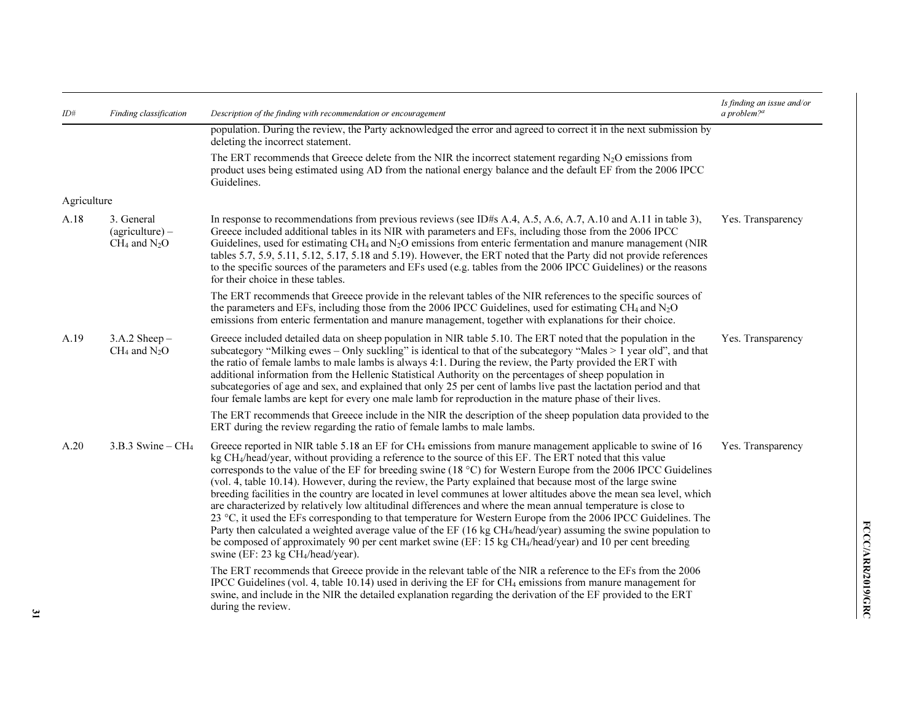| ID#         | Finding classification                               | Description of the finding with recommendation or encouragement                                                                                                                                                                                                                                                                                                                                                                                                                                                                                                                                                                                                                                                                                                                                                                                                                                                                                                                                                                                                                                                                         | Is finding an issue and/or<br>a problem? $a$ |
|-------------|------------------------------------------------------|-----------------------------------------------------------------------------------------------------------------------------------------------------------------------------------------------------------------------------------------------------------------------------------------------------------------------------------------------------------------------------------------------------------------------------------------------------------------------------------------------------------------------------------------------------------------------------------------------------------------------------------------------------------------------------------------------------------------------------------------------------------------------------------------------------------------------------------------------------------------------------------------------------------------------------------------------------------------------------------------------------------------------------------------------------------------------------------------------------------------------------------------|----------------------------------------------|
|             |                                                      | population. During the review, the Party acknowledged the error and agreed to correct it in the next submission by<br>deleting the incorrect statement.                                                                                                                                                                                                                                                                                                                                                                                                                                                                                                                                                                                                                                                                                                                                                                                                                                                                                                                                                                                 |                                              |
|             |                                                      | The ERT recommends that Greece delete from the NIR the incorrect statement regarding $N_2O$ emissions from<br>product uses being estimated using AD from the national energy balance and the default EF from the 2006 IPCC<br>Guidelines.                                                                                                                                                                                                                                                                                                                                                                                                                                                                                                                                                                                                                                                                                                                                                                                                                                                                                               |                                              |
| Agriculture |                                                      |                                                                                                                                                                                                                                                                                                                                                                                                                                                                                                                                                                                                                                                                                                                                                                                                                                                                                                                                                                                                                                                                                                                                         |                                              |
| A.18        | 3. General<br>$(agriculture) -$<br>$CH_4$ and $N_2O$ | In response to recommendations from previous reviews (see ID#s A.4, A.5, A.6, A.7, A.10 and A.11 in table 3),<br>Greece included additional tables in its NIR with parameters and EFs, including those from the 2006 IPCC<br>Guidelines, used for estimating $CH_4$ and $N_2O$ emissions from enteric fermentation and manure management (NIR<br>tables 5.7, 5.9, 5.11, 5.12, 5.17, 5.18 and 5.19). However, the ERT noted that the Party did not provide references<br>to the specific sources of the parameters and EFs used (e.g. tables from the 2006 IPCC Guidelines) or the reasons<br>for their choice in these tables.                                                                                                                                                                                                                                                                                                                                                                                                                                                                                                          | Yes. Transparency                            |
|             |                                                      | The ERT recommends that Greece provide in the relevant tables of the NIR references to the specific sources of<br>the parameters and EFs, including those from the 2006 IPCC Guidelines, used for estimating CH <sub>4</sub> and $N_2O$<br>emissions from enteric fermentation and manure management, together with explanations for their choice.                                                                                                                                                                                                                                                                                                                                                                                                                                                                                                                                                                                                                                                                                                                                                                                      |                                              |
| A.19        | $3.A.2$ Sheep $-$<br>$CH_4$ and $N_2O$               | Greece included detailed data on sheep population in NIR table 5.10. The ERT noted that the population in the<br>subcategory "Milking ewes – Only suckling" is identical to that of the subcategory "Males > 1 year old", and that<br>the ratio of female lambs to male lambs is always 4:1. During the review, the Party provided the ERT with<br>additional information from the Hellenic Statistical Authority on the percentages of sheep population in<br>subcategories of age and sex, and explained that only 25 per cent of lambs live past the lactation period and that<br>four female lambs are kept for every one male lamb for reproduction in the mature phase of their lives.                                                                                                                                                                                                                                                                                                                                                                                                                                            | Yes. Transparency                            |
|             |                                                      | The ERT recommends that Greece include in the NIR the description of the sheep population data provided to the<br>ERT during the review regarding the ratio of female lambs to male lambs.                                                                                                                                                                                                                                                                                                                                                                                                                                                                                                                                                                                                                                                                                                                                                                                                                                                                                                                                              |                                              |
| A.20        | 3.B.3 Swine – $CH4$                                  | Greece reported in NIR table 5.18 an EF for CH <sub>4</sub> emissions from manure management applicable to swine of 16<br>kg $CH_4$ /head/year, without providing a reference to the source of this EF. The ERT noted that this value<br>corresponds to the value of the EF for breeding swine (18 $^{\circ}$ C) for Western Europe from the 2006 IPCC Guidelines<br>(vol. 4, table 10.14). However, during the review, the Party explained that because most of the large swine<br>breeding facilities in the country are located in level communes at lower altitudes above the mean sea level, which<br>are characterized by relatively low altitudinal differences and where the mean annual temperature is close to<br>23 °C, it used the EFs corresponding to that temperature for Western Europe from the 2006 IPCC Guidelines. The<br>Party then calculated a weighted average value of the EF (16 kg CH <sub>4</sub> /head/year) assuming the swine population to<br>be composed of approximately 90 per cent market swine (EF: 15 kg CH4/head/year) and 10 per cent breeding<br>swine (EF: 23 kg CH <sub>4</sub> /head/year). | Yes. Transparency                            |
|             |                                                      | The ERT recommends that Greece provide in the relevant table of the NIR a reference to the EFs from the 2006<br>IPCC Guidelines (vol. 4, table 10.14) used in deriving the EF for CH <sub>4</sub> emissions from manure management for<br>swine, and include in the NIR the detailed explanation regarding the derivation of the EF provided to the ERT<br>during the review.                                                                                                                                                                                                                                                                                                                                                                                                                                                                                                                                                                                                                                                                                                                                                           |                                              |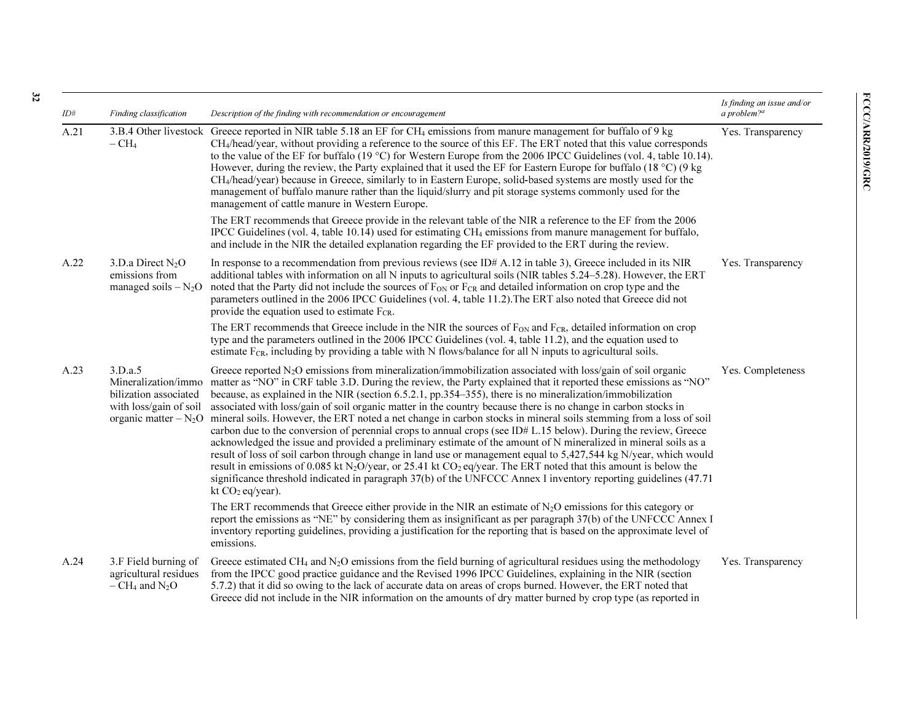| ID#  | Finding classification                                                            | Description of the finding with recommendation or encouragement                                                                                                                                                                                                                                                                                                                                                                                                                                                                                                                                                                                                                                                                                                                                                                                                                                                                                                                                                                                                                                                                                                                                                                                                       | Is finding an issue and/or<br>a problem? $a$ |
|------|-----------------------------------------------------------------------------------|-----------------------------------------------------------------------------------------------------------------------------------------------------------------------------------------------------------------------------------------------------------------------------------------------------------------------------------------------------------------------------------------------------------------------------------------------------------------------------------------------------------------------------------------------------------------------------------------------------------------------------------------------------------------------------------------------------------------------------------------------------------------------------------------------------------------------------------------------------------------------------------------------------------------------------------------------------------------------------------------------------------------------------------------------------------------------------------------------------------------------------------------------------------------------------------------------------------------------------------------------------------------------|----------------------------------------------|
| A.21 | $-CH4$                                                                            | 3.B.4 Other livestock Greece reported in NIR table 5.18 an EF for CH <sub>4</sub> emissions from manure management for buffalo of 9 kg<br>CH <sub>4</sub> /head/year, without providing a reference to the source of this EF. The ERT noted that this value corresponds<br>to the value of the EF for buffalo (19 °C) for Western Europe from the 2006 IPCC Guidelines (vol. 4, table 10.14).<br>However, during the review, the Party explained that it used the EF for Eastern Europe for buffalo (18 $^{\circ}$ C) (9 kg<br>CH <sub>4</sub> /head/year) because in Greece, similarly to in Eastern Europe, solid-based systems are mostly used for the<br>management of buffalo manure rather than the liquid/slurry and pit storage systems commonly used for the<br>management of cattle manure in Western Europe.                                                                                                                                                                                                                                                                                                                                                                                                                                               | Yes. Transparency                            |
|      |                                                                                   | The ERT recommends that Greece provide in the relevant table of the NIR a reference to the EF from the 2006<br>IPCC Guidelines (vol. 4, table 10.14) used for estimating CH <sub>4</sub> emissions from manure management for buffalo,<br>and include in the NIR the detailed explanation regarding the EF provided to the ERT during the review.                                                                                                                                                                                                                                                                                                                                                                                                                                                                                                                                                                                                                                                                                                                                                                                                                                                                                                                     |                                              |
| A.22 | 3.D.a Direct $N_2O$<br>emissions from<br>managed soils $-N_2O$                    | In response to a recommendation from previous reviews (see ID# $A.12$ in table 3), Greece included in its NIR<br>additional tables with information on all N inputs to agricultural soils (NIR tables 5.24-5.28). However, the ERT<br>noted that the Party did not include the sources of F <sub>ON</sub> or F <sub>CR</sub> and detailed information on crop type and the<br>parameters outlined in the 2006 IPCC Guidelines (vol. 4, table 11.2). The ERT also noted that Greece did not<br>provide the equation used to estimate $F_{CR}$ .                                                                                                                                                                                                                                                                                                                                                                                                                                                                                                                                                                                                                                                                                                                        | Yes. Transparency                            |
|      |                                                                                   | The ERT recommends that Greece include in the NIR the sources of F <sub>ON</sub> and F <sub>CR</sub> , detailed information on crop<br>type and the parameters outlined in the 2006 IPCC Guidelines (vol. 4, table 11.2), and the equation used to<br>estimate $F_{CR}$ , including by providing a table with N flows/balance for all N inputs to agricultural soils.                                                                                                                                                                                                                                                                                                                                                                                                                                                                                                                                                                                                                                                                                                                                                                                                                                                                                                 |                                              |
| A.23 | 3.D.a.5<br>Mineralization/immo<br>bilization associated<br>with loss/gain of soil | Greece reported $N_2O$ emissions from mineralization/immobilization associated with loss/gain of soil organic<br>matter as "NO" in CRF table 3.D. During the review, the Party explained that it reported these emissions as "NO"<br>because, as explained in the NIR (section 6.5.2.1, pp.354–355), there is no mineralization/immobilization<br>associated with loss/gain of soil organic matter in the country because there is no change in carbon stocks in<br>organic matter - N <sub>2</sub> O mineral soils. However, the ERT noted a net change in carbon stocks in mineral soils stemming from a loss of soil<br>carbon due to the conversion of perennial crops to annual crops (see ID# L.15 below). During the review, Greece<br>acknowledged the issue and provided a preliminary estimate of the amount of N mineralized in mineral soils as a<br>result of loss of soil carbon through change in land use or management equal to 5,427,544 kg N/year, which would<br>result in emissions of 0.085 kt N <sub>2</sub> O/year, or 25.41 kt CO <sub>2</sub> eq/year. The ERT noted that this amount is below the<br>significance threshold indicated in paragraph 37(b) of the UNFCCC Annex I inventory reporting guidelines (47.71<br>kt $CO2$ eq/year). | Yes. Completeness                            |
|      |                                                                                   | The ERT recommends that Greece either provide in the NIR an estimate of $N_2O$ emissions for this category or<br>report the emissions as "NE" by considering them as insignificant as per paragraph 37(b) of the UNFCCC Annex I<br>inventory reporting guidelines, providing a justification for the reporting that is based on the approximate level of<br>emissions.                                                                                                                                                                                                                                                                                                                                                                                                                                                                                                                                                                                                                                                                                                                                                                                                                                                                                                |                                              |
| A.24 | 3.F Field burning of<br>agricultural residues<br>$-CH_4$ and N <sub>2</sub> O     | Greece estimated CH <sub>4</sub> and $N_2O$ emissions from the field burning of agricultural residues using the methodology<br>from the IPCC good practice guidance and the Revised 1996 IPCC Guidelines, explaining in the NIR (section<br>5.7.2) that it did so owing to the lack of accurate data on areas of crops burned. However, the ERT noted that<br>Greece did not include in the NIR information on the amounts of dry matter burned by crop type (as reported in                                                                                                                                                                                                                                                                                                                                                                                                                                                                                                                                                                                                                                                                                                                                                                                          | Yes. Transparency                            |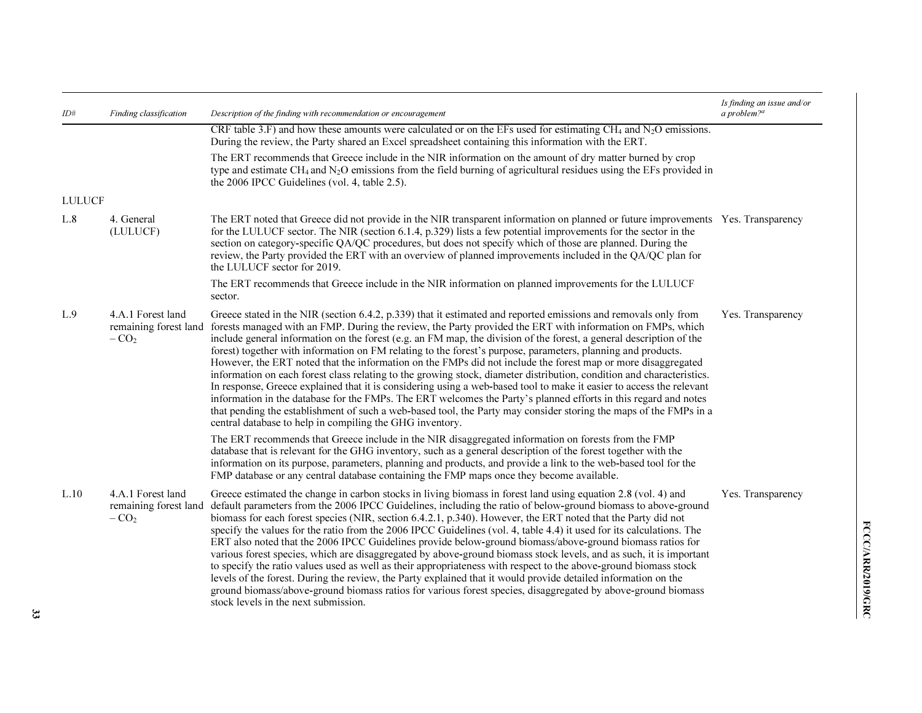| ID#           | Finding classification                               | Description of the finding with recommendation or encouragement                                                                                                                                                                                                                                                                                                                                                                                                                                                                                                                                                                                                                                                                                                                                                                                                                                                                                                                                                                                                                                                                           | Is finding an issue and/or<br>a problem? <sup>a</sup> |
|---------------|------------------------------------------------------|-------------------------------------------------------------------------------------------------------------------------------------------------------------------------------------------------------------------------------------------------------------------------------------------------------------------------------------------------------------------------------------------------------------------------------------------------------------------------------------------------------------------------------------------------------------------------------------------------------------------------------------------------------------------------------------------------------------------------------------------------------------------------------------------------------------------------------------------------------------------------------------------------------------------------------------------------------------------------------------------------------------------------------------------------------------------------------------------------------------------------------------------|-------------------------------------------------------|
|               |                                                      | CRF table 3.F) and how these amounts were calculated or on the EFs used for estimating CH <sub>4</sub> and N <sub>2</sub> O emissions.<br>During the review, the Party shared an Excel spreadsheet containing this information with the ERT.                                                                                                                                                                                                                                                                                                                                                                                                                                                                                                                                                                                                                                                                                                                                                                                                                                                                                              |                                                       |
|               |                                                      | The ERT recommends that Greece include in the NIR information on the amount of dry matter burned by crop<br>type and estimate CH <sub>4</sub> and $N_2O$ emissions from the field burning of agricultural residues using the EFs provided in<br>the 2006 IPCC Guidelines (vol. 4, table 2.5).                                                                                                                                                                                                                                                                                                                                                                                                                                                                                                                                                                                                                                                                                                                                                                                                                                             |                                                       |
| <b>LULUCF</b> |                                                      |                                                                                                                                                                                                                                                                                                                                                                                                                                                                                                                                                                                                                                                                                                                                                                                                                                                                                                                                                                                                                                                                                                                                           |                                                       |
| L.8           | 4. General<br>(LULUCF)                               | The ERT noted that Greece did not provide in the NIR transparent information on planned or future improvements Yes. Transparency<br>for the LULUCF sector. The NIR (section 6.1.4, p.329) lists a few potential improvements for the sector in the<br>section on category-specific QA/QC procedures, but does not specify which of those are planned. During the<br>review, the Party provided the ERT with an overview of planned improvements included in the QA/QC plan for<br>the LULUCF sector for 2019.                                                                                                                                                                                                                                                                                                                                                                                                                                                                                                                                                                                                                             |                                                       |
|               |                                                      | The ERT recommends that Greece include in the NIR information on planned improvements for the LULUCF<br>sector.                                                                                                                                                                                                                                                                                                                                                                                                                                                                                                                                                                                                                                                                                                                                                                                                                                                                                                                                                                                                                           |                                                       |
| L.9           | 4.A.1 Forest land<br>remaining forest land<br>$-CO2$ | Greece stated in the NIR (section 6.4.2, p.339) that it estimated and reported emissions and removals only from<br>forests managed with an FMP. During the review, the Party provided the ERT with information on FMPs, which<br>include general information on the forest (e.g. an FM map, the division of the forest, a general description of the<br>forest) together with information on FM relating to the forest's purpose, parameters, planning and products.<br>However, the ERT noted that the information on the FMPs did not include the forest map or more disaggregated<br>information on each forest class relating to the growing stock, diameter distribution, condition and characteristics.<br>In response, Greece explained that it is considering using a web-based tool to make it easier to access the relevant<br>information in the database for the FMPs. The ERT welcomes the Party's planned efforts in this regard and notes<br>that pending the establishment of such a web-based tool, the Party may consider storing the maps of the FMPs in a<br>central database to help in compiling the GHG inventory. | Yes. Transparency                                     |
|               |                                                      | The ERT recommends that Greece include in the NIR disaggregated information on forests from the FMP<br>database that is relevant for the GHG inventory, such as a general description of the forest together with the<br>information on its purpose, parameters, planning and products, and provide a link to the web-based tool for the<br>FMP database or any central database containing the FMP maps once they become available.                                                                                                                                                                                                                                                                                                                                                                                                                                                                                                                                                                                                                                                                                                      |                                                       |
| L.10          | 4.A.1 Forest land<br>remaining forest land<br>$-CO2$ | Greece estimated the change in carbon stocks in living biomass in forest land using equation 2.8 (vol. 4) and<br>default parameters from the 2006 IPCC Guidelines, including the ratio of below-ground biomass to above-ground<br>biomass for each forest species (NIR, section 6.4.2.1, p.340). However, the ERT noted that the Party did not<br>specify the values for the ratio from the 2006 IPCC Guidelines (vol. 4, table 4.4) it used for its calculations. The<br>ERT also noted that the 2006 IPCC Guidelines provide below-ground biomass/above-ground biomass ratios for<br>various forest species, which are disaggregated by above-ground biomass stock levels, and as such, it is important<br>to specify the ratio values used as well as their appropriateness with respect to the above-ground biomass stock<br>levels of the forest. During the review, the Party explained that it would provide detailed information on the<br>ground biomass/above-ground biomass ratios for various forest species, disaggregated by above-ground biomass<br>stock levels in the next submission.                                   | Yes. Transparency                                     |

33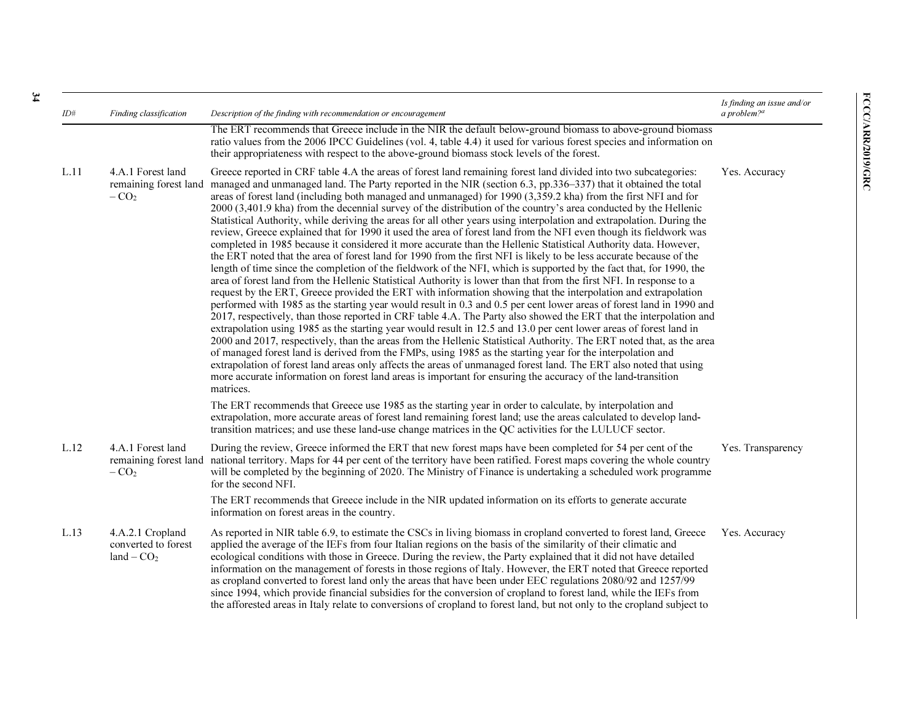| ID#  | Finding classification                                  | Description of the finding with recommendation or encouragement                                                                                                                                                                                                                                                                                                                                                                                                                                                                                                                                                                                                                                                                                                                                                                                                                                                                                                                                                                                                                                                                                                                                                                                                                                                                                                                                                                                                                                                                                                                                                                                                                                                                                                                                                                                                                                                                                                                                                                                                                                                                                                                           | Is finding an issue and/or<br>a problem? $a$ |
|------|---------------------------------------------------------|-------------------------------------------------------------------------------------------------------------------------------------------------------------------------------------------------------------------------------------------------------------------------------------------------------------------------------------------------------------------------------------------------------------------------------------------------------------------------------------------------------------------------------------------------------------------------------------------------------------------------------------------------------------------------------------------------------------------------------------------------------------------------------------------------------------------------------------------------------------------------------------------------------------------------------------------------------------------------------------------------------------------------------------------------------------------------------------------------------------------------------------------------------------------------------------------------------------------------------------------------------------------------------------------------------------------------------------------------------------------------------------------------------------------------------------------------------------------------------------------------------------------------------------------------------------------------------------------------------------------------------------------------------------------------------------------------------------------------------------------------------------------------------------------------------------------------------------------------------------------------------------------------------------------------------------------------------------------------------------------------------------------------------------------------------------------------------------------------------------------------------------------------------------------------------------------|----------------------------------------------|
|      |                                                         | The ERT recommends that Greece include in the NIR the default below-ground biomass to above-ground biomass<br>ratio values from the 2006 IPCC Guidelines (vol. 4, table 4.4) it used for various forest species and information on<br>their appropriateness with respect to the above-ground biomass stock levels of the forest.                                                                                                                                                                                                                                                                                                                                                                                                                                                                                                                                                                                                                                                                                                                                                                                                                                                                                                                                                                                                                                                                                                                                                                                                                                                                                                                                                                                                                                                                                                                                                                                                                                                                                                                                                                                                                                                          |                                              |
| L.11 | 4.A.1 Forest land<br>remaining forest land<br>$-CO2$    | Greece reported in CRF table 4.A the areas of forest land remaining forest land divided into two subcategories:<br>managed and unmanaged land. The Party reported in the NIR (section 6.3, pp.336–337) that it obtained the total<br>areas of forest land (including both managed and unmanaged) for 1990 (3,359.2 kha) from the first NFI and for<br>2000 (3,401.9 kha) from the decennial survey of the distribution of the country's area conducted by the Hellenic<br>Statistical Authority, while deriving the areas for all other years using interpolation and extrapolation. During the<br>review, Greece explained that for 1990 it used the area of forest land from the NFI even though its fieldwork was<br>completed in 1985 because it considered it more accurate than the Hellenic Statistical Authority data. However,<br>the ERT noted that the area of forest land for 1990 from the first NFI is likely to be less accurate because of the<br>length of time since the completion of the fieldwork of the NFI, which is supported by the fact that, for 1990, the<br>area of forest land from the Hellenic Statistical Authority is lower than that from the first NFI. In response to a<br>request by the ERT, Greece provided the ERT with information showing that the interpolation and extrapolation<br>performed with 1985 as the starting year would result in 0.3 and 0.5 per cent lower areas of forest land in 1990 and<br>2017, respectively, than those reported in CRF table 4.A. The Party also showed the ERT that the interpolation and<br>extrapolation using 1985 as the starting year would result in 12.5 and 13.0 per cent lower areas of forest land in<br>2000 and 2017, respectively, than the areas from the Hellenic Statistical Authority. The ERT noted that, as the area<br>of managed forest land is derived from the FMPs, using 1985 as the starting year for the interpolation and<br>extrapolation of forest land areas only affects the areas of unmanaged forest land. The ERT also noted that using<br>more accurate information on forest land areas is important for ensuring the accuracy of the land-transition<br>matrices. | Yes. Accuracy                                |
|      |                                                         | The ERT recommends that Greece use 1985 as the starting year in order to calculate, by interpolation and<br>extrapolation, more accurate areas of forest land remaining forest land; use the areas calculated to develop land-<br>transition matrices; and use these land-use change matrices in the QC activities for the LULUCF sector.                                                                                                                                                                                                                                                                                                                                                                                                                                                                                                                                                                                                                                                                                                                                                                                                                                                                                                                                                                                                                                                                                                                                                                                                                                                                                                                                                                                                                                                                                                                                                                                                                                                                                                                                                                                                                                                 |                                              |
| L.12 | 4.A.1 Forest land<br>$-CO2$                             | During the review, Greece informed the ERT that new forest maps have been completed for 54 per cent of the<br>remaining forest land national territory. Maps for 44 per cent of the territory have been ratified. Forest maps covering the whole country<br>will be completed by the beginning of 2020. The Ministry of Finance is undertaking a scheduled work programme<br>for the second NFI.                                                                                                                                                                                                                                                                                                                                                                                                                                                                                                                                                                                                                                                                                                                                                                                                                                                                                                                                                                                                                                                                                                                                                                                                                                                                                                                                                                                                                                                                                                                                                                                                                                                                                                                                                                                          | Yes. Transparency                            |
|      |                                                         | The ERT recommends that Greece include in the NIR updated information on its efforts to generate accurate<br>information on forest areas in the country.                                                                                                                                                                                                                                                                                                                                                                                                                                                                                                                                                                                                                                                                                                                                                                                                                                                                                                                                                                                                                                                                                                                                                                                                                                                                                                                                                                                                                                                                                                                                                                                                                                                                                                                                                                                                                                                                                                                                                                                                                                  |                                              |
| L.13 | 4.A.2.1 Cropland<br>converted to forest<br>$land - CO2$ | As reported in NIR table 6.9, to estimate the CSCs in living biomass in cropland converted to forest land, Greece<br>applied the average of the IEFs from four Italian regions on the basis of the similarity of their climatic and<br>ecological conditions with those in Greece. During the review, the Party explained that it did not have detailed<br>information on the management of forests in those regions of Italy. However, the ERT noted that Greece reported<br>as cropland converted to forest land only the areas that have been under EEC regulations 2080/92 and 1257/99<br>since 1994, which provide financial subsidies for the conversion of cropland to forest land, while the IEFs from<br>the afforested areas in Italy relate to conversions of cropland to forest land, but not only to the cropland subject to                                                                                                                                                                                                                                                                                                                                                                                                                                                                                                                                                                                                                                                                                                                                                                                                                                                                                                                                                                                                                                                                                                                                                                                                                                                                                                                                                 | Yes. Accuracy                                |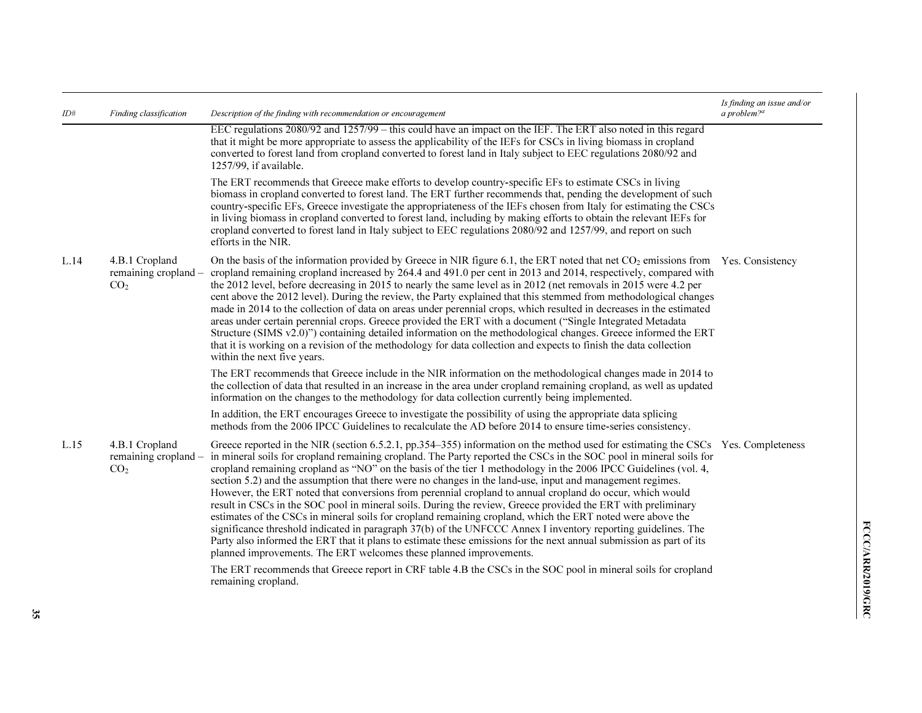| ID#  | Finding classification                                    | Description of the finding with recommendation or encouragement                                                                                                                                                                                                                                                                                                                                                                                                                                                                                                                                                                                                                                                                                                                                                                                                                                                                                                                                                                                                                                                                                 | Is finding an issue and/or<br>a problem? $a$ |
|------|-----------------------------------------------------------|-------------------------------------------------------------------------------------------------------------------------------------------------------------------------------------------------------------------------------------------------------------------------------------------------------------------------------------------------------------------------------------------------------------------------------------------------------------------------------------------------------------------------------------------------------------------------------------------------------------------------------------------------------------------------------------------------------------------------------------------------------------------------------------------------------------------------------------------------------------------------------------------------------------------------------------------------------------------------------------------------------------------------------------------------------------------------------------------------------------------------------------------------|----------------------------------------------|
|      |                                                           | EEC regulations 2080/92 and 1257/99 – this could have an impact on the IEF. The ERT also noted in this regard<br>that it might be more appropriate to assess the applicability of the IEFs for CSCs in living biomass in cropland<br>converted to forest land from cropland converted to forest land in Italy subject to EEC regulations 2080/92 and<br>1257/99, if available.                                                                                                                                                                                                                                                                                                                                                                                                                                                                                                                                                                                                                                                                                                                                                                  |                                              |
|      |                                                           | The ERT recommends that Greece make efforts to develop country-specific EFs to estimate CSCs in living<br>biomass in cropland converted to forest land. The ERT further recommends that, pending the development of such<br>country-specific EFs, Greece investigate the appropriateness of the IEFs chosen from Italy for estimating the CSCs<br>in living biomass in cropland converted to forest land, including by making efforts to obtain the relevant IEFs for<br>cropland converted to forest land in Italy subject to EEC regulations 2080/92 and 1257/99, and report on such<br>efforts in the NIR.                                                                                                                                                                                                                                                                                                                                                                                                                                                                                                                                   |                                              |
| L.14 | 4.B.1 Cropland<br>remaining cropland –<br>CO <sub>2</sub> | On the basis of the information provided by Greece in NIR figure 6.1, the ERT noted that net CO <sub>2</sub> emissions from Yes. Consistency<br>cropland remaining cropland increased by 264.4 and 491.0 per cent in 2013 and 2014, respectively, compared with<br>the 2012 level, before decreasing in 2015 to nearly the same level as in 2012 (net removals in 2015 were 4.2 per<br>cent above the 2012 level). During the review, the Party explained that this stemmed from methodological changes<br>made in 2014 to the collection of data on areas under perennial crops, which resulted in decreases in the estimated<br>areas under certain perennial crops. Greece provided the ERT with a document ("Single Integrated Metadata"<br>Structure (SIMS v2.0)") containing detailed information on the methodological changes. Greece informed the ERT<br>that it is working on a revision of the methodology for data collection and expects to finish the data collection<br>within the next five years.                                                                                                                              |                                              |
|      |                                                           | The ERT recommends that Greece include in the NIR information on the methodological changes made in 2014 to<br>the collection of data that resulted in an increase in the area under cropland remaining cropland, as well as updated<br>information on the changes to the methodology for data collection currently being implemented.                                                                                                                                                                                                                                                                                                                                                                                                                                                                                                                                                                                                                                                                                                                                                                                                          |                                              |
|      |                                                           | In addition, the ERT encourages Greece to investigate the possibility of using the appropriate data splicing<br>methods from the 2006 IPCC Guidelines to recalculate the AD before 2014 to ensure time-series consistency.                                                                                                                                                                                                                                                                                                                                                                                                                                                                                                                                                                                                                                                                                                                                                                                                                                                                                                                      |                                              |
| L.15 | 4.B.1 Cropland<br>remaining cropland –<br>CO <sub>2</sub> | Greece reported in the NIR (section 6.5.2.1, pp.354–355) information on the method used for estimating the CSCs Yes. Completeness<br>in mineral soils for cropland remaining cropland. The Party reported the CSCs in the SOC pool in mineral soils for<br>cropland remaining cropland as "NO" on the basis of the tier 1 methodology in the 2006 IPCC Guidelines (vol. 4,<br>section 5.2) and the assumption that there were no changes in the land-use, input and management regimes.<br>However, the ERT noted that conversions from perennial cropland to annual cropland do occur, which would<br>result in CSCs in the SOC pool in mineral soils. During the review, Greece provided the ERT with preliminary<br>estimates of the CSCs in mineral soils for cropland remaining cropland, which the ERT noted were above the<br>significance threshold indicated in paragraph 37(b) of the UNFCCC Annex I inventory reporting guidelines. The<br>Party also informed the ERT that it plans to estimate these emissions for the next annual submission as part of its<br>planned improvements. The ERT welcomes these planned improvements. |                                              |
|      |                                                           | The ERT recommends that Greece report in CRF table 4.B the CSCs in the SOC pool in mineral soils for cropland<br>remaining cropland.                                                                                                                                                                                                                                                                                                                                                                                                                                                                                                                                                                                                                                                                                                                                                                                                                                                                                                                                                                                                            |                                              |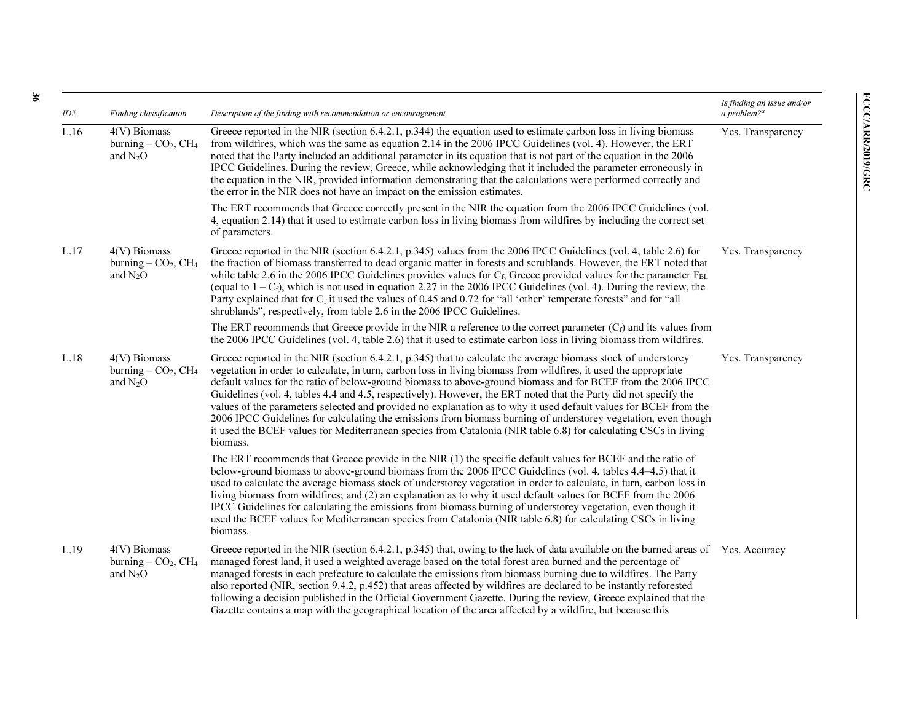| ID#  | Finding classification                                                        | Description of the finding with recommendation or encouragement                                                                                                                                                                                                                                                                                                                                                                                                                                                                                                                                                                                                                                                                                                                                                                             | Is finding an issue and/or<br>a problem? $a$ |
|------|-------------------------------------------------------------------------------|---------------------------------------------------------------------------------------------------------------------------------------------------------------------------------------------------------------------------------------------------------------------------------------------------------------------------------------------------------------------------------------------------------------------------------------------------------------------------------------------------------------------------------------------------------------------------------------------------------------------------------------------------------------------------------------------------------------------------------------------------------------------------------------------------------------------------------------------|----------------------------------------------|
| L.16 | $4(V)$ Biomass<br>burning $-$ CO <sub>2</sub> , CH <sub>4</sub><br>and $N_2O$ | Greece reported in the NIR (section 6.4.2.1, p.344) the equation used to estimate carbon loss in living biomass<br>from wildfires, which was the same as equation 2.14 in the 2006 IPCC Guidelines (vol. 4). However, the ERT<br>noted that the Party included an additional parameter in its equation that is not part of the equation in the 2006<br>IPCC Guidelines. During the review, Greece, while acknowledging that it included the parameter erroneously in<br>the equation in the NIR, provided information demonstrating that the calculations were performed correctly and<br>the error in the NIR does not have an impact on the emission estimates.                                                                                                                                                                           | Yes. Transparency                            |
|      |                                                                               | The ERT recommends that Greece correctly present in the NIR the equation from the 2006 IPCC Guidelines (vol.<br>4, equation 2.14) that it used to estimate carbon loss in living biomass from wildfires by including the correct set<br>of parameters.                                                                                                                                                                                                                                                                                                                                                                                                                                                                                                                                                                                      |                                              |
| L.17 | 4(V) Biomass<br>burning $-$ CO <sub>2</sub> , CH <sub>4</sub><br>and $N2O$    | Greece reported in the NIR (section 6.4.2.1, p.345) values from the 2006 IPCC Guidelines (vol. 4, table 2.6) for<br>the fraction of biomass transferred to dead organic matter in forests and scrublands. However, the ERT noted that<br>while table 2.6 in the 2006 IPCC Guidelines provides values for $C_f$ , Greece provided values for the parameter $F_{BL}$<br>(equal to $1 - C_f$ ), which is not used in equation 2.27 in the 2006 IPCC Guidelines (vol. 4). During the review, the<br>Party explained that for $C_f$ it used the values of 0.45 and 0.72 for "all 'other' temperate forests" and for "all<br>shrublands", respectively, from table 2.6 in the 2006 IPCC Guidelines.                                                                                                                                               | Yes. Transparency                            |
|      |                                                                               | The ERT recommends that Greece provide in the NIR a reference to the correct parameter $(C_f)$ and its values from<br>the 2006 IPCC Guidelines (vol. 4, table 2.6) that it used to estimate carbon loss in living biomass from wildfires.                                                                                                                                                                                                                                                                                                                                                                                                                                                                                                                                                                                                   |                                              |
| L.18 | $4(V)$ Biomass<br>burning $-$ CO <sub>2</sub> , CH <sub>4</sub><br>and $N_2O$ | Greece reported in the NIR (section 6.4.2.1, p.345) that to calculate the average biomass stock of understorey<br>vegetation in order to calculate, in turn, carbon loss in living biomass from wildfires, it used the appropriate<br>default values for the ratio of below-ground biomass to above-ground biomass and for BCEF from the 2006 IPCC<br>Guidelines (vol. 4, tables 4.4 and 4.5, respectively). However, the ERT noted that the Party did not specify the<br>values of the parameters selected and provided no explanation as to why it used default values for BCEF from the<br>2006 IPCC Guidelines for calculating the emissions from biomass burning of understorey vegetation, even though<br>it used the BCEF values for Mediterranean species from Catalonia (NIR table 6.8) for calculating CSCs in living<br>biomass. | Yes. Transparency                            |
|      |                                                                               | The ERT recommends that Greece provide in the NIR (1) the specific default values for BCEF and the ratio of<br>below-ground biomass to above-ground biomass from the 2006 IPCC Guidelines (vol. 4, tables 4.4–4.5) that it<br>used to calculate the average biomass stock of understorey vegetation in order to calculate, in turn, carbon loss in<br>living biomass from wildfires; and (2) an explanation as to why it used default values for BCEF from the 2006<br>IPCC Guidelines for calculating the emissions from biomass burning of understorey vegetation, even though it<br>used the BCEF values for Mediterranean species from Catalonia (NIR table 6.8) for calculating CSCs in living<br>biomass.                                                                                                                             |                                              |
| L.19 | 4(V) Biomass<br>burning $-$ CO <sub>2</sub> , CH <sub>4</sub><br>and $N_2O$   | Greece reported in the NIR (section 6.4.2.1, p.345) that, owing to the lack of data available on the burned areas of Yes. Accuracy<br>managed forest land, it used a weighted average based on the total forest area burned and the percentage of<br>managed forests in each prefecture to calculate the emissions from biomass burning due to wildfires. The Party<br>also reported (NIR, section 9.4.2, p.452) that areas affected by wildfires are declared to be instantly reforested<br>following a decision published in the Official Government Gazette. During the review, Greece explained that the<br>Gazette contains a map with the geographical location of the area affected by a wildfire, but because this                                                                                                                  |                                              |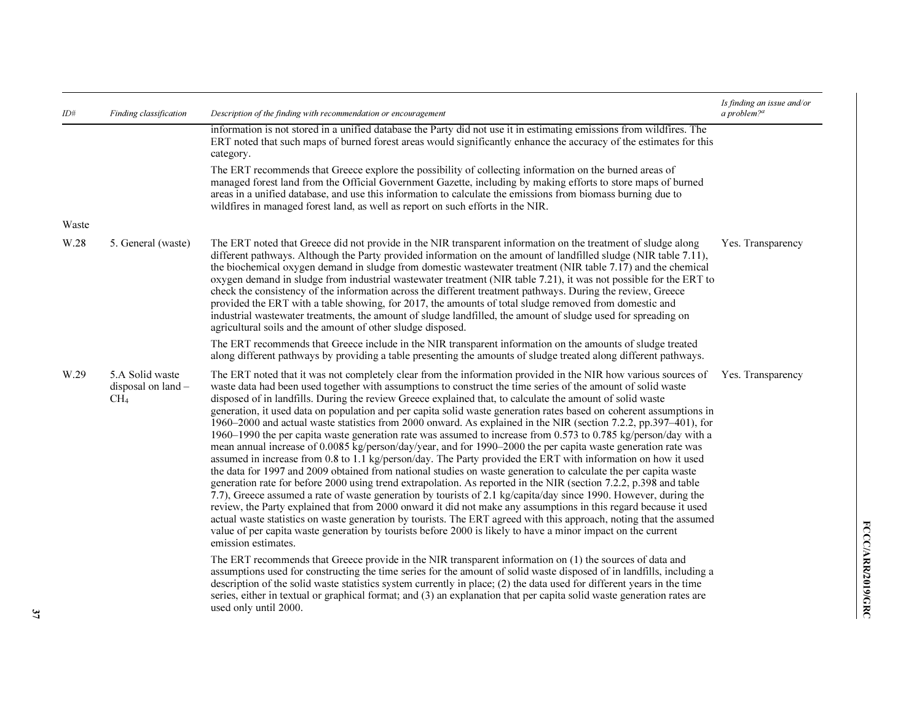| ID#   | Finding classification                                     | Description of the finding with recommendation or encouragement                                                                                                                                                                                                                                                                                                                                                                                                                                                                                                                                                                                                                                                                                                                                                                                                                                                                                                                                                                                                                                                                                                                                                                                                                                                                                                                                                                                                                                                                                                                                                                                                                           | Is finding an issue and/or<br>a problem? $a$ |
|-------|------------------------------------------------------------|-------------------------------------------------------------------------------------------------------------------------------------------------------------------------------------------------------------------------------------------------------------------------------------------------------------------------------------------------------------------------------------------------------------------------------------------------------------------------------------------------------------------------------------------------------------------------------------------------------------------------------------------------------------------------------------------------------------------------------------------------------------------------------------------------------------------------------------------------------------------------------------------------------------------------------------------------------------------------------------------------------------------------------------------------------------------------------------------------------------------------------------------------------------------------------------------------------------------------------------------------------------------------------------------------------------------------------------------------------------------------------------------------------------------------------------------------------------------------------------------------------------------------------------------------------------------------------------------------------------------------------------------------------------------------------------------|----------------------------------------------|
|       |                                                            | information is not stored in a unified database the Party did not use it in estimating emissions from wildfires. The<br>ERT noted that such maps of burned forest areas would significantly enhance the accuracy of the estimates for this<br>category.                                                                                                                                                                                                                                                                                                                                                                                                                                                                                                                                                                                                                                                                                                                                                                                                                                                                                                                                                                                                                                                                                                                                                                                                                                                                                                                                                                                                                                   |                                              |
|       |                                                            | The ERT recommends that Greece explore the possibility of collecting information on the burned areas of<br>managed forest land from the Official Government Gazette, including by making efforts to store maps of burned<br>areas in a unified database, and use this information to calculate the emissions from biomass burning due to<br>wildfires in managed forest land, as well as report on such efforts in the NIR.                                                                                                                                                                                                                                                                                                                                                                                                                                                                                                                                                                                                                                                                                                                                                                                                                                                                                                                                                                                                                                                                                                                                                                                                                                                               |                                              |
| Waste |                                                            |                                                                                                                                                                                                                                                                                                                                                                                                                                                                                                                                                                                                                                                                                                                                                                                                                                                                                                                                                                                                                                                                                                                                                                                                                                                                                                                                                                                                                                                                                                                                                                                                                                                                                           |                                              |
| W.28  | 5. General (waste)                                         | The ERT noted that Greece did not provide in the NIR transparent information on the treatment of sludge along<br>different pathways. Although the Party provided information on the amount of landfilled sludge (NIR table 7.11),<br>the biochemical oxygen demand in sludge from domestic wastewater treatment (NIR table 7.17) and the chemical<br>oxygen demand in sludge from industrial wastewater treatment (NIR table 7.21), it was not possible for the ERT to<br>check the consistency of the information across the different treatment pathways. During the review, Greece<br>provided the ERT with a table showing, for 2017, the amounts of total sludge removed from domestic and<br>industrial wastewater treatments, the amount of sludge landfilled, the amount of sludge used for spreading on<br>agricultural soils and the amount of other sludge disposed.                                                                                                                                                                                                                                                                                                                                                                                                                                                                                                                                                                                                                                                                                                                                                                                                           | Yes. Transparency                            |
|       |                                                            | The ERT recommends that Greece include in the NIR transparent information on the amounts of sludge treated<br>along different pathways by providing a table presenting the amounts of sludge treated along different pathways.                                                                                                                                                                                                                                                                                                                                                                                                                                                                                                                                                                                                                                                                                                                                                                                                                                                                                                                                                                                                                                                                                                                                                                                                                                                                                                                                                                                                                                                            |                                              |
| W.29  | 5.A Solid waste<br>disposal on $land$ –<br>CH <sub>4</sub> | The ERT noted that it was not completely clear from the information provided in the NIR how various sources of<br>waste data had been used together with assumptions to construct the time series of the amount of solid waste<br>disposed of in landfills. During the review Greece explained that, to calculate the amount of solid waste<br>generation, it used data on population and per capita solid waste generation rates based on coherent assumptions in<br>1960–2000 and actual waste statistics from 2000 onward. As explained in the NIR (section 7.2.2, pp.397–401), for<br>1960–1990 the per capita waste generation rate was assumed to increase from 0.573 to 0.785 kg/person/day with a<br>mean annual increase of 0.0085 kg/person/day/year, and for 1990–2000 the per capita waste generation rate was<br>assumed in increase from 0.8 to 1.1 kg/person/day. The Party provided the ERT with information on how it used<br>the data for 1997 and 2009 obtained from national studies on waste generation to calculate the per capita waste<br>generation rate for before 2000 using trend extrapolation. As reported in the NIR (section 7.2.2, p.398 and table<br>7.7), Greece assumed a rate of waste generation by tourists of 2.1 kg/capita/day since 1990. However, during the<br>review, the Party explained that from 2000 onward it did not make any assumptions in this regard because it used<br>actual waste statistics on waste generation by tourists. The ERT agreed with this approach, noting that the assumed<br>value of per capita waste generation by tourists before 2000 is likely to have a minor impact on the current<br>emission estimates. | Yes. Transparency                            |
|       |                                                            | The ERT recommends that Greece provide in the NIR transparent information on (1) the sources of data and<br>assumptions used for constructing the time series for the amount of solid waste disposed of in landfills, including a<br>description of the solid waste statistics system currently in place; (2) the data used for different years in the time<br>series, either in textual or graphical format; and (3) an explanation that per capita solid waste generation rates are<br>used only until 2000.                                                                                                                                                                                                                                                                                                                                                                                                                                                                                                                                                                                                                                                                                                                                                                                                                                                                                                                                                                                                                                                                                                                                                                            |                                              |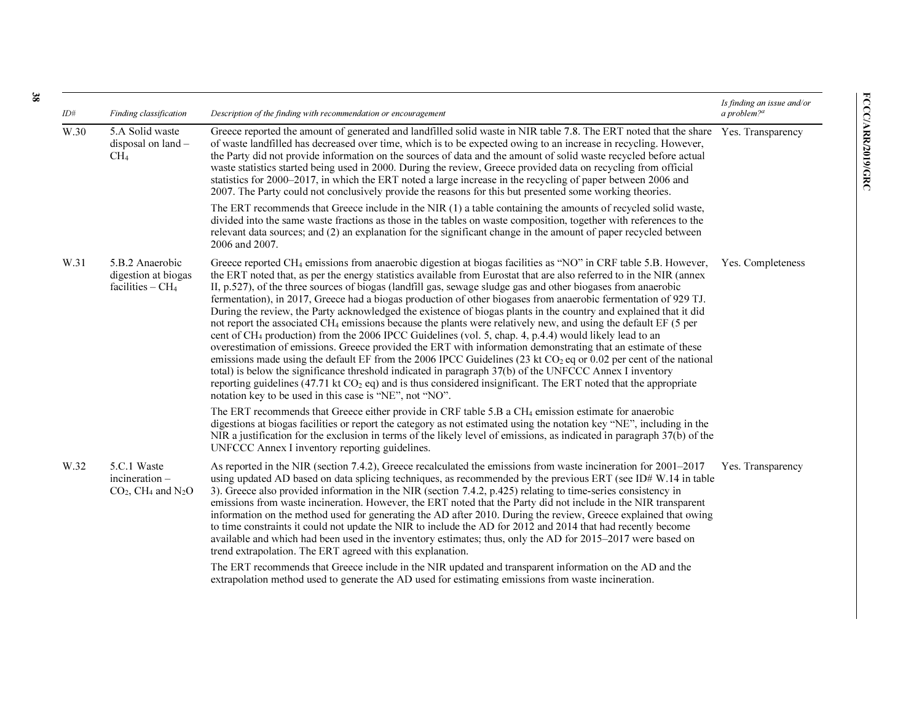| ID#  | Finding classification                                                        | Description of the finding with recommendation or encouragement                                                                                                                                                                                                                                                                                                                                                                                                                                                                                                                                                                                                                                                                                                                                                                                                                                                                                                                                                                                                                                                                                                                                                                                                                                                                                                                                    | Is finding an issue and/or<br>a problem? $a$ |
|------|-------------------------------------------------------------------------------|----------------------------------------------------------------------------------------------------------------------------------------------------------------------------------------------------------------------------------------------------------------------------------------------------------------------------------------------------------------------------------------------------------------------------------------------------------------------------------------------------------------------------------------------------------------------------------------------------------------------------------------------------------------------------------------------------------------------------------------------------------------------------------------------------------------------------------------------------------------------------------------------------------------------------------------------------------------------------------------------------------------------------------------------------------------------------------------------------------------------------------------------------------------------------------------------------------------------------------------------------------------------------------------------------------------------------------------------------------------------------------------------------|----------------------------------------------|
| W.30 | 5.A Solid waste<br>disposal on land -<br>CH <sub>4</sub>                      | Greece reported the amount of generated and landfilled solid waste in NIR table 7.8. The ERT noted that the share Yes. Transparency<br>of waste landfilled has decreased over time, which is to be expected owing to an increase in recycling. However,<br>the Party did not provide information on the sources of data and the amount of solid waste recycled before actual<br>waste statistics started being used in 2000. During the review, Greece provided data on recycling from official<br>statistics for 2000–2017, in which the ERT noted a large increase in the recycling of paper between 2006 and<br>2007. The Party could not conclusively provide the reasons for this but presented some working theories.                                                                                                                                                                                                                                                                                                                                                                                                                                                                                                                                                                                                                                                                        |                                              |
|      |                                                                               | The ERT recommends that Greece include in the NIR (1) a table containing the amounts of recycled solid waste,<br>divided into the same waste fractions as those in the tables on waste composition, together with references to the<br>relevant data sources; and (2) an explanation for the significant change in the amount of paper recycled between<br>2006 and 2007.                                                                                                                                                                                                                                                                                                                                                                                                                                                                                                                                                                                                                                                                                                                                                                                                                                                                                                                                                                                                                          |                                              |
| W.31 | 5.B.2 Anaerobic<br>digestion at biogas<br>facilities $-$ CH <sub>4</sub>      | Greece reported CH <sub>4</sub> emissions from anaerobic digestion at biogas facilities as "NO" in CRF table 5.B. However,<br>the ERT noted that, as per the energy statistics available from Eurostat that are also referred to in the NIR (annex<br>II, p.527), of the three sources of biogas (landfill gas, sewage sludge gas and other biogases from anaerobic<br>fermentation), in 2017, Greece had a biogas production of other biogases from anaerobic fermentation of 929 TJ.<br>During the review, the Party acknowledged the existence of biogas plants in the country and explained that it did<br>not report the associated CH <sub>4</sub> emissions because the plants were relatively new, and using the default EF (5 per<br>cent of CH <sub>4</sub> production) from the 2006 IPCC Guidelines (vol. 5, chap. 4, p.4.4) would likely lead to an<br>overestimation of emissions. Greece provided the ERT with information demonstrating that an estimate of these<br>emissions made using the default EF from the 2006 IPCC Guidelines (23 kt $CO2$ eq or 0.02 per cent of the national<br>total) is below the significance threshold indicated in paragraph 37(b) of the UNFCCC Annex I inventory<br>reporting guidelines (47.71 kt $CO2$ eq) and is thus considered insignificant. The ERT noted that the appropriate<br>notation key to be used in this case is "NE", not "NO". | Yes. Completeness                            |
|      |                                                                               | The ERT recommends that Greece either provide in CRF table 5.B a CH <sub>4</sub> emission estimate for anaerobic<br>digestions at biogas facilities or report the category as not estimated using the notation key "NE", including in the<br>NIR a justification for the exclusion in terms of the likely level of emissions, as indicated in paragraph 37(b) of the<br>UNFCCC Annex I inventory reporting guidelines.                                                                                                                                                                                                                                                                                                                                                                                                                                                                                                                                                                                                                                                                                                                                                                                                                                                                                                                                                                             |                                              |
| W.32 | 5.C.1 Waste<br>incineration –<br>$CO2$ , CH <sub>4</sub> and N <sub>2</sub> O | As reported in the NIR (section 7.4.2), Greece recalculated the emissions from waste incineration for 2001–2017<br>using updated AD based on data splicing techniques, as recommended by the previous ERT (see ID# W.14 in table<br>3). Greece also provided information in the NIR (section 7.4.2, p.425) relating to time-series consistency in<br>emissions from waste incineration. However, the ERT noted that the Party did not include in the NIR transparent<br>information on the method used for generating the AD after 2010. During the review, Greece explained that owing<br>to time constraints it could not update the NIR to include the AD for 2012 and 2014 that had recently become<br>available and which had been used in the inventory estimates; thus, only the AD for 2015–2017 were based on<br>trend extrapolation. The ERT agreed with this explanation.                                                                                                                                                                                                                                                                                                                                                                                                                                                                                                               | Yes. Transparency                            |
|      |                                                                               | The ERT recommends that Greece include in the NIR updated and transparent information on the AD and the<br>extrapolation method used to generate the AD used for estimating emissions from waste incineration.                                                                                                                                                                                                                                                                                                                                                                                                                                                                                                                                                                                                                                                                                                                                                                                                                                                                                                                                                                                                                                                                                                                                                                                     |                                              |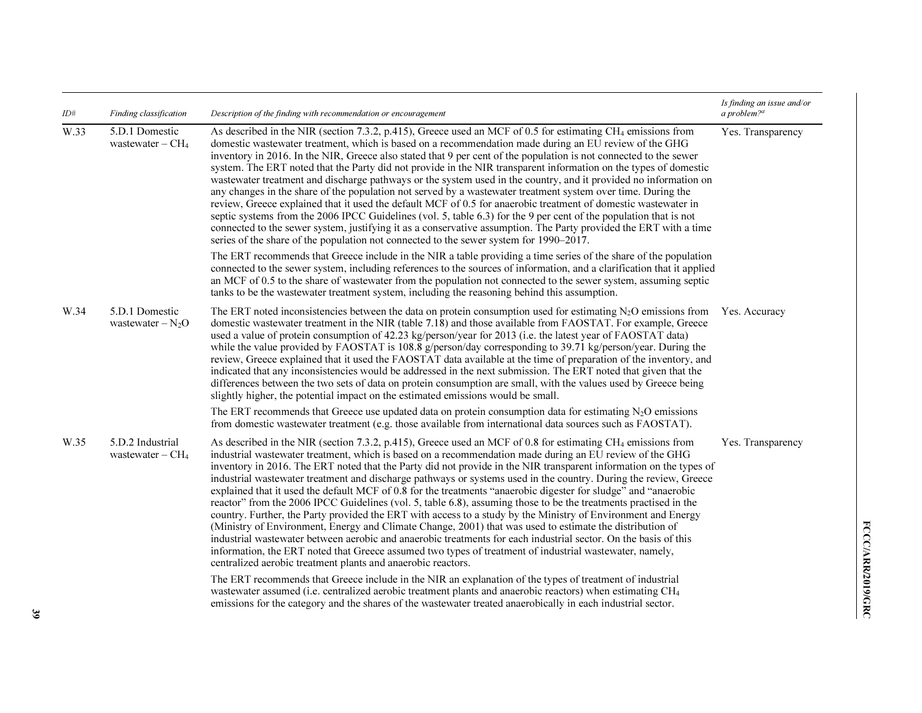| ID#  | Finding classification                             | Description of the finding with recommendation or encouragement                                                                                                                                                                                                                                                                                                                                                                                                                                                                                                                                                                                                                                                                                                                                                                                                                                                                                                                                                                                                                                                                                                                                                                                | Is finding an issue and/or<br>a problem? $a$ |
|------|----------------------------------------------------|------------------------------------------------------------------------------------------------------------------------------------------------------------------------------------------------------------------------------------------------------------------------------------------------------------------------------------------------------------------------------------------------------------------------------------------------------------------------------------------------------------------------------------------------------------------------------------------------------------------------------------------------------------------------------------------------------------------------------------------------------------------------------------------------------------------------------------------------------------------------------------------------------------------------------------------------------------------------------------------------------------------------------------------------------------------------------------------------------------------------------------------------------------------------------------------------------------------------------------------------|----------------------------------------------|
| W.33 | 5.D.1 Domestic<br>wastewater $-$ CH <sub>4</sub>   | As described in the NIR (section 7.3.2, p.415), Greece used an MCF of 0.5 for estimating CH <sub>4</sub> emissions from<br>domestic wastewater treatment, which is based on a recommendation made during an EU review of the GHG<br>inventory in 2016. In the NIR, Greece also stated that 9 per cent of the population is not connected to the sewer<br>system. The ERT noted that the Party did not provide in the NIR transparent information on the types of domestic<br>wastewater treatment and discharge pathways or the system used in the country, and it provided no information on<br>any changes in the share of the population not served by a wastewater treatment system over time. During the<br>review, Greece explained that it used the default MCF of 0.5 for anaerobic treatment of domestic wastewater in<br>septic systems from the 2006 IPCC Guidelines (vol. 5, table 6.3) for the 9 per cent of the population that is not<br>connected to the sewer system, justifying it as a conservative assumption. The Party provided the ERT with a time<br>series of the share of the population not connected to the sewer system for 1990–2017.                                                                            | Yes. Transparency                            |
|      |                                                    | The ERT recommends that Greece include in the NIR a table providing a time series of the share of the population<br>connected to the sewer system, including references to the sources of information, and a clarification that it applied<br>an MCF of 0.5 to the share of wastewater from the population not connected to the sewer system, assuming septic<br>tanks to be the wastewater treatment system, including the reasoning behind this assumption.                                                                                                                                                                                                                                                                                                                                                                                                                                                                                                                                                                                                                                                                                                                                                                                  |                                              |
| W.34 | 5.D.1 Domestic<br>wastewater $-N_2O$               | The ERT noted inconsistencies between the data on protein consumption used for estimating $N_2O$ emissions from<br>domestic wastewater treatment in the NIR (table 7.18) and those available from FAOSTAT. For example, Greece<br>used a value of protein consumption of 42.23 kg/person/year for 2013 (i.e. the latest year of FAOSTAT data)<br>while the value provided by FAOSTAT is 108.8 $g$ /person/day corresponding to 39.71 kg/person/year. During the<br>review, Greece explained that it used the FAOSTAT data available at the time of preparation of the inventory, and<br>indicated that any inconsistencies would be addressed in the next submission. The ERT noted that given that the<br>differences between the two sets of data on protein consumption are small, with the values used by Greece being<br>slightly higher, the potential impact on the estimated emissions would be small.                                                                                                                                                                                                                                                                                                                                 | Yes. Accuracy                                |
|      |                                                    | The ERT recommends that Greece use updated data on protein consumption data for estimating $N_2O$ emissions<br>from domestic wastewater treatment (e.g. those available from international data sources such as FAOSTAT).                                                                                                                                                                                                                                                                                                                                                                                                                                                                                                                                                                                                                                                                                                                                                                                                                                                                                                                                                                                                                      |                                              |
| W.35 | 5.D.2 Industrial<br>wastewater $-$ CH <sub>4</sub> | As described in the NIR (section 7.3.2, p.415), Greece used an MCF of 0.8 for estimating CH <sub>4</sub> emissions from<br>industrial wastewater treatment, which is based on a recommendation made during an EU review of the GHG<br>inventory in 2016. The ERT noted that the Party did not provide in the NIR transparent information on the types of<br>industrial wastewater treatment and discharge pathways or systems used in the country. During the review, Greece<br>explained that it used the default MCF of 0.8 for the treatments "anaerobic digester for sludge" and "anaerobic<br>reactor" from the 2006 IPCC Guidelines (vol. 5, table 6.8), assuming those to be the treatments practised in the<br>country. Further, the Party provided the ERT with access to a study by the Ministry of Environment and Energy<br>(Ministry of Environment, Energy and Climate Change, 2001) that was used to estimate the distribution of<br>industrial wastewater between aerobic and anaerobic treatments for each industrial sector. On the basis of this<br>information, the ERT noted that Greece assumed two types of treatment of industrial wastewater, namely,<br>centralized aerobic treatment plants and anaerobic reactors. | Yes. Transparency                            |
|      |                                                    | The ERT recommends that Greece include in the NIR an explanation of the types of treatment of industrial<br>wastewater assumed (i.e. centralized aerobic treatment plants and anaerobic reactors) when estimating CH <sub>4</sub><br>emissions for the category and the shares of the wastewater treated anaerobically in each industrial sector.                                                                                                                                                                                                                                                                                                                                                                                                                                                                                                                                                                                                                                                                                                                                                                                                                                                                                              |                                              |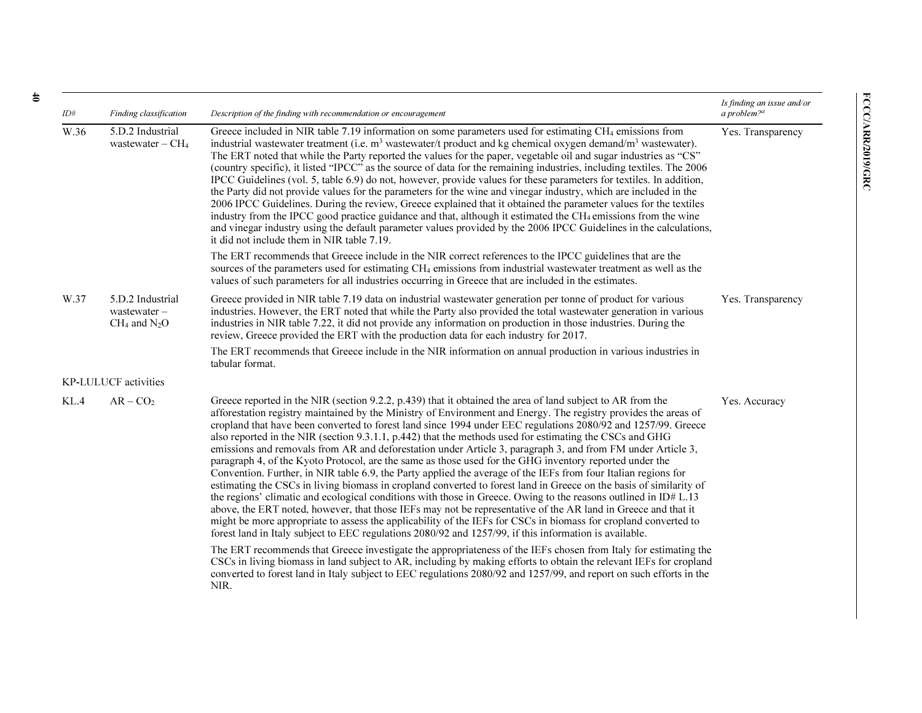| ID#  | Finding classification                               | Description of the finding with recommendation or encouragement                                                                                                                                                                                                                                                                                                                                                                                                                                                                                                                                                                                                                                                                                                                                                                                                                                                                                                                                                                                                                                                                                                                                                                                                                                                                                                                              | Is finding an issue and/or<br>a problem? $a$ |
|------|------------------------------------------------------|----------------------------------------------------------------------------------------------------------------------------------------------------------------------------------------------------------------------------------------------------------------------------------------------------------------------------------------------------------------------------------------------------------------------------------------------------------------------------------------------------------------------------------------------------------------------------------------------------------------------------------------------------------------------------------------------------------------------------------------------------------------------------------------------------------------------------------------------------------------------------------------------------------------------------------------------------------------------------------------------------------------------------------------------------------------------------------------------------------------------------------------------------------------------------------------------------------------------------------------------------------------------------------------------------------------------------------------------------------------------------------------------|----------------------------------------------|
| W.36 | 5.D.2 Industrial<br>wastewater $-$ CH <sub>4</sub>   | Greece included in NIR table 7.19 information on some parameters used for estimating CH <sub>4</sub> emissions from<br>industrial wastewater treatment (i.e. $m3$ wastewater/t product and kg chemical oxygen demand/ $m3$ wastewater).<br>The ERT noted that while the Party reported the values for the paper, vegetable oil and sugar industries as "CS"<br>(country specific), it listed "IPCC" as the source of data for the remaining industries, including textiles. The 2006<br>IPCC Guidelines (vol. 5, table 6.9) do not, however, provide values for these parameters for textiles. In addition,<br>the Party did not provide values for the parameters for the wine and vinegar industry, which are included in the<br>2006 IPCC Guidelines. During the review, Greece explained that it obtained the parameter values for the textiles<br>industry from the IPCC good practice guidance and that, although it estimated the CH <sub>4</sub> emissions from the wine<br>and vinegar industry using the default parameter values provided by the 2006 IPCC Guidelines in the calculations,<br>it did not include them in NIR table 7.19.                                                                                                                                                                                                                                          | Yes. Transparency                            |
|      |                                                      | The ERT recommends that Greece include in the NIR correct references to the IPCC guidelines that are the<br>sources of the parameters used for estimating CH <sub>4</sub> emissions from industrial wastewater treatment as well as the<br>values of such parameters for all industries occurring in Greece that are included in the estimates.                                                                                                                                                                                                                                                                                                                                                                                                                                                                                                                                                                                                                                                                                                                                                                                                                                                                                                                                                                                                                                              |                                              |
| W.37 | 5.D.2 Industrial<br>wastewater-<br>$CH_4$ and $N_2O$ | Greece provided in NIR table 7.19 data on industrial wastewater generation per tonne of product for various<br>industries. However, the ERT noted that while the Party also provided the total wastewater generation in various<br>industries in NIR table 7.22, it did not provide any information on production in those industries. During the<br>review, Greece provided the ERT with the production data for each industry for 2017.                                                                                                                                                                                                                                                                                                                                                                                                                                                                                                                                                                                                                                                                                                                                                                                                                                                                                                                                                    | Yes. Transparency                            |
|      |                                                      | The ERT recommends that Greece include in the NIR information on annual production in various industries in<br>tabular format.                                                                                                                                                                                                                                                                                                                                                                                                                                                                                                                                                                                                                                                                                                                                                                                                                                                                                                                                                                                                                                                                                                                                                                                                                                                               |                                              |
|      | KP-LULUCF activities                                 |                                                                                                                                                                                                                                                                                                                                                                                                                                                                                                                                                                                                                                                                                                                                                                                                                                                                                                                                                                                                                                                                                                                                                                                                                                                                                                                                                                                              |                                              |
| KL.4 | $AR - CO2$                                           | Greece reported in the NIR (section 9.2.2, p.439) that it obtained the area of land subject to AR from the<br>afforestation registry maintained by the Ministry of Environment and Energy. The registry provides the areas of<br>cropland that have been converted to forest land since 1994 under EEC regulations 2080/92 and 1257/99. Greece<br>also reported in the NIR (section 9.3.1.1, p.442) that the methods used for estimating the CSCs and GHG<br>emissions and removals from AR and deforestation under Article 3, paragraph 3, and from FM under Article 3,<br>paragraph 4, of the Kyoto Protocol, are the same as those used for the GHG inventory reported under the<br>Convention. Further, in NIR table 6.9, the Party applied the average of the IEFs from four Italian regions for<br>estimating the CSCs in living biomass in cropland converted to forest land in Greece on the basis of similarity of<br>the regions' climatic and ecological conditions with those in Greece. Owing to the reasons outlined in ID# L.13<br>above, the ERT noted, however, that those IEFs may not be representative of the AR land in Greece and that it<br>might be more appropriate to assess the applicability of the IEFs for CSCs in biomass for cropland converted to<br>forest land in Italy subject to EEC regulations 2080/92 and 1257/99, if this information is available. | Yes. Accuracy                                |
|      |                                                      | The ERT recommends that Greece investigate the appropriateness of the IEFs chosen from Italy for estimating the<br>CSCs in living biomass in land subject to AR, including by making efforts to obtain the relevant IEFs for cropland<br>converted to forest land in Italy subject to EEC regulations 2080/92 and 1257/99, and report on such efforts in the<br>NIR.                                                                                                                                                                                                                                                                                                                                                                                                                                                                                                                                                                                                                                                                                                                                                                                                                                                                                                                                                                                                                         |                                              |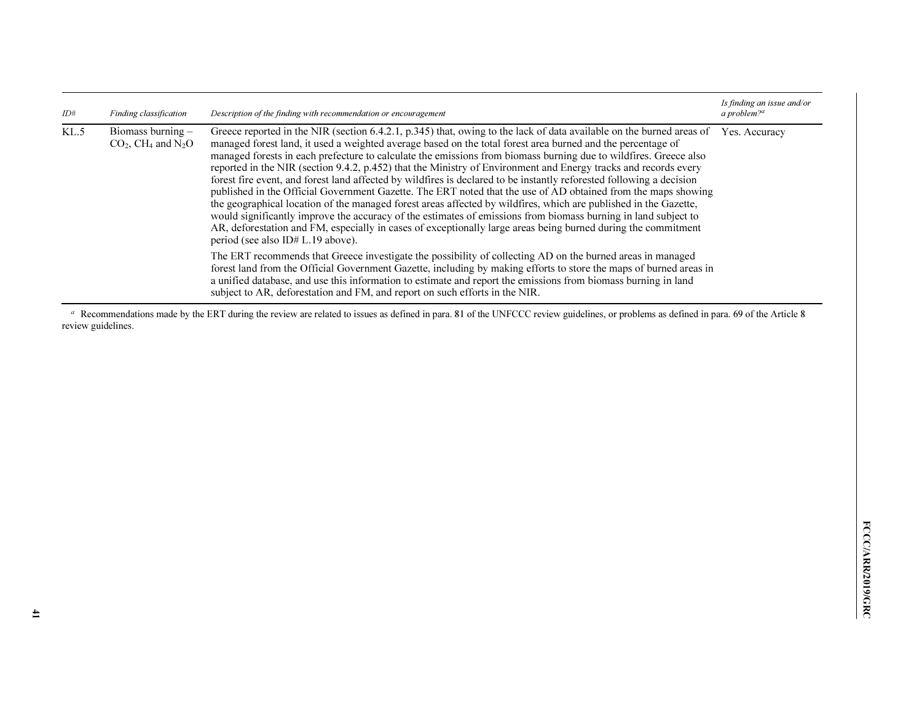| ID#  | Finding classification                                            | Description of the finding with recommendation or encouragement                                                                                                                                                                                                                                                                                                                                                                                                                                                                                                                                                                                                                                                                                                                                                                                                                                                                                                                                                                                                                                                   | Is finding an issue and/or<br>a problem? <sup>a</sup> |
|------|-------------------------------------------------------------------|-------------------------------------------------------------------------------------------------------------------------------------------------------------------------------------------------------------------------------------------------------------------------------------------------------------------------------------------------------------------------------------------------------------------------------------------------------------------------------------------------------------------------------------------------------------------------------------------------------------------------------------------------------------------------------------------------------------------------------------------------------------------------------------------------------------------------------------------------------------------------------------------------------------------------------------------------------------------------------------------------------------------------------------------------------------------------------------------------------------------|-------------------------------------------------------|
| KL.5 | Biomass burning -<br>$CO2$ , CH <sub>4</sub> and N <sub>2</sub> O | Greece reported in the NIR (section 6.4.2.1, p.345) that, owing to the lack of data available on the burned areas of<br>managed forest land, it used a weighted average based on the total forest area burned and the percentage of<br>managed forests in each prefecture to calculate the emissions from biomass burning due to wildfires. Greece also<br>reported in the NIR (section 9.4.2, p.452) that the Ministry of Environment and Energy tracks and records every<br>forest fire event, and forest land affected by wildfires is declared to be instantly reforested following a decision<br>published in the Official Government Gazette. The ERT noted that the use of AD obtained from the maps showing<br>the geographical location of the managed forest areas affected by wildfires, which are published in the Gazette,<br>would significantly improve the accuracy of the estimates of emissions from biomass burning in land subject to<br>AR, deforestation and FM, especially in cases of exceptionally large areas being burned during the commitment<br>period (see also ID# $L.19$ above). | Yes. Accuracy                                         |
|      |                                                                   | The ERT recommends that Greece investigate the possibility of collecting AD on the burned areas in managed<br>forest land from the Official Government Gazette, including by making efforts to store the maps of burned areas in<br>a unified database, and use this information to estimate and report the emissions from biomass burning in land<br>subject to AR, deforestation and FM, and report on such efforts in the NIR.                                                                                                                                                                                                                                                                                                                                                                                                                                                                                                                                                                                                                                                                                 |                                                       |

 $\alpha$  Recommendations made by the ERT during the review are related to issues as defined in para. 81 of the UNFCCC review guidelines, or problems as defined in para. 69 of the Article 8 review guidelines.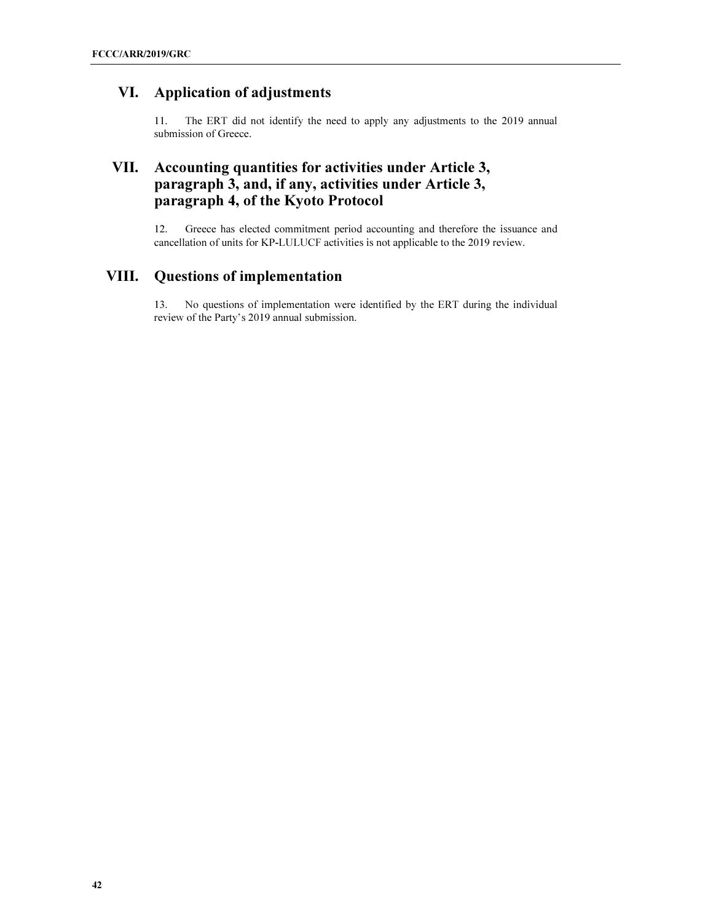# VI. Application of adjustments

11. The ERT did not identify the need to apply any adjustments to the 2019 annual submission of Greece.

# VII. Accounting quantities for activities under Article 3, paragraph 3, and, if any, activities under Article 3, paragraph 4, of the Kyoto Protocol

12. Greece has elected commitment period accounting and therefore the issuance and cancellation of units for KP-LULUCF activities is not applicable to the 2019 review.

# VIII. Questions of implementation

13. No questions of implementation were identified by the ERT during the individual review of the Party's 2019 annual submission.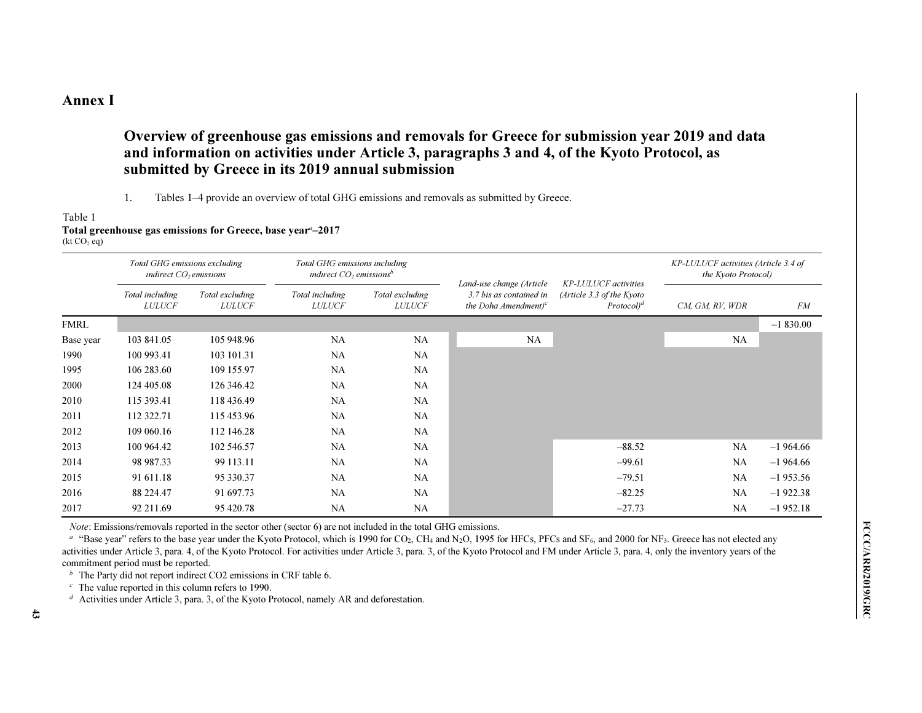# Annex I

# Overview of greenhouse gas emissions and removals for Greece for submission year 2019 and data and information on activities under Article 3, paragraphs 3 and 4, of the Kyoto Protocol, as submitted by Greece in its 2019 annual submission

### 1.Tables 1–4 provide an overview of total GHG emissions and removals as submitted by Greece.

### Table 1Total greenhouse gas emissions for Greece, base year $\mathrm{\ ^{a}\!-\!2017}$

 $(kt CO<sub>2</sub> eq)$ 

|             | Total GHG emissions excluding<br>indirect $CO2$ emissions |                                  | Total GHG emissions including<br>indirect $CO2$ emissions <sup>b</sup> |                                  |                                                                                       |                                                                                    | KP-LULUCF activities (Article 3.4 of<br>the Kyoto Protocol) |            |
|-------------|-----------------------------------------------------------|----------------------------------|------------------------------------------------------------------------|----------------------------------|---------------------------------------------------------------------------------------|------------------------------------------------------------------------------------|-------------------------------------------------------------|------------|
|             | Total including<br><b>LULUCF</b>                          | Total excluding<br><b>LULUCF</b> | Total including<br><b>LULUCF</b>                                       | Total excluding<br><b>LULUCF</b> | Land-use change (Article<br>3.7 bis as contained in<br>the Doha Amendment) $\epsilon$ | <b>KP-LULUCF</b> activities<br>(Article 3.3 of the Kyoto<br>Protocol) <sup>d</sup> | CM, GM, RV, WDR                                             | <b>FM</b>  |
| <b>FMRL</b> |                                                           |                                  |                                                                        |                                  |                                                                                       |                                                                                    |                                                             | $-1830.00$ |
| Base year   | 103 841.05                                                | 105 948.96                       | NA                                                                     | NA                               | NA                                                                                    |                                                                                    | NA                                                          |            |
| 1990        | 100 993.41                                                | 103 101.31                       | <b>NA</b>                                                              | NA                               |                                                                                       |                                                                                    |                                                             |            |
| 1995        | 106 283.60                                                | 109 155.97                       | NA                                                                     | NA                               |                                                                                       |                                                                                    |                                                             |            |
| 2000        | 124 405.08                                                | 126 346.42                       | NA                                                                     | NA                               |                                                                                       |                                                                                    |                                                             |            |
| 2010        | 115 393.41                                                | 118 436.49                       | <b>NA</b>                                                              | NA                               |                                                                                       |                                                                                    |                                                             |            |
| 2011        | 112 322.71                                                | 115 453.96                       | <b>NA</b>                                                              | NA                               |                                                                                       |                                                                                    |                                                             |            |
| 2012        | 109 060.16                                                | 112 146.28                       | <b>NA</b>                                                              | NA                               |                                                                                       |                                                                                    |                                                             |            |
| 2013        | 100 964.42                                                | 102 546.57                       | NA                                                                     | NA                               |                                                                                       | $-88.52$                                                                           | NA                                                          | $-1964.66$ |
| 2014        | 98 987.33                                                 | 99 113.11                        | NA                                                                     | NA                               |                                                                                       | $-99.61$                                                                           | NA                                                          | $-1964.66$ |
| 2015        | 91 611.18                                                 | 95 330.37                        | NA                                                                     | NA                               |                                                                                       | $-79.51$                                                                           | NA                                                          | $-1953.56$ |
| 2016        | 88 224.47                                                 | 91 697.73                        | <b>NA</b>                                                              | NA                               |                                                                                       | $-82.25$                                                                           | NA                                                          | $-1922.38$ |
| 2017        | 92 211.69                                                 | 95 420.78                        | NA                                                                     | NA                               |                                                                                       | $-27.73$                                                                           | NA                                                          | $-1952.18$ |

Note: Emissions/removals reported in the sector other (sector 6) are not included in the total GHG emissions.

 $a$  "Base year" refers to the base year under the Kyoto Protocol, which is 1990 for CO<sub>2</sub>, CH<sub>4</sub> and N<sub>2</sub>O, 1995 for HFCs, PFCs and SF<sub>6</sub>, and 2000 for NF<sub>3</sub>. Greece has not elected any activities under Article 3, para. 4, of the Kyoto Protocol. For activities under Article 3, para. 3, of the Kyoto Protocol and FM under Article 3, para. 4, only the inventory years of the commitment period must be reported.

 $<sup>b</sup>$  The Party did not report indirect CO2 emissions in CRF table 6.</sup>

 $\epsilon$  The value reported in this column refers to 1990.

d Activities under Article 3, para. 3, of the Kyoto Protocol, namely AR and deforestation.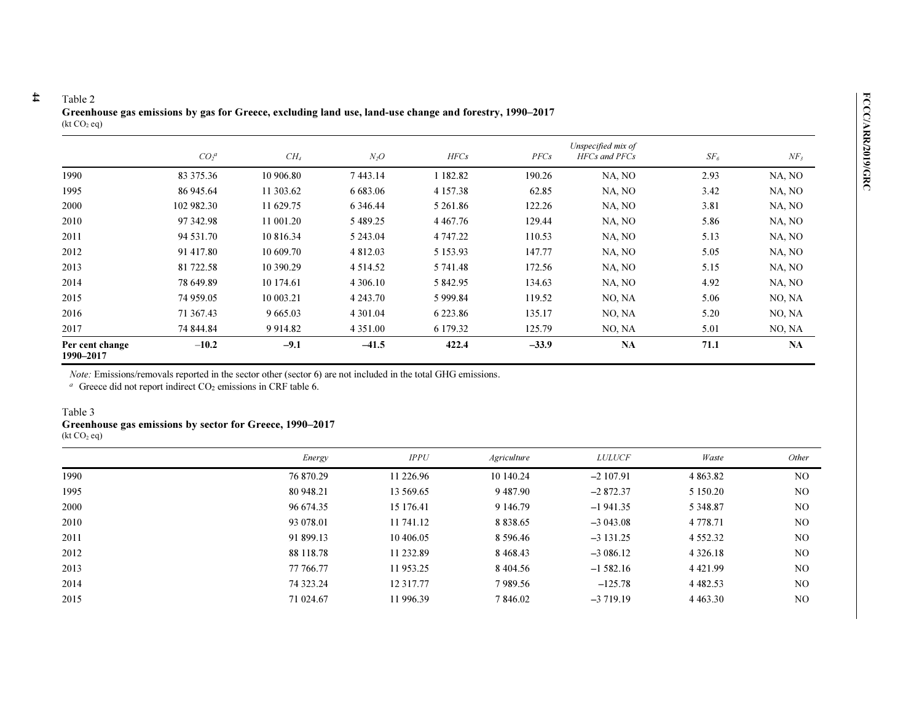| Table 2<br>Greenhouse gas emissions by gas for Greece, excluding land use, land-use change and forestry, 1990–2017<br>(kt CO <sub>2</sub> eq) |            |             |              |               |         |                                     |          |           |
|-----------------------------------------------------------------------------------------------------------------------------------------------|------------|-------------|--------------|---------------|---------|-------------------------------------|----------|-----------|
|                                                                                                                                               | $CO_2^a$   | $CH_4$      | $N_2O$       | HFCs          | PFCs    | Unspecified mix of<br>HFCs and PFCs | $SF_{6}$ | $NF_3$    |
| 1990                                                                                                                                          | 83 375.36  | 10 906.80   | 7443.14      | 1 182.82      | 190.26  | NA, NO                              | 2.93     | NA, NO    |
| 1995                                                                                                                                          | 86 945.64  | 11 303.62   | 6 683.06     | 4 157.38      | 62.85   | NA, NO                              | 3.42     | NA, NO    |
| 2000                                                                                                                                          | 102 982.30 | 11 629.75   | 6 3 4 6 4 4  | 5 261.86      | 122.26  | NA, NO                              | 3.81     | NA, NO    |
| 2010                                                                                                                                          | 97 342.98  | 11 001.20   | 5 489.25     | 4 4 6 7 . 7 6 | 129.44  | NA, NO                              | 5.86     | NA, NO    |
| 2011                                                                                                                                          | 94 531.70  | 10 816.34   | 5 243.04     | 4 747.22      | 110.53  | NA, NO                              | 5.13     | NA, NO    |
| 2012                                                                                                                                          | 91 417.80  | 10 609.70   | 4 812.03     | 5 153.93      | 147.77  | NA, NO                              | 5.05     | NA, NO    |
| 2013                                                                                                                                          | 81 722.58  | 10 390.29   | 4 5 1 4 .5 2 | 5 741.48      | 172.56  | NA, NO                              | 5.15     | NA, NO    |
| 2014                                                                                                                                          | 78 649.89  | 10 174.61   | 4 306.10     | 5 842.95      | 134.63  | NA, NO                              | 4.92     | NA, NO    |
| 2015                                                                                                                                          | 74 959.05  | 10 003.21   | 4 2 4 3 .70  | 5 9 9 9.84    | 119.52  | NO, NA                              | 5.06     | NO, NA    |
| 2016                                                                                                                                          | 71 367.43  | 9 6 6 5 .03 | 4 3 0 1 .04  | 6 2 2 3 . 8 6 | 135.17  | NO, NA                              | 5.20     | NO, NA    |
| 2017                                                                                                                                          | 74 844.84  | 9 9 14.82   | 4 3 5 1 .00  | 6 179.32      | 125.79  | NO, NA                              | 5.01     | NO, NA    |
| Per cent change<br>1990-2017                                                                                                                  | $-10.2$    | $-9.1$      | $-41.5$      | 422.4         | $-33.9$ | <b>NA</b>                           | 71.1     | <b>NA</b> |

Note: Emissions/removals reported in the sector other (sector 6) are not included in the total GHG emissions.

 $a$  Greece did not report indirect CO<sub>2</sub> emissions in CRF table 6.

### Table 3

 $\sharp$ 

### Greenhouse gas emissions by sector for Greece, 1990–2017

 $(kt CO<sub>2</sub> eq)$ 

|      | Energy    | IPPU       | <i>Agriculture</i> | <b>LULUCF</b> | Waste         | Other          |
|------|-----------|------------|--------------------|---------------|---------------|----------------|
| 1990 | 76 870.29 | 11 226.96  | 10 140.24          | $-2107.91$    | 4 863.82      | N <sub>O</sub> |
| 1995 | 80 948.21 | 13 569.65  | 9487.90            | $-2872.37$    | 5 150.20      | N <sub>O</sub> |
| 2000 | 96 674.35 | 15 176.41  | 9 146.79           | $-1941.35$    | 5 3 4 8 .8 7  | N <sub>O</sub> |
| 2010 | 93 078.01 | 11 741.12  | 8 8 3 8 . 6 5      | $-3043.08$    | 4 7 7 8 . 7 1 | N <sub>O</sub> |
| 2011 | 91 899.13 | 10 406.05  | 8 5 9 6 . 4 6      | $-3131.25$    | 4 5 5 2 . 3 2 | N <sub>O</sub> |
| 2012 | 88 118.78 | 11 232.89  | 8468.43            | $-3086.12$    | 4 3 2 6 1 8   | N <sub>O</sub> |
| 2013 | 77 766.77 | 11953.25   | 8 4 0 4 .5 6       | $-1,582.16$   | 4 4 2 1 . 9 9 | N <sub>O</sub> |
| 2014 | 74 323.24 | 12 3 17.77 | 7989.56            | $-125.78$     | 4 4 8 2 . 5 3 | N <sub>O</sub> |
| 2015 | 71 024.67 | 11 996.39  | 7 846.02           | $-3719.19$    | 4 4 6 3 . 3 0 | NO             |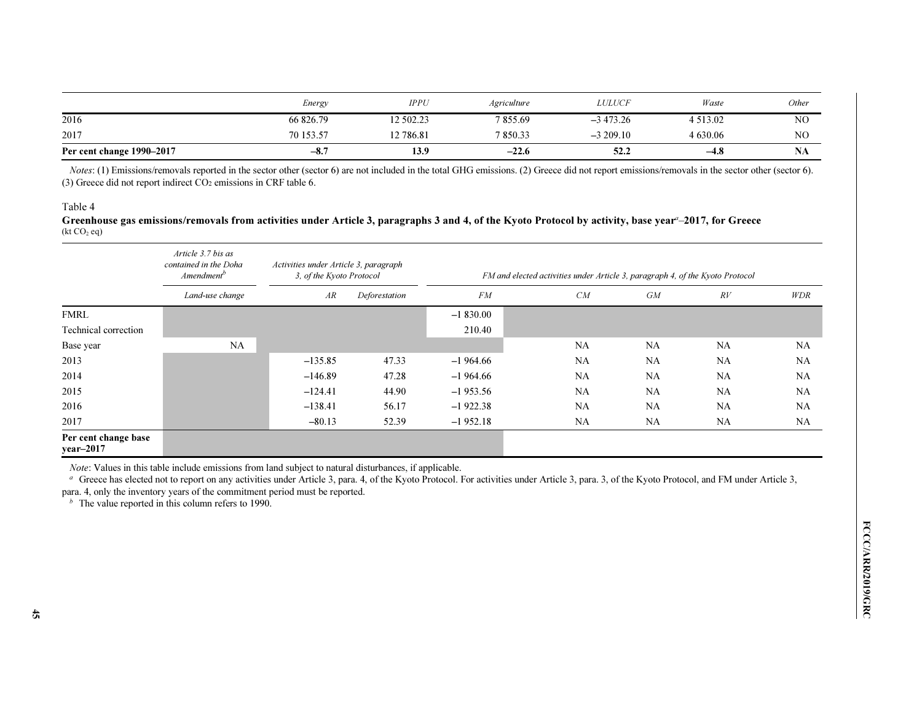|                           | Energy    | <b>IPPU</b> | <i>Agriculture</i> | <i>LULUCF</i> | Waste        | <i>Other</i>   |
|---------------------------|-----------|-------------|--------------------|---------------|--------------|----------------|
| 2016                      | 66 826.79 | 12 502.23   | 7855.69            | $-3,473,26$   | 4 5 1 3 .0 2 | N <sub>O</sub> |
| 2017                      | 70 153.57 | 2 786.81    | 7850.33            | $-3209.10$    | 4 630.06     | NC             |
| Per cent change 1990-2017 | $-8.7$    | 13.9        | $-22.6$            | 52.2          | $-4.8$       | INA            |

Notes: (1) Emissions/removals reported in the sector other (sector 6) are not included in the total GHG emissions. (2) Greece did not report emissions/removals in the sector other (sector 6). (3) Greece did not report indirect  $CO<sub>2</sub>$  emissions in CRF table 6.

### Table 4

Greenhouse gas emissions/removals from activities under Article 3, paragraphs 3 and 4, of the Kyoto Protocol by activity, base year $^\text{\tiny d}$ –2017, for Greece  $(kt CO<sub>2</sub> eq)$ 

|                                   | Article 3.7 bis as<br>contained in the Doha<br>Amendment <sup>b</sup> | Activities under Article 3, paragraph<br>3, of the Kyoto Protocol |               | FM and elected activities under Article 3, paragraph 4, of the Kyoto Protocol |           |           |           |            |
|-----------------------------------|-----------------------------------------------------------------------|-------------------------------------------------------------------|---------------|-------------------------------------------------------------------------------|-----------|-----------|-----------|------------|
|                                   | Land-use change                                                       | AR                                                                | Deforestation | FM                                                                            | CM        | GM        | RV        | <b>WDR</b> |
| <b>FMRL</b>                       |                                                                       |                                                                   |               | $-1830.00$                                                                    |           |           |           |            |
| Technical correction              |                                                                       |                                                                   |               | 210.40                                                                        |           |           |           |            |
| Base year                         | <b>NA</b>                                                             |                                                                   |               |                                                                               | <b>NA</b> | NA        | <b>NA</b> | <b>NA</b>  |
| 2013                              |                                                                       | $-135.85$                                                         | 47.33         | $-1964.66$                                                                    | <b>NA</b> | <b>NA</b> | <b>NA</b> | <b>NA</b>  |
| 2014                              |                                                                       | $-146.89$                                                         | 47.28         | $-1964.66$                                                                    | <b>NA</b> | <b>NA</b> | <b>NA</b> | NA         |
| 2015                              |                                                                       | $-124.41$                                                         | 44.90         | $-1953.56$                                                                    | <b>NA</b> | <b>NA</b> | <b>NA</b> | NA         |
| 2016                              |                                                                       | $-138.41$                                                         | 56.17         | $-1922.38$                                                                    | <b>NA</b> | <b>NA</b> | <b>NA</b> | <b>NA</b>  |
| 2017                              |                                                                       | $-80.13$                                                          | 52.39         | $-1952.18$                                                                    | <b>NA</b> | <b>NA</b> | <b>NA</b> | <b>NA</b>  |
| Per cent change base<br>year-2017 |                                                                       |                                                                   |               |                                                                               |           |           |           |            |

Note: Values in this table include emissions from land subject to natural disturbances, if applicable.

<sup>a</sup> Greece has elected not to report on any activities under Article 3, para. 4, of the Kyoto Protocol. For activities under Article 3, para. 3, of the Kyoto Protocol, and FM under Article 3,

para. 4, only the inventory years of the commitment period must be reported.

 $<sup>b</sup>$  The value reported in this column refers to 1990.</sup>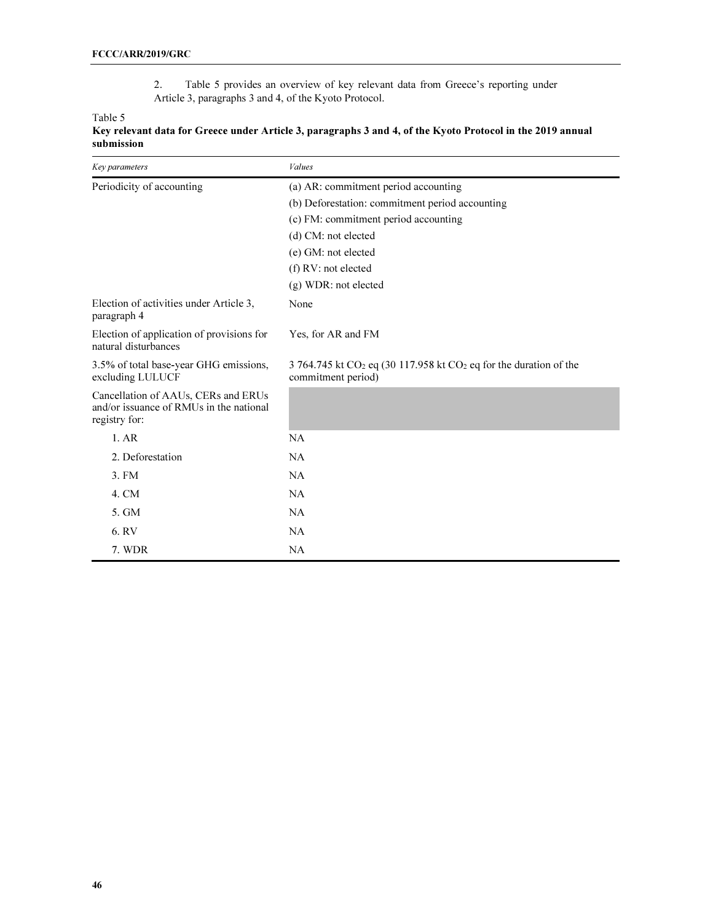2. Table 5 provides an overview of key relevant data from Greece's reporting under Article 3, paragraphs 3 and 4, of the Kyoto Protocol.

Table 5

| Key parameters                                                                                  | Values                                                                                      |  |  |  |  |
|-------------------------------------------------------------------------------------------------|---------------------------------------------------------------------------------------------|--|--|--|--|
| Periodicity of accounting                                                                       | (a) AR: commitment period accounting                                                        |  |  |  |  |
|                                                                                                 | (b) Deforestation: commitment period accounting                                             |  |  |  |  |
|                                                                                                 | (c) FM: commitment period accounting                                                        |  |  |  |  |
|                                                                                                 | (d) CM: not elected                                                                         |  |  |  |  |
|                                                                                                 | (e) GM: not elected                                                                         |  |  |  |  |
|                                                                                                 | (f) RV: not elected                                                                         |  |  |  |  |
|                                                                                                 | (g) WDR: not elected                                                                        |  |  |  |  |
| Election of activities under Article 3,<br>paragraph 4                                          | None                                                                                        |  |  |  |  |
| Election of application of provisions for<br>natural disturbances                               | Yes, for AR and FM                                                                          |  |  |  |  |
| 3.5% of total base-year GHG emissions,<br>excluding LULUCF                                      | 3 764.745 kt $CO2$ eq (30 117.958 kt $CO2$ eq for the duration of the<br>commitment period) |  |  |  |  |
| Cancellation of AAUs, CERs and ERUs<br>and/or issuance of RMUs in the national<br>registry for: |                                                                                             |  |  |  |  |
| 1.AR                                                                                            | NA                                                                                          |  |  |  |  |
| 2. Deforestation                                                                                | NA                                                                                          |  |  |  |  |
| 3. FM                                                                                           | NA                                                                                          |  |  |  |  |
| 4. CM                                                                                           | NA                                                                                          |  |  |  |  |
| 5. GM                                                                                           | NA                                                                                          |  |  |  |  |
| 6.RV                                                                                            | NA                                                                                          |  |  |  |  |
|                                                                                                 |                                                                                             |  |  |  |  |
| 7. WDR                                                                                          | NA                                                                                          |  |  |  |  |

### Key relevant data for Greece under Article 3, paragraphs 3 and 4, of the Kyoto Protocol in the 2019 annual submission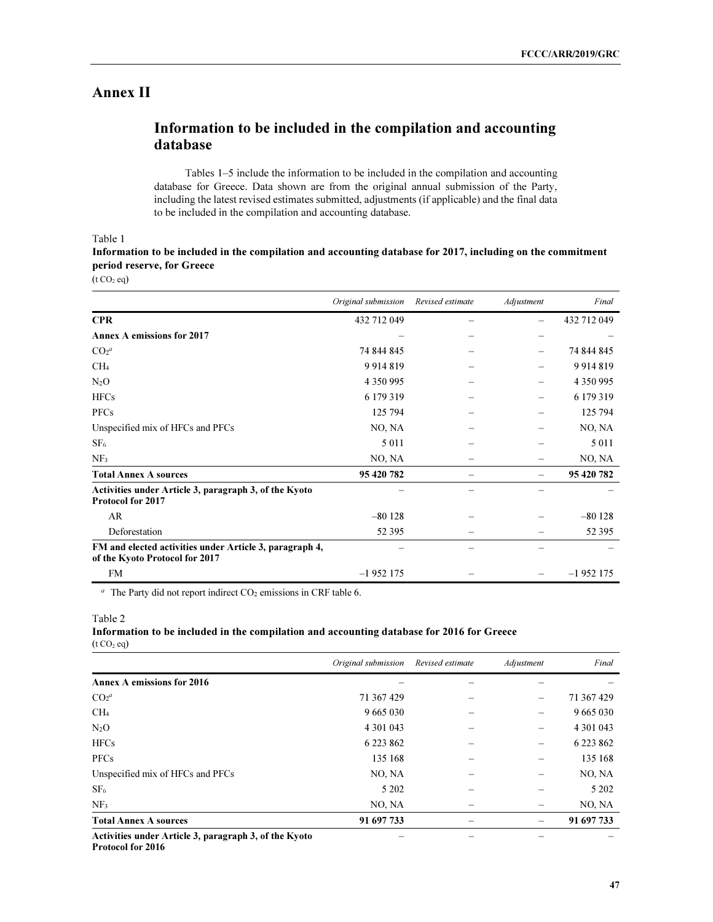# Annex II

# Information to be included in the compilation and accounting database

 Tables 1–5 include the information to be included in the compilation and accounting database for Greece. Data shown are from the original annual submission of the Party, including the latest revised estimates submitted, adjustments (if applicable) and the final data to be included in the compilation and accounting database.

Table 1

Information to be included in the compilation and accounting database for 2017, including on the commitment period reserve, for Greece

 $(t CO<sub>2</sub> eq)$ 

|                                                                                           | Original submission | Revised estimate | Adjustment | Final       |
|-------------------------------------------------------------------------------------------|---------------------|------------------|------------|-------------|
| <b>CPR</b>                                                                                | 432 712 049         |                  |            | 432 712 049 |
| <b>Annex A emissions for 2017</b>                                                         |                     |                  |            |             |
| CO <sub>2</sub> <sup>a</sup>                                                              | 74 844 845          |                  |            | 74 844 845  |
| CH <sub>4</sub>                                                                           | 9914819             |                  |            | 9914819     |
| $N_2O$                                                                                    | 4 350 995           |                  |            | 4 350 995   |
| <b>HFCs</b>                                                                               | 6 179 319           |                  |            | 6 179 319   |
| <b>PFCs</b>                                                                               | 125 794             |                  |            | 125 794     |
| Unspecified mix of HFCs and PFCs                                                          | NO, NA              |                  |            | NO, NA      |
| SF <sub>6</sub>                                                                           | 5 0 1 1             |                  |            | 5 0 1 1     |
| NF <sub>3</sub>                                                                           | NO, NA              |                  |            | NO, NA      |
| <b>Total Annex A sources</b>                                                              | 95 420 782          |                  |            | 95 420 782  |
| Activities under Article 3, paragraph 3, of the Kyoto<br><b>Protocol for 2017</b>         |                     |                  |            |             |
| AR                                                                                        | $-80128$            |                  |            | $-80128$    |
| Deforestation                                                                             | 52 3 95             |                  |            | 52 3 95     |
| FM and elected activities under Article 3, paragraph 4,<br>of the Kyoto Protocol for 2017 |                     |                  |            |             |
| <b>FM</b>                                                                                 | $-1952175$          |                  |            | $-1952175$  |

 $a$  The Party did not report indirect CO<sub>2</sub> emissions in CRF table 6.

### Information to be included in the compilation and accounting database for 2016 for Greece  $(t CO<sub>2</sub> eq)$

|                                                       | Original submission | Revised estimate | Adjustment | Final         |
|-------------------------------------------------------|---------------------|------------------|------------|---------------|
| Annex A emissions for 2016                            |                     |                  |            |               |
| CO <sub>2</sub> <sup>a</sup>                          | 71 367 429          |                  |            | 71 367 429    |
| CH <sub>4</sub>                                       | 9 6 6 5 0 3 0       |                  |            | 9 6 6 5 0 3 0 |
| $N_2O$                                                | 4 301 043           |                  |            | 4 301 043     |
| <b>HFCs</b>                                           | 6 223 862           |                  |            | 6 2 2 3 8 6 2 |
| <b>PFCs</b>                                           | 135 168             |                  |            | 135 168       |
| Unspecified mix of HFCs and PFCs                      | NO, NA              |                  |            | NO, NA        |
| SF <sub>6</sub>                                       | 5 202               |                  |            | 5 2 0 2       |
| NF <sub>3</sub>                                       | NO, NA              |                  |            | NO, NA        |
| <b>Total Annex A sources</b>                          | 91 697 733          |                  |            | 91 697 733    |
| Activities under Article 3, paragraph 3, of the Kyoto |                     |                  |            |               |

Protocol for 2016

Table 2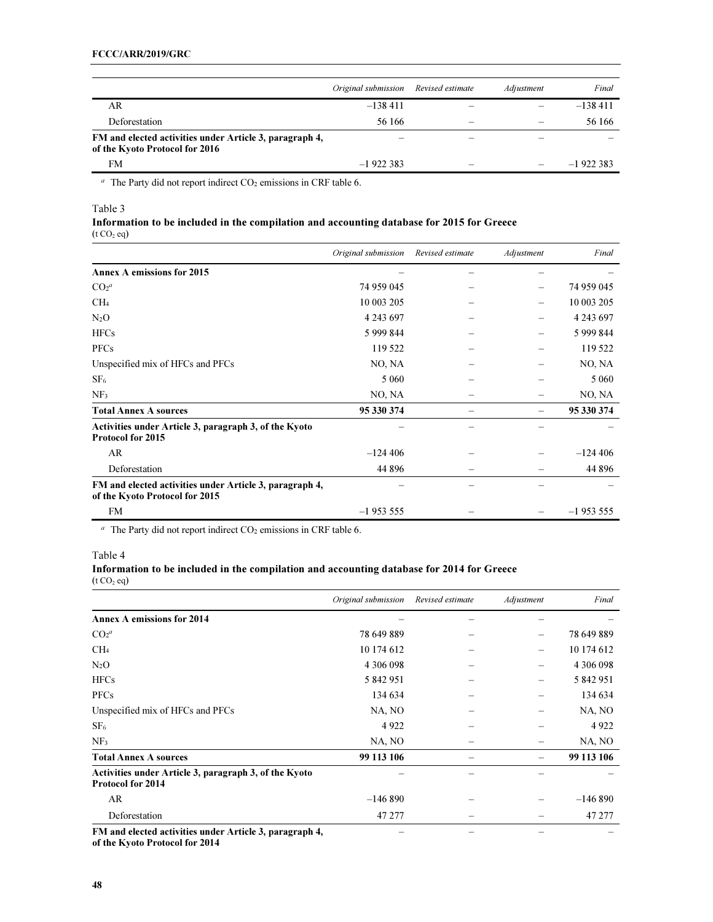|                                                                                           | Original submission | Revised estimate | Adjustment               | Final      |
|-------------------------------------------------------------------------------------------|---------------------|------------------|--------------------------|------------|
| AR                                                                                        | $-138411$           |                  |                          | $-138411$  |
| Deforestation                                                                             | 56 166              | –                |                          | 56 166     |
| FM and elected activities under Article 3, paragraph 4,<br>of the Kyoto Protocol for 2016 |                     |                  |                          |            |
| <b>FM</b>                                                                                 | $-1922383$          |                  | $\overline{\phantom{0}}$ | $-1922383$ |

 $a$  The Party did not report indirect CO<sub>2</sub> emissions in CRF table 6.

### Table 3

### Information to be included in the compilation and accounting database for 2015 for Greece  $(t CO<sub>2</sub> eq)$

|                                                                                           | Original submission | Revised estimate | Adjustment | Final       |
|-------------------------------------------------------------------------------------------|---------------------|------------------|------------|-------------|
| <b>Annex A emissions for 2015</b>                                                         |                     |                  |            |             |
| CO <sub>2</sub> <sup>a</sup>                                                              | 74 959 045          |                  |            | 74 959 045  |
| CH <sub>4</sub>                                                                           | 10 003 205          |                  |            | 10 003 205  |
| $N_2O$                                                                                    | 4 243 697           |                  |            | 4 243 697   |
| <b>HFCs</b>                                                                               | 5 999 844           |                  |            | 5 9 9 8 4 4 |
| <b>PFCs</b>                                                                               | 119 522             |                  |            | 119 522     |
| Unspecified mix of HFCs and PFCs                                                          | NO, NA              |                  |            | NO, NA      |
| SF <sub>6</sub>                                                                           | 5 0 6 0             |                  |            | 5 0 6 0     |
| NF <sub>3</sub>                                                                           | NO, NA              |                  |            | NO, NA      |
| <b>Total Annex A sources</b>                                                              | 95 330 374          |                  |            | 95 330 374  |
| Activities under Article 3, paragraph 3, of the Kyoto<br>Protocol for 2015                |                     |                  |            |             |
| AR                                                                                        | $-124406$           |                  |            | $-124406$   |
| Deforestation                                                                             | 44 8 9 6            |                  |            | 44 8 9 6    |
| FM and elected activities under Article 3, paragraph 4,<br>of the Kyoto Protocol for 2015 |                     |                  |            |             |
| <b>FM</b>                                                                                 | $-1953555$          |                  |            | $-1953555$  |

 $a$  The Party did not report indirect CO<sub>2</sub> emissions in CRF table 6.

Table 4

### Information to be included in the compilation and accounting database for 2014 for Greece  $(t CO<sub>2</sub> eq)$

|                                                                                   | Original submission | Revised estimate | Adjustment | Final      |
|-----------------------------------------------------------------------------------|---------------------|------------------|------------|------------|
| <b>Annex A emissions for 2014</b>                                                 |                     |                  |            |            |
| CO <sub>2</sub> <sup>a</sup>                                                      | 78 649 889          |                  |            | 78 649 889 |
| CH <sub>4</sub>                                                                   | 10 174 612          |                  |            | 10 174 612 |
| $N_2O$                                                                            | 4 306 098           |                  |            | 4 306 098  |
| <b>HFCs</b>                                                                       | 5 842 951           |                  |            | 5 842 951  |
| <b>PFCs</b>                                                                       | 134 634             |                  |            | 134 634    |
| Unspecified mix of HFCs and PFCs                                                  | NA, NO              |                  |            | NA, NO     |
| SF <sub>6</sub>                                                                   | 4922                |                  |            | 4922       |
| NF <sub>3</sub>                                                                   | NA, NO              |                  |            | NA, NO     |
| <b>Total Annex A sources</b>                                                      | 99 113 106          |                  |            | 99 113 106 |
| Activities under Article 3, paragraph 3, of the Kyoto<br><b>Protocol for 2014</b> |                     |                  |            |            |
| AR                                                                                | $-146890$           |                  |            | $-146890$  |
| Deforestation                                                                     | 47 277              |                  |            | 47 277     |
| FM and elected activities under Article 3, paragraph 4,                           |                     |                  |            |            |

of the Kyoto Protocol for 2014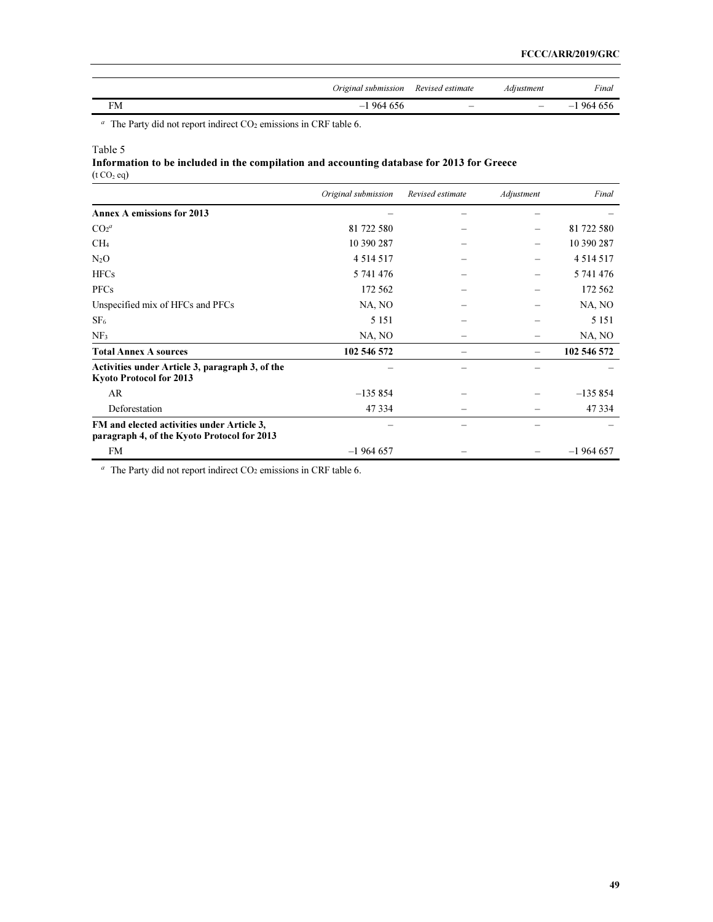| Original submission | Revised estimate | Adiustment | Final           |
|---------------------|------------------|------------|-----------------|
| 964656<br>— I       |                  |            | 964 656<br>$-1$ |

<sup>a</sup> The Party did not report indirect  $CO<sub>2</sub>$  emissions in CRF table 6.

### Table 5

Information to be included in the compilation and accounting database for 2013 for Greece  $(t CO<sub>2</sub> eq)$ 

|                                                                                           | Original submission | Revised estimate | Adjustment | Final         |
|-------------------------------------------------------------------------------------------|---------------------|------------------|------------|---------------|
| <b>Annex A emissions for 2013</b>                                                         |                     |                  |            |               |
| CO <sub>2</sub> <sup>a</sup>                                                              | 81 722 580          |                  |            | 81 722 580    |
| CH <sub>4</sub>                                                                           | 10 390 287          |                  |            | 10 390 287    |
| $N_2O$                                                                                    | 4 5 1 4 5 1 7       |                  |            | 4 5 1 4 5 1 7 |
| <b>HFCs</b>                                                                               | 5 741 476           |                  |            | 5 741 476     |
| <b>PFCs</b>                                                                               | 172 562             |                  |            | 172 562       |
| Unspecified mix of HFCs and PFCs                                                          | NA, NO              |                  |            | NA, NO        |
| SF <sub>6</sub>                                                                           | 5 1 5 1             |                  |            | 5 1 5 1       |
| NF <sub>3</sub>                                                                           | NA, NO              |                  |            | NA, NO        |
| <b>Total Annex A sources</b>                                                              | 102 546 572         |                  |            | 102 546 572   |
| Activities under Article 3, paragraph 3, of the<br><b>Kyoto Protocol for 2013</b>         |                     |                  |            |               |
| AR                                                                                        | $-135854$           |                  |            | $-135854$     |
| Deforestation                                                                             | 47 334              |                  |            | 47 3 3 4      |
| FM and elected activities under Article 3,<br>paragraph 4, of the Kyoto Protocol for 2013 |                     |                  |            |               |
| <b>FM</b>                                                                                 | $-1964657$          |                  |            | $-1964657$    |

 $a$  The Party did not report indirect CO<sub>2</sub> emissions in CRF table 6.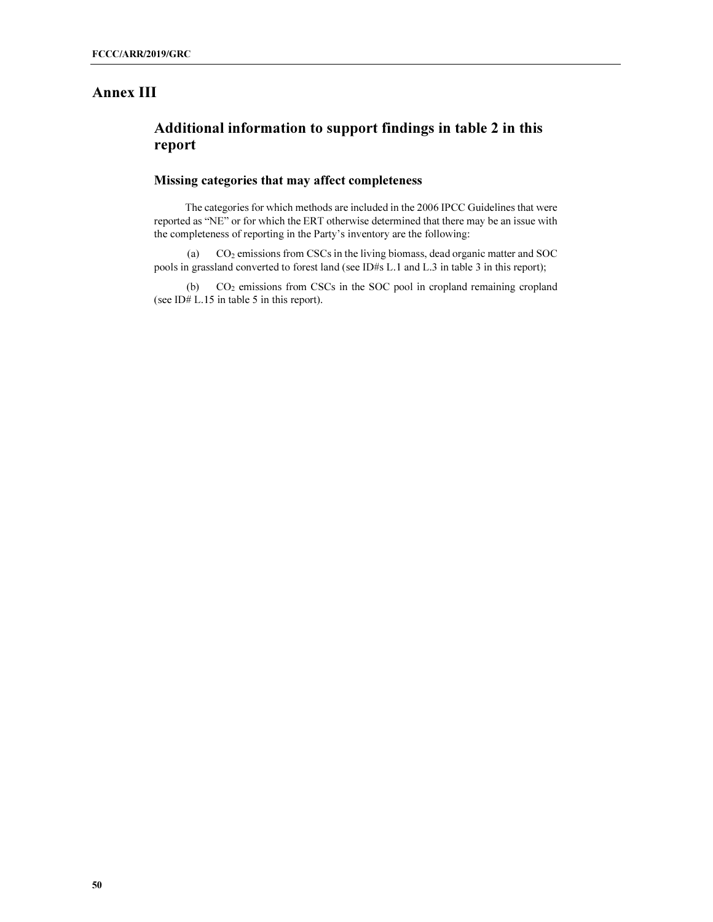# Annex III

# Additional information to support findings in table 2 in this report

## Missing categories that may affect completeness

The categories for which methods are included in the 2006 IPCC Guidelines that were reported as "NE" or for which the ERT otherwise determined that there may be an issue with the completeness of reporting in the Party's inventory are the following:

(a) CO2 emissions from CSCs in the living biomass, dead organic matter and SOC pools in grassland converted to forest land (see ID#s L.1 and L.3 in table 3 in this report);

(b) CO2 emissions from CSCs in the SOC pool in cropland remaining cropland (see ID# L.15 in table 5 in this report).